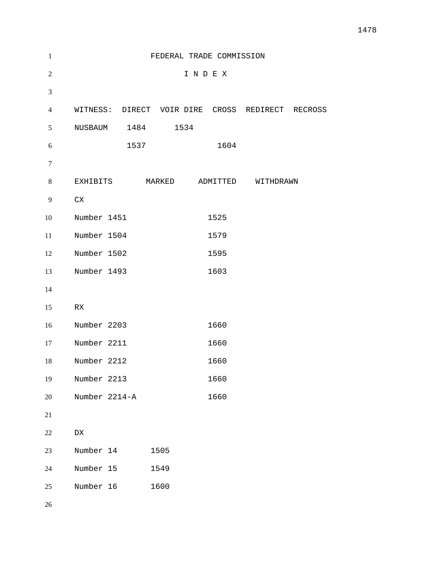| $\mathbf{1}$     | FEDERAL TRADE COMMISSION  |      |      |      |      |                                                  |  |
|------------------|---------------------------|------|------|------|------|--------------------------------------------------|--|
| $\overline{2}$   | INDEX                     |      |      |      |      |                                                  |  |
| $\mathfrak{Z}$   |                           |      |      |      |      |                                                  |  |
| $\overline{4}$   |                           |      |      |      |      | WITNESS: DIRECT VOIR DIRE CROSS REDIRECT RECROSS |  |
| 5                | NUSBAUM 1484              |      |      | 1534 |      |                                                  |  |
| 6                |                           | 1537 |      |      | 1604 |                                                  |  |
| $\boldsymbol{7}$ |                           |      |      |      |      |                                                  |  |
| $8\,$            |                           |      |      |      |      | EXHIBITS MARKED ADMITTED WITHDRAWN               |  |
| 9                | ${\rm CX}$                |      |      |      |      |                                                  |  |
| 10               | Number 1451               |      |      |      | 1525 |                                                  |  |
| 11               | Number 1504               |      |      |      | 1579 |                                                  |  |
| 12               | Number 1502               |      |      |      | 1595 |                                                  |  |
| 13               | Number 1493               |      |      |      | 1603 |                                                  |  |
| 14               |                           |      |      |      |      |                                                  |  |
| 15               | ${\mathbb R} {\mathbb X}$ |      |      |      |      |                                                  |  |
| 16               | Number 2203               |      |      |      | 1660 |                                                  |  |
| 17               | Number 2211               |      |      |      | 1660 |                                                  |  |
| 18               | Number 2212               |      |      |      | 1660 |                                                  |  |
| 19               | Number 2213               |      |      |      | 1660 |                                                  |  |
| 20               | Number 2214-A             |      |      |      | 1660 |                                                  |  |
| 21               |                           |      |      |      |      |                                                  |  |
| 22               | ${\rm D}{\rm X}$          |      |      |      |      |                                                  |  |
| 23               | Number 14                 |      | 1505 |      |      |                                                  |  |
| 24               | Number 15                 |      | 1549 |      |      |                                                  |  |
| 25               | Number 16                 |      | 1600 |      |      |                                                  |  |
|                  |                           |      |      |      |      |                                                  |  |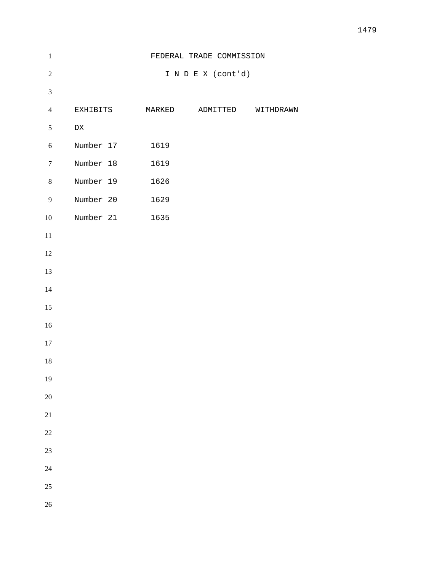| $\,1\,$          |                  | FEDERAL TRADE COMMISSION        |
|------------------|------------------|---------------------------------|
| $\sqrt{2}$       |                  | I N D E X (cont'd)              |
| $\mathfrak{Z}$   |                  |                                 |
| $\overline{4}$   | EXHIBITS         | MARKED<br>ADMITTED<br>WITHDRAWN |
| $\mathfrak{S}$   | ${\rm D}{\rm X}$ |                                 |
| $\sqrt{6}$       | Number 17        | 1619                            |
| $\tau$           | Number 18        | 1619                            |
| $8\,$            | Number 19        | 1626                            |
| $\boldsymbol{9}$ | Number 20        | 1629                            |
| $10\,$           | Number 21 1635   |                                 |
| $11\,$           |                  |                                 |
| 12               |                  |                                 |
| 13               |                  |                                 |
| 14               |                  |                                 |
| 15               |                  |                                 |
| $16\,$           |                  |                                 |
| 17               |                  |                                 |
| $18\,$           |                  |                                 |
| 19               |                  |                                 |
| 20               |                  |                                 |
| 21               |                  |                                 |
| $22\,$           |                  |                                 |
| 23               |                  |                                 |
| 24               |                  |                                 |
| 25               |                  |                                 |
| $26\,$           |                  |                                 |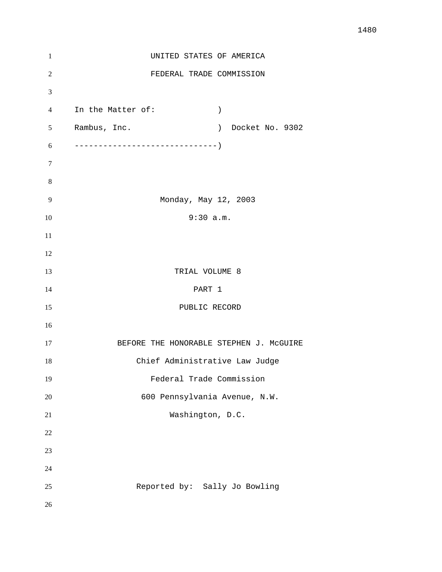| $\mathbf{1}$   | UNITED STATES OF AMERICA                |
|----------------|-----------------------------------------|
| $\overline{2}$ | FEDERAL TRADE COMMISSION                |
| 3              |                                         |
| $\overline{4}$ | In the Matter of:<br>$\left( \right)$   |
| 5              | Rambus, Inc.<br>) Docket No. 9302       |
| 6              |                                         |
| $\tau$         |                                         |
| 8              |                                         |
| 9              | Monday, May 12, 2003                    |
| 10             | 9:30 a.m.                               |
| 11             |                                         |
| 12             |                                         |
| 13             | TRIAL VOLUME 8                          |
| 14             | PART 1                                  |
| 15             | PUBLIC RECORD                           |
| 16             |                                         |
| 17             | BEFORE THE HONORABLE STEPHEN J. MCGUIRE |
| 18             | Chief Administrative Law Judge          |
| 19             | Federal Trade Commission                |
| 20             | 600 Pennsylvania Avenue, N.W.           |
| 21             | Washington, D.C.                        |
| 22             |                                         |
| 23             |                                         |
| 24             |                                         |
| 25             | Reported by: Sally Jo Bowling           |
| 26             |                                         |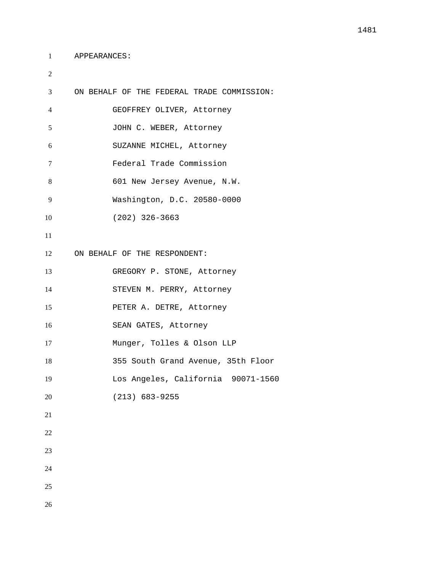```
1 APPEARANCES:
```
 ON BEHALF OF THE FEDERAL TRADE COMMISSION: GEOFFREY OLIVER, Attorney 5 JOHN C. WEBER, Attorney SUZANNE MICHEL, Attorney Federal Trade Commission 601 New Jersey Avenue, N.W. Washington, D.C. 20580-0000 (202) 326-3663 ON BEHALF OF THE RESPONDENT: GREGORY P. STONE, Attorney STEVEN M. PERRY, Attorney PETER A. DETRE, Attorney SEAN GATES, Attorney Munger, Tolles & Olson LLP 355 South Grand Avenue, 35th Floor Los Angeles, California 90071-1560 (213) 683-9255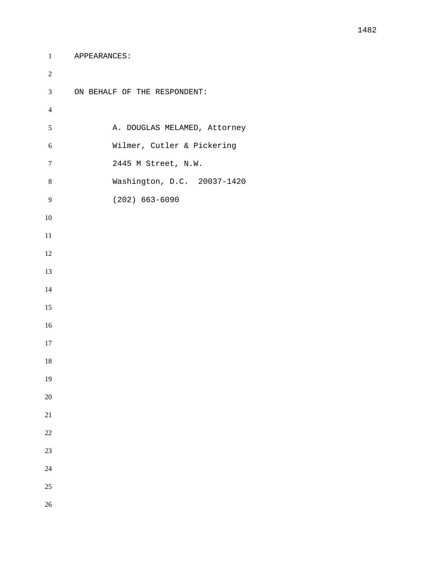```
1 APPEARANCES:
```

```
2 
3 ON BEHALF OF THE RESPONDENT:
4 
5 A. DOUGLAS MELAMED, Attorney
6 Wilmer, Cutler & Pickering
7 2445 M Street, N.W.
8 Washington, D.C. 20037-1420
9 (202) 663-6090
10 
11 
12 
13 
14 
15 
16 
17 
18 
19 
20 
21 
22 
23 
24 
25 
26
```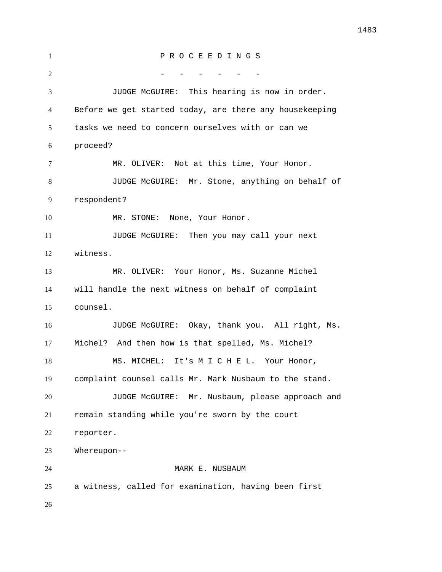P R O C E E D I N G S 2 - - - - - - - JUDGE McGUIRE: This hearing is now in order. Before we get started today, are there any housekeeping tasks we need to concern ourselves with or can we proceed? MR. OLIVER: Not at this time, Your Honor. JUDGE McGUIRE: Mr. Stone, anything on behalf of respondent? 10 MR. STONE: None, Your Honor. JUDGE McGUIRE: Then you may call your next witness. MR. OLIVER: Your Honor, Ms. Suzanne Michel will handle the next witness on behalf of complaint counsel. JUDGE McGUIRE: Okay, thank you. All right, Ms. Michel? And then how is that spelled, Ms. Michel? MS. MICHEL: It's M I C H E L. Your Honor, complaint counsel calls Mr. Mark Nusbaum to the stand. JUDGE McGUIRE: Mr. Nusbaum, please approach and remain standing while you're sworn by the court reporter. Whereupon-- 24 MARK E. NUSBAUM a witness, called for examination, having been first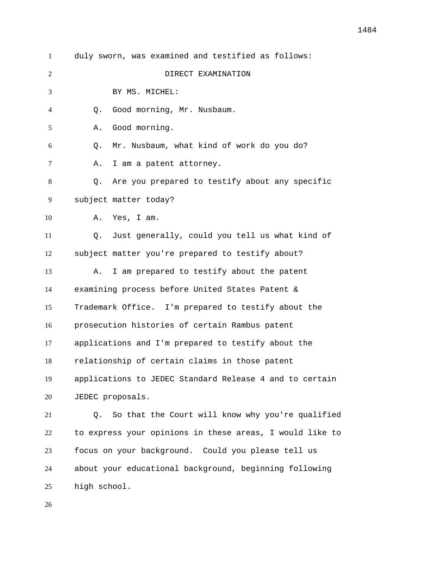| duly sworn, was examined and testified as follows:       |
|----------------------------------------------------------|
| DIRECT EXAMINATION                                       |
| BY MS. MICHEL:                                           |
| Good morning, Mr. Nusbaum.<br>Q.                         |
| Good morning.<br>Α.                                      |
| Mr. Nusbaum, what kind of work do you do?<br>Q.          |
| Α.<br>I am a patent attorney.                            |
| Are you prepared to testify about any specific<br>Q.     |
| subject matter today?                                    |
| Yes, I am.<br>Α.                                         |
| Just generally, could you tell us what kind of<br>Q.     |
| subject matter you're prepared to testify about?         |
| I am prepared to testify about the patent<br>Α.          |
| examining process before United States Patent &          |
| Trademark Office. I'm prepared to testify about the      |
| prosecution histories of certain Rambus patent           |
| applications and I'm prepared to testify about the       |
| relationship of certain claims in those patent           |
| applications to JEDEC Standard Release 4 and to certain  |
| JEDEC proposals.                                         |
| So that the Court will know why you're qualified<br>Q.   |
| to express your opinions in these areas, I would like to |
| focus on your background. Could you please tell us       |
| about your educational background, beginning following   |
|                                                          |

high school.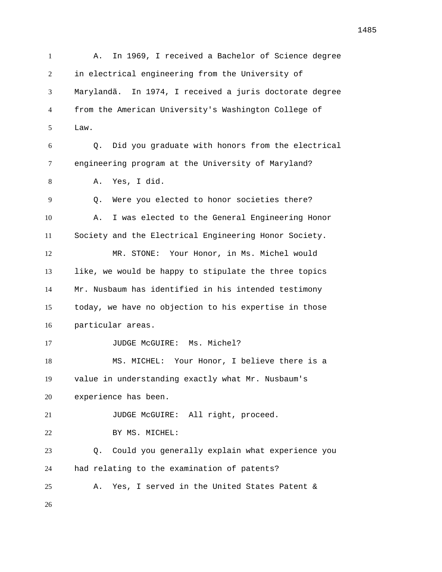A. In 1969, I received a Bachelor of Science degree in electrical engineering from the University of Marylandã. In 1974, I received a juris doctorate degree from the American University's Washington College of Law. Q. Did you graduate with honors from the electrical engineering program at the University of Maryland? A. Yes, I did. Q. Were you elected to honor societies there? A. I was elected to the General Engineering Honor Society and the Electrical Engineering Honor Society. MR. STONE: Your Honor, in Ms. Michel would like, we would be happy to stipulate the three topics Mr. Nusbaum has identified in his intended testimony today, we have no objection to his expertise in those particular areas. 17 JUDGE McGUIRE: Ms. Michel? MS. MICHEL: Your Honor, I believe there is a value in understanding exactly what Mr. Nusbaum's experience has been. 21 JUDGE McGUIRE: All right, proceed. 22 BY MS. MICHEL: Q. Could you generally explain what experience you had relating to the examination of patents? A. Yes, I served in the United States Patent &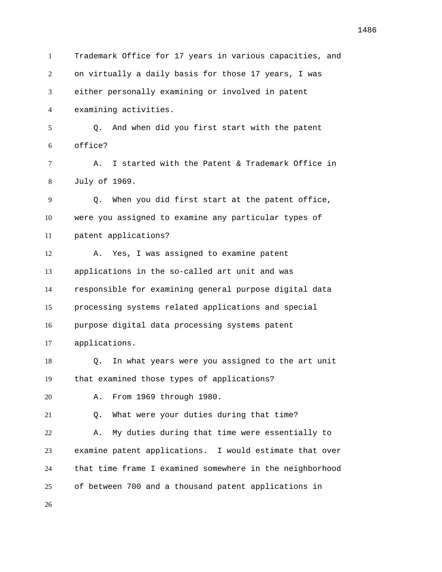Trademark Office for 17 years in various capacities, and on virtually a daily basis for those 17 years, I was either personally examining or involved in patent examining activities. Q. And when did you first start with the patent office? A. I started with the Patent & Trademark Office in July of 1969. Q. When you did first start at the patent office, were you assigned to examine any particular types of patent applications? A. Yes, I was assigned to examine patent applications in the so-called art unit and was responsible for examining general purpose digital data processing systems related applications and special purpose digital data processing systems patent applications. Q. In what years were you assigned to the art unit that examined those types of applications? A. From 1969 through 1980. Q. What were your duties during that time? A. My duties during that time were essentially to examine patent applications. I would estimate that over that time frame I examined somewhere in the neighborhood of between 700 and a thousand patent applications in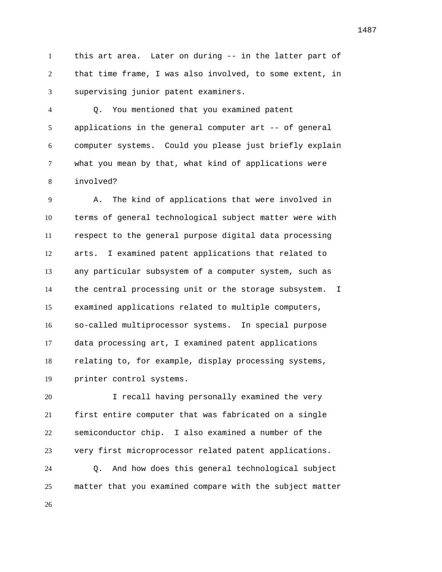this art area. Later on during -- in the latter part of that time frame, I was also involved, to some extent, in supervising junior patent examiners.

 Q. You mentioned that you examined patent applications in the general computer art -- of general computer systems. Could you please just briefly explain what you mean by that, what kind of applications were involved?

 A. The kind of applications that were involved in terms of general technological subject matter were with respect to the general purpose digital data processing arts. I examined patent applications that related to any particular subsystem of a computer system, such as the central processing unit or the storage subsystem. I examined applications related to multiple computers, so-called multiprocessor systems. In special purpose data processing art, I examined patent applications relating to, for example, display processing systems, printer control systems.

 I recall having personally examined the very first entire computer that was fabricated on a single semiconductor chip. I also examined a number of the very first microprocessor related patent applications.

 Q. And how does this general technological subject matter that you examined compare with the subject matter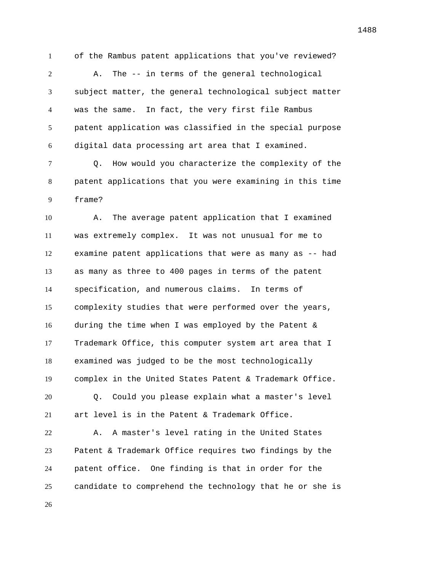of the Rambus patent applications that you've reviewed? A. The -- in terms of the general technological subject matter, the general technological subject matter was the same. In fact, the very first file Rambus patent application was classified in the special purpose digital data processing art area that I examined.

 Q. How would you characterize the complexity of the patent applications that you were examining in this time frame?

 A. The average patent application that I examined was extremely complex. It was not unusual for me to examine patent applications that were as many as -- had as many as three to 400 pages in terms of the patent specification, and numerous claims. In terms of complexity studies that were performed over the years, during the time when I was employed by the Patent & Trademark Office, this computer system art area that I examined was judged to be the most technologically complex in the United States Patent & Trademark Office. Q. Could you please explain what a master's level art level is in the Patent & Trademark Office. A. A master's level rating in the United States

 Patent & Trademark Office requires two findings by the patent office. One finding is that in order for the candidate to comprehend the technology that he or she is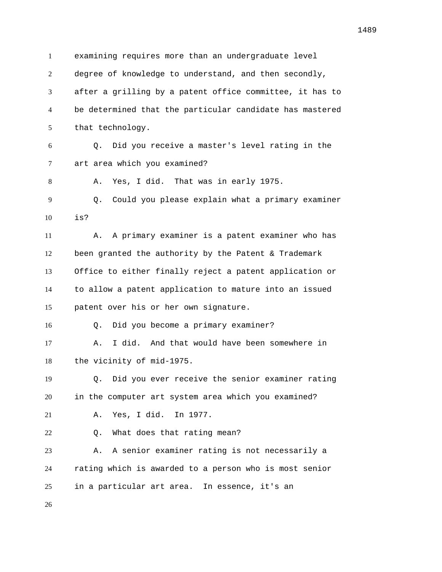examining requires more than an undergraduate level degree of knowledge to understand, and then secondly, after a grilling by a patent office committee, it has to be determined that the particular candidate has mastered that technology. Q. Did you receive a master's level rating in the art area which you examined? A. Yes, I did. That was in early 1975. Q. Could you please explain what a primary examiner is? A. A primary examiner is a patent examiner who has been granted the authority by the Patent & Trademark Office to either finally reject a patent application or to allow a patent application to mature into an issued patent over his or her own signature. Q. Did you become a primary examiner? A. I did. And that would have been somewhere in the vicinity of mid-1975. Q. Did you ever receive the senior examiner rating in the computer art system area which you examined? A. Yes, I did. In 1977. Q. What does that rating mean? A. A senior examiner rating is not necessarily a rating which is awarded to a person who is most senior in a particular art area. In essence, it's an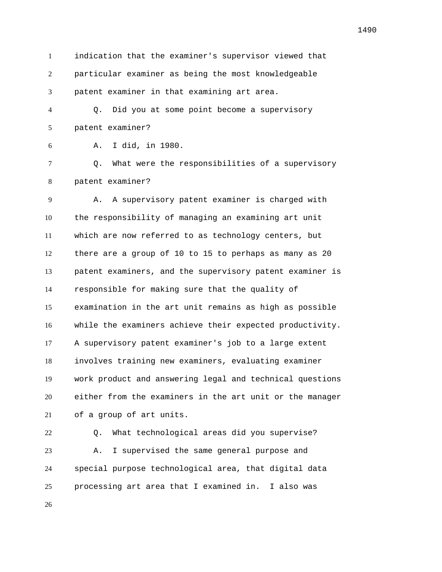indication that the examiner's supervisor viewed that particular examiner as being the most knowledgeable patent examiner in that examining art area.

 Q. Did you at some point become a supervisory patent examiner?

A. I did, in 1980.

 Q. What were the responsibilities of a supervisory patent examiner?

 A. A supervisory patent examiner is charged with the responsibility of managing an examining art unit which are now referred to as technology centers, but there are a group of 10 to 15 to perhaps as many as 20 patent examiners, and the supervisory patent examiner is responsible for making sure that the quality of examination in the art unit remains as high as possible while the examiners achieve their expected productivity. A supervisory patent examiner's job to a large extent involves training new examiners, evaluating examiner work product and answering legal and technical questions either from the examiners in the art unit or the manager of a group of art units.

 Q. What technological areas did you supervise? A. I supervised the same general purpose and special purpose technological area, that digital data processing art area that I examined in. I also was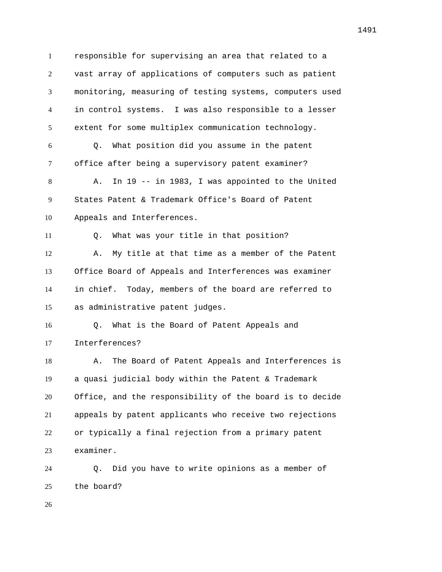responsible for supervising an area that related to a vast array of applications of computers such as patient monitoring, measuring of testing systems, computers used in control systems. I was also responsible to a lesser extent for some multiplex communication technology. Q. What position did you assume in the patent office after being a supervisory patent examiner? A. In 19 -- in 1983, I was appointed to the United States Patent & Trademark Office's Board of Patent Appeals and Interferences. Q. What was your title in that position? A. My title at that time as a member of the Patent Office Board of Appeals and Interferences was examiner in chief. Today, members of the board are referred to as administrative patent judges. Q. What is the Board of Patent Appeals and Interferences? 18 A. The Board of Patent Appeals and Interferences is a quasi judicial body within the Patent & Trademark Office, and the responsibility of the board is to decide appeals by patent applicants who receive two rejections or typically a final rejection from a primary patent examiner.

 Q. Did you have to write opinions as a member of the board?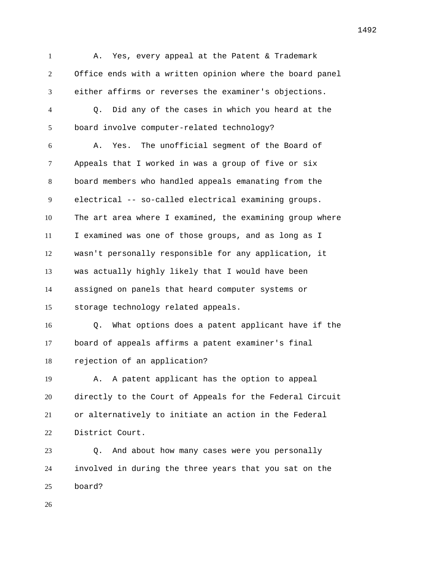1 A. Yes, every appeal at the Patent & Trademark Office ends with a written opinion where the board panel either affirms or reverses the examiner's objections. Q. Did any of the cases in which you heard at the board involve computer-related technology? A. Yes. The unofficial segment of the Board of Appeals that I worked in was a group of five or six board members who handled appeals emanating from the electrical -- so-called electrical examining groups. The art area where I examined, the examining group where I examined was one of those groups, and as long as I wasn't personally responsible for any application, it was actually highly likely that I would have been assigned on panels that heard computer systems or storage technology related appeals. Q. What options does a patent applicant have if the board of appeals affirms a patent examiner's final rejection of an application? A. A patent applicant has the option to appeal directly to the Court of Appeals for the Federal Circuit or alternatively to initiate an action in the Federal District Court. Q. And about how many cases were you personally involved in during the three years that you sat on the board?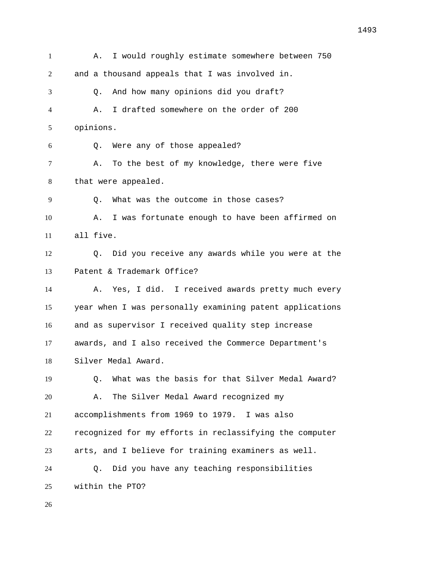A. I would roughly estimate somewhere between 750 and a thousand appeals that I was involved in. Q. And how many opinions did you draft? A. I drafted somewhere on the order of 200 opinions. Q. Were any of those appealed? A. To the best of my knowledge, there were five that were appealed. Q. What was the outcome in those cases? A. I was fortunate enough to have been affirmed on all five. Q. Did you receive any awards while you were at the Patent & Trademark Office? A. Yes, I did. I received awards pretty much every year when I was personally examining patent applications and as supervisor I received quality step increase awards, and I also received the Commerce Department's Silver Medal Award. Q. What was the basis for that Silver Medal Award? A. The Silver Medal Award recognized my accomplishments from 1969 to 1979. I was also recognized for my efforts in reclassifying the computer arts, and I believe for training examiners as well. Q. Did you have any teaching responsibilities within the PTO?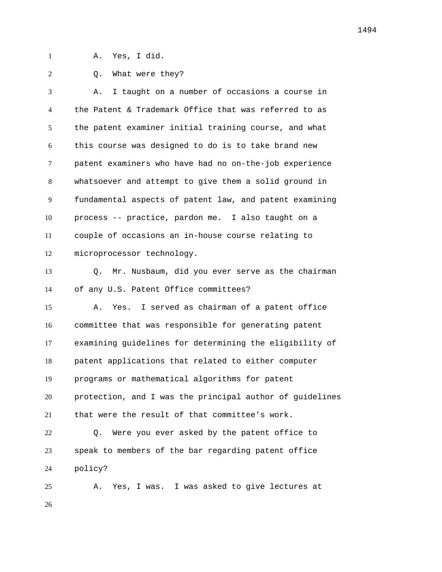A. Yes, I did.

2 0. What were they?

 A. I taught on a number of occasions a course in the Patent & Trademark Office that was referred to as the patent examiner initial training course, and what this course was designed to do is to take brand new patent examiners who have had no on-the-job experience whatsoever and attempt to give them a solid ground in fundamental aspects of patent law, and patent examining process -- practice, pardon me. I also taught on a couple of occasions an in-house course relating to microprocessor technology.

 Q. Mr. Nusbaum, did you ever serve as the chairman of any U.S. Patent Office committees?

 A. Yes. I served as chairman of a patent office committee that was responsible for generating patent examining guidelines for determining the eligibility of patent applications that related to either computer programs or mathematical algorithms for patent protection, and I was the principal author of guidelines that were the result of that committee's work.

 Q. Were you ever asked by the patent office to speak to members of the bar regarding patent office policy?

 A. Yes, I was. I was asked to give lectures at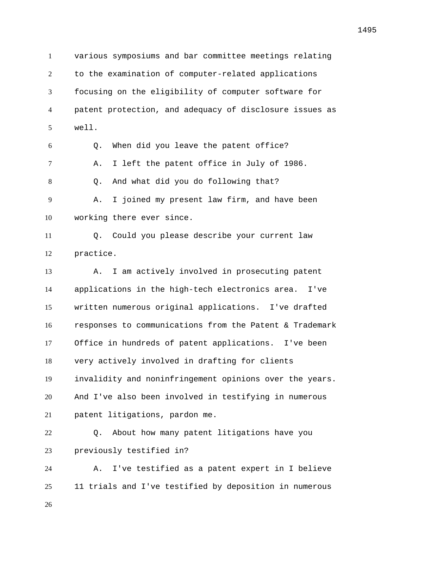various symposiums and bar committee meetings relating to the examination of computer-related applications focusing on the eligibility of computer software for patent protection, and adequacy of disclosure issues as well. Q. When did you leave the patent office? A. I left the patent office in July of 1986. Q. And what did you do following that? A. I joined my present law firm, and have been working there ever since. Q. Could you please describe your current law practice. A. I am actively involved in prosecuting patent applications in the high-tech electronics area. I've written numerous original applications. I've drafted responses to communications from the Patent & Trademark Office in hundreds of patent applications. I've been very actively involved in drafting for clients invalidity and noninfringement opinions over the years. And I've also been involved in testifying in numerous patent litigations, pardon me. Q. About how many patent litigations have you previously testified in? A. I've testified as a patent expert in I believe 11 trials and I've testified by deposition in numerous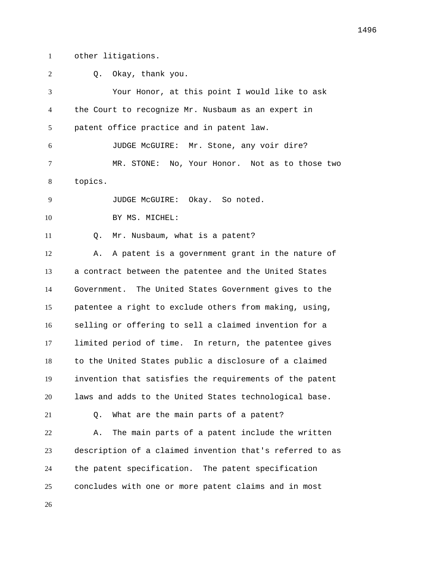other litigations.

| 2  | Okay, thank you.<br>0.                                   |
|----|----------------------------------------------------------|
| 3  | Your Honor, at this point I would like to ask            |
| 4  | the Court to recognize Mr. Nusbaum as an expert in       |
| 5  | patent office practice and in patent law.                |
| 6  | JUDGE McGUIRE: Mr. Stone, any voir dire?                 |
| 7  | MR. STONE: No, Your Honor. Not as to those two           |
| 8  | topics.                                                  |
| 9  | JUDGE McGUIRE: Okay. So noted.                           |
| 10 | BY MS. MICHEL:                                           |
| 11 | Mr. Nusbaum, what is a patent?<br>Q.                     |
| 12 | A patent is a government grant in the nature of<br>Α.    |
| 13 | a contract between the patentee and the United States    |
| 14 | Government. The United States Government gives to the    |
| 15 | patentee a right to exclude others from making, using,   |
| 16 | selling or offering to sell a claimed invention for a    |
| 17 | limited period of time. In return, the patentee gives    |
| 18 | to the United States public a disclosure of a claimed    |
| 19 | invention that satisfies the requirements of the patent  |
| 20 | laws and adds to the United States technological base.   |
| 21 | What are the main parts of a patent?<br>Q.               |
| 22 | The main parts of a patent include the written<br>Α.     |
| 23 | description of a claimed invention that's referred to as |
| 24 | the patent specification. The patent specification       |
| 25 | concludes with one or more patent claims and in most     |
| 26 |                                                          |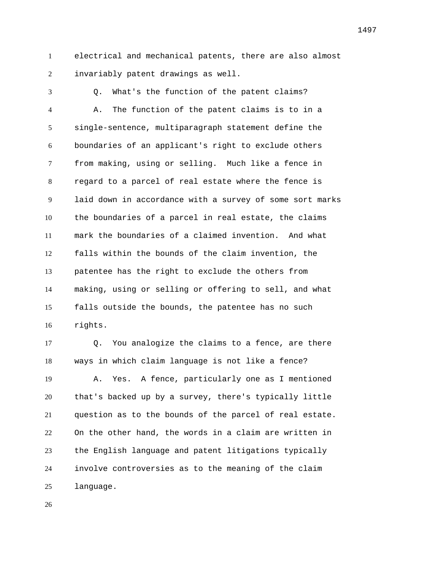electrical and mechanical patents, there are also almost invariably patent drawings as well.

 Q. What's the function of the patent claims? A. The function of the patent claims is to in a single-sentence, multiparagraph statement define the boundaries of an applicant's right to exclude others from making, using or selling. Much like a fence in regard to a parcel of real estate where the fence is laid down in accordance with a survey of some sort marks the boundaries of a parcel in real estate, the claims mark the boundaries of a claimed invention. And what falls within the bounds of the claim invention, the patentee has the right to exclude the others from making, using or selling or offering to sell, and what falls outside the bounds, the patentee has no such rights.

 Q. You analogize the claims to a fence, are there ways in which claim language is not like a fence? A. Yes. A fence, particularly one as I mentioned that's backed up by a survey, there's typically little question as to the bounds of the parcel of real estate. On the other hand, the words in a claim are written in the English language and patent litigations typically involve controversies as to the meaning of the claim language.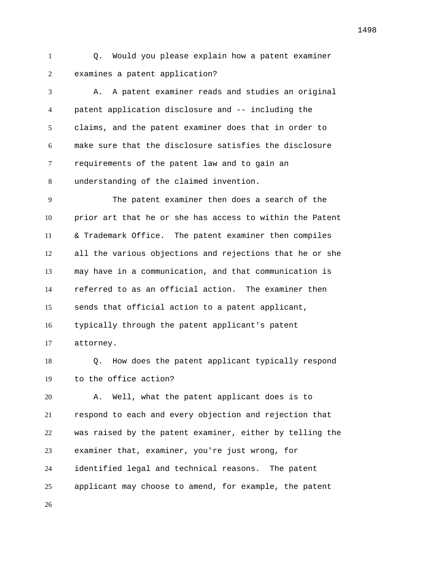Q. Would you please explain how a patent examiner examines a patent application?

 A. A patent examiner reads and studies an original patent application disclosure and -- including the claims, and the patent examiner does that in order to make sure that the disclosure satisfies the disclosure requirements of the patent law and to gain an understanding of the claimed invention.

 The patent examiner then does a search of the prior art that he or she has access to within the Patent & Trademark Office. The patent examiner then compiles all the various objections and rejections that he or she may have in a communication, and that communication is referred to as an official action. The examiner then sends that official action to a patent applicant, typically through the patent applicant's patent attorney.

 Q. How does the patent applicant typically respond to the office action?

 A. Well, what the patent applicant does is to respond to each and every objection and rejection that was raised by the patent examiner, either by telling the examiner that, examiner, you're just wrong, for identified legal and technical reasons. The patent applicant may choose to amend, for example, the patent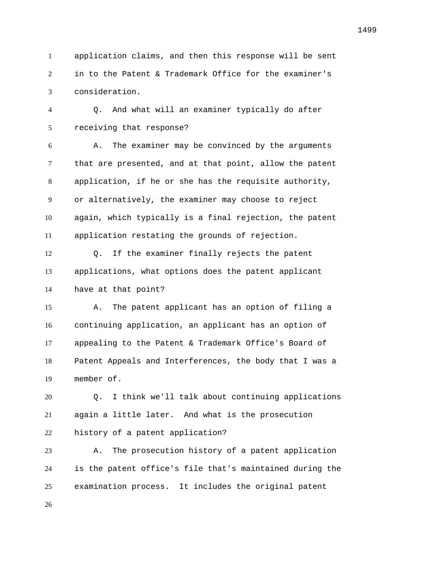application claims, and then this response will be sent in to the Patent & Trademark Office for the examiner's consideration.

 Q. And what will an examiner typically do after receiving that response?

 A. The examiner may be convinced by the arguments that are presented, and at that point, allow the patent application, if he or she has the requisite authority, or alternatively, the examiner may choose to reject again, which typically is a final rejection, the patent application restating the grounds of rejection.

 Q. If the examiner finally rejects the patent applications, what options does the patent applicant have at that point?

 A. The patent applicant has an option of filing a continuing application, an applicant has an option of appealing to the Patent & Trademark Office's Board of Patent Appeals and Interferences, the body that I was a member of.

 Q. I think we'll talk about continuing applications again a little later. And what is the prosecution history of a patent application?

 A. The prosecution history of a patent application is the patent office's file that's maintained during the examination process. It includes the original patent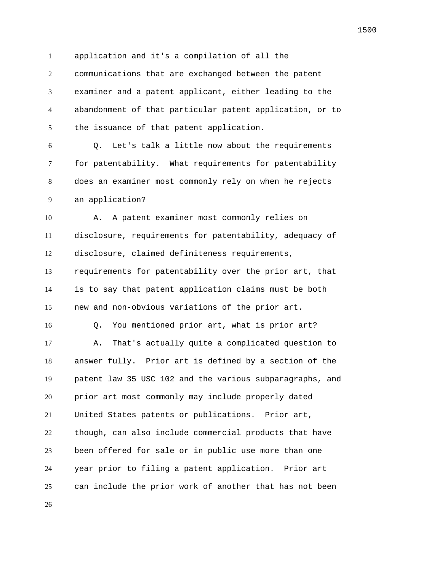application and it's a compilation of all the

 communications that are exchanged between the patent examiner and a patent applicant, either leading to the abandonment of that particular patent application, or to the issuance of that patent application.

 Q. Let's talk a little now about the requirements for patentability. What requirements for patentability does an examiner most commonly rely on when he rejects an application?

 A. A patent examiner most commonly relies on disclosure, requirements for patentability, adequacy of disclosure, claimed definiteness requirements, requirements for patentability over the prior art, that is to say that patent application claims must be both new and non-obvious variations of the prior art. Q. You mentioned prior art, what is prior art? A. That's actually quite a complicated question to answer fully. Prior art is defined by a section of the patent law 35 USC 102 and the various subparagraphs, and prior art most commonly may include properly dated

 United States patents or publications. Prior art, though, can also include commercial products that have been offered for sale or in public use more than one year prior to filing a patent application. Prior art can include the prior work of another that has not been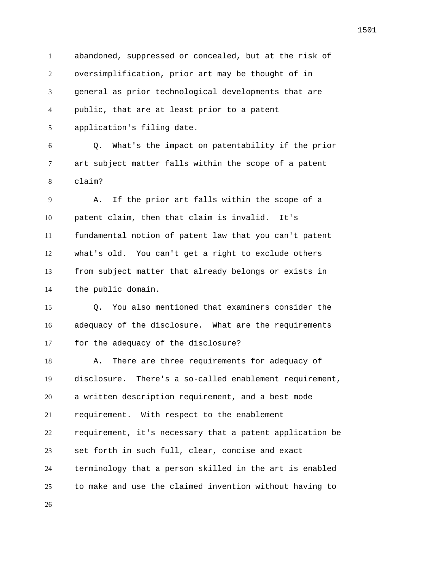abandoned, suppressed or concealed, but at the risk of oversimplification, prior art may be thought of in general as prior technological developments that are public, that are at least prior to a patent application's filing date.

 Q. What's the impact on patentability if the prior art subject matter falls within the scope of a patent claim?

 A. If the prior art falls within the scope of a patent claim, then that claim is invalid. It's fundamental notion of patent law that you can't patent what's old. You can't get a right to exclude others from subject matter that already belongs or exists in the public domain.

 Q. You also mentioned that examiners consider the adequacy of the disclosure. What are the requirements for the adequacy of the disclosure?

18 A. There are three requirements for adequacy of disclosure. There's a so-called enablement requirement, a written description requirement, and a best mode requirement. With respect to the enablement requirement, it's necessary that a patent application be set forth in such full, clear, concise and exact terminology that a person skilled in the art is enabled to make and use the claimed invention without having to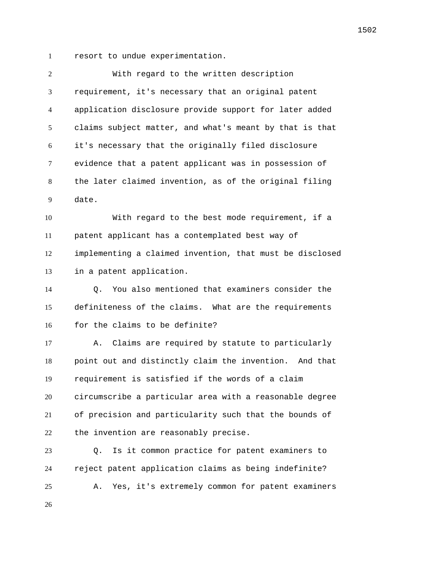resort to undue experimentation.

| $\overline{c}$ | With regard to the written description                      |
|----------------|-------------------------------------------------------------|
| 3              | requirement, it's necessary that an original patent         |
| 4              | application disclosure provide support for later added      |
| 5              | claims subject matter, and what's meant by that is that     |
| 6              | it's necessary that the originally filed disclosure         |
| 7              | evidence that a patent applicant was in possession of       |
| 8              | the later claimed invention, as of the original filing      |
| 9              | date.                                                       |
| 10             | With regard to the best mode requirement, if a              |
| 11             | patent applicant has a contemplated best way of             |
| 12             | implementing a claimed invention, that must be disclosed    |
| 13             | in a patent application.                                    |
| 14             | You also mentioned that examiners consider the<br>$\circ$ . |
| 15             | definiteness of the claims. What are the requirements       |
| 16             | for the claims to be definite?                              |
| 17             | Claims are required by statute to particularly<br>Α.        |
| 18             | point out and distinctly claim the invention. And that      |
| 19             | requirement is satisfied if the words of a claim            |
| 20             | circumscribe a particular area with a reasonable degree     |
| 21             | of precision and particularity such that the bounds of      |
| 22             | the invention are reasonably precise.                       |
| 23             | Is it common practice for patent examiners to<br>Q.         |
| 24             | reject patent application claims as being indefinite?       |
| 25             | Yes, it's extremely common for patent examiners<br>Α.       |
|                |                                                             |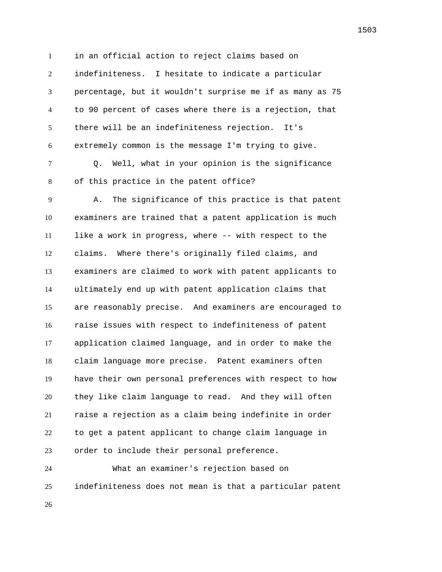in an official action to reject claims based on indefiniteness. I hesitate to indicate a particular percentage, but it wouldn't surprise me if as many as 75 to 90 percent of cases where there is a rejection, that there will be an indefiniteness rejection. It's extremely common is the message I'm trying to give.

 Q. Well, what in your opinion is the significance of this practice in the patent office?

 A. The significance of this practice is that patent examiners are trained that a patent application is much like a work in progress, where -- with respect to the claims. Where there's originally filed claims, and examiners are claimed to work with patent applicants to ultimately end up with patent application claims that are reasonably precise. And examiners are encouraged to raise issues with respect to indefiniteness of patent application claimed language, and in order to make the claim language more precise. Patent examiners often have their own personal preferences with respect to how they like claim language to read. And they will often raise a rejection as a claim being indefinite in order to get a patent applicant to change claim language in order to include their personal preference.

 What an examiner's rejection based on indefiniteness does not mean is that a particular patent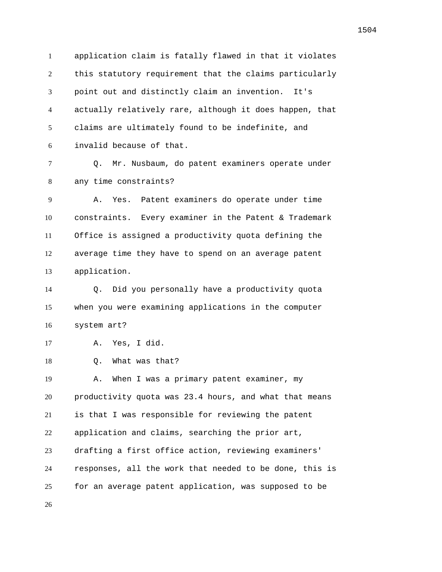application claim is fatally flawed in that it violates this statutory requirement that the claims particularly point out and distinctly claim an invention. It's actually relatively rare, although it does happen, that claims are ultimately found to be indefinite, and invalid because of that.

 Q. Mr. Nusbaum, do patent examiners operate under any time constraints?

 A. Yes. Patent examiners do operate under time constraints. Every examiner in the Patent & Trademark Office is assigned a productivity quota defining the average time they have to spend on an average patent application.

 Q. Did you personally have a productivity quota when you were examining applications in the computer system art?

A. Yes, I did.

Q. What was that?

 A. When I was a primary patent examiner, my productivity quota was 23.4 hours, and what that means is that I was responsible for reviewing the patent application and claims, searching the prior art, drafting a first office action, reviewing examiners' responses, all the work that needed to be done, this is for an average patent application, was supposed to be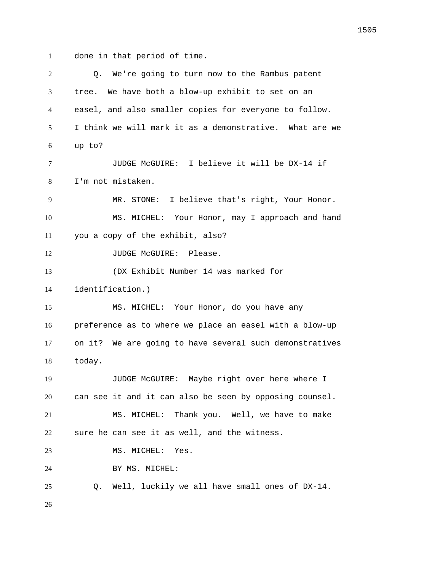done in that period of time.

 Q. We're going to turn now to the Rambus patent tree. We have both a blow-up exhibit to set on an easel, and also smaller copies for everyone to follow. I think we will mark it as a demonstrative. What are we up to? JUDGE McGUIRE: I believe it will be DX-14 if I'm not mistaken. MR. STONE: I believe that's right, Your Honor. MS. MICHEL: Your Honor, may I approach and hand you a copy of the exhibit, also? 12 JUDGE McGUIRE: Please. (DX Exhibit Number 14 was marked for identification.) MS. MICHEL: Your Honor, do you have any preference as to where we place an easel with a blow-up on it? We are going to have several such demonstratives today. JUDGE McGUIRE: Maybe right over here where I can see it and it can also be seen by opposing counsel. MS. MICHEL: Thank you. Well, we have to make sure he can see it as well, and the witness. 23 MS. MICHEL: Yes. BY MS. MICHEL: Q. Well, luckily we all have small ones of DX-14.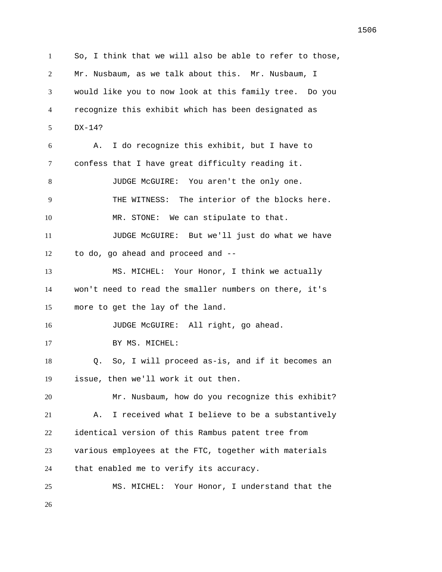So, I think that we will also be able to refer to those, Mr. Nusbaum, as we talk about this. Mr. Nusbaum, I would like you to now look at this family tree. Do you recognize this exhibit which has been designated as DX-14? A. I do recognize this exhibit, but I have to confess that I have great difficulty reading it. JUDGE McGUIRE: You aren't the only one. THE WITNESS: The interior of the blocks here. MR. STONE: We can stipulate to that. JUDGE McGUIRE: But we'll just do what we have to do, go ahead and proceed and -- MS. MICHEL: Your Honor, I think we actually won't need to read the smaller numbers on there, it's more to get the lay of the land. 16 JUDGE McGUIRE: All right, go ahead. 17 BY MS. MICHEL: Q. So, I will proceed as-is, and if it becomes an issue, then we'll work it out then. Mr. Nusbaum, how do you recognize this exhibit? A. I received what I believe to be a substantively identical version of this Rambus patent tree from various employees at the FTC, together with materials that enabled me to verify its accuracy. MS. MICHEL: Your Honor, I understand that the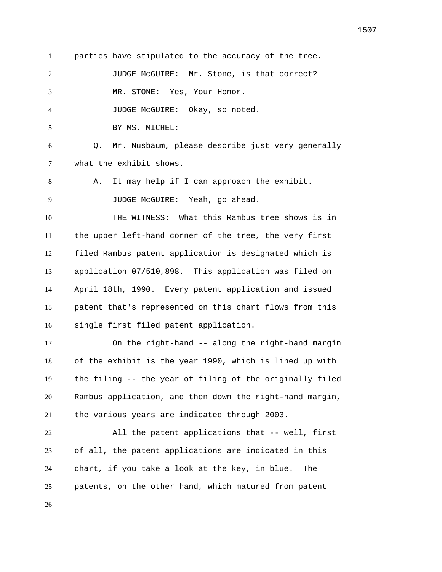parties have stipulated to the accuracy of the tree.

JUDGE McGUIRE: Mr. Stone, is that correct?

MR. STONE: Yes, Your Honor.

JUDGE McGUIRE: Okay, so noted.

BY MS. MICHEL:

 Q. Mr. Nusbaum, please describe just very generally what the exhibit shows.

A. It may help if I can approach the exhibit.

JUDGE McGUIRE: Yeah, go ahead.

 THE WITNESS: What this Rambus tree shows is in the upper left-hand corner of the tree, the very first filed Rambus patent application is designated which is application 07/510,898. This application was filed on April 18th, 1990. Every patent application and issued patent that's represented on this chart flows from this single first filed patent application.

17 On the right-hand -- along the right-hand margin of the exhibit is the year 1990, which is lined up with the filing -- the year of filing of the originally filed Rambus application, and then down the right-hand margin, the various years are indicated through 2003.

 All the patent applications that -- well, first of all, the patent applications are indicated in this chart, if you take a look at the key, in blue. The patents, on the other hand, which matured from patent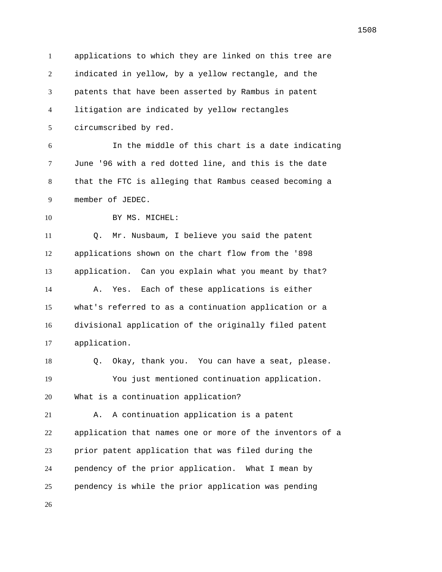applications to which they are linked on this tree are indicated in yellow, by a yellow rectangle, and the patents that have been asserted by Rambus in patent litigation are indicated by yellow rectangles circumscribed by red. In the middle of this chart is a date indicating June '96 with a red dotted line, and this is the date that the FTC is alleging that Rambus ceased becoming a member of JEDEC. 10 BY MS. MICHEL: Q. Mr. Nusbaum, I believe you said the patent applications shown on the chart flow from the '898 application. Can you explain what you meant by that? A. Yes. Each of these applications is either what's referred to as a continuation application or a divisional application of the originally filed patent application. Q. Okay, thank you. You can have a seat, please. You just mentioned continuation application. What is a continuation application? A. A continuation application is a patent application that names one or more of the inventors of a prior patent application that was filed during the pendency of the prior application. What I mean by pendency is while the prior application was pending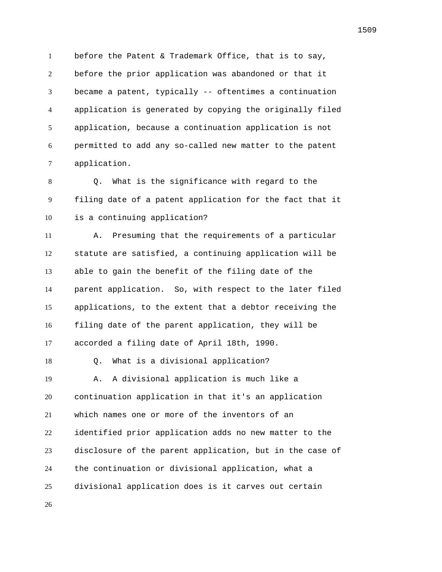before the Patent & Trademark Office, that is to say, before the prior application was abandoned or that it became a patent, typically -- oftentimes a continuation application is generated by copying the originally filed application, because a continuation application is not permitted to add any so-called new matter to the patent application.

 Q. What is the significance with regard to the filing date of a patent application for the fact that it is a continuing application?

 A. Presuming that the requirements of a particular statute are satisfied, a continuing application will be able to gain the benefit of the filing date of the parent application. So, with respect to the later filed applications, to the extent that a debtor receiving the filing date of the parent application, they will be accorded a filing date of April 18th, 1990.

Q. What is a divisional application?

 A. A divisional application is much like a continuation application in that it's an application which names one or more of the inventors of an identified prior application adds no new matter to the disclosure of the parent application, but in the case of the continuation or divisional application, what a divisional application does is it carves out certain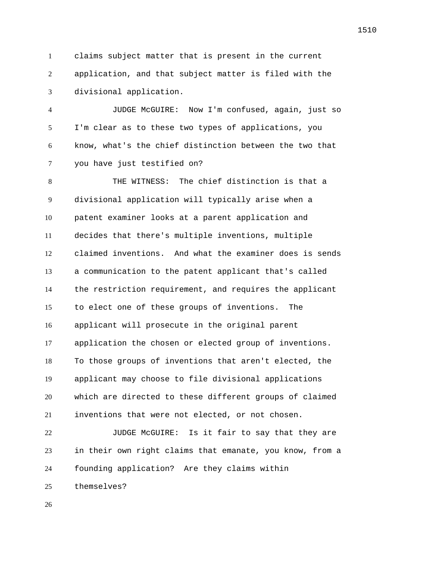claims subject matter that is present in the current application, and that subject matter is filed with the divisional application.

 JUDGE McGUIRE: Now I'm confused, again, just so I'm clear as to these two types of applications, you know, what's the chief distinction between the two that you have just testified on?

 THE WITNESS: The chief distinction is that a divisional application will typically arise when a patent examiner looks at a parent application and decides that there's multiple inventions, multiple claimed inventions. And what the examiner does is sends a communication to the patent applicant that's called the restriction requirement, and requires the applicant to elect one of these groups of inventions. The applicant will prosecute in the original parent application the chosen or elected group of inventions. To those groups of inventions that aren't elected, the applicant may choose to file divisional applications which are directed to these different groups of claimed inventions that were not elected, or not chosen.

 JUDGE McGUIRE: Is it fair to say that they are in their own right claims that emanate, you know, from a founding application? Are they claims within themselves?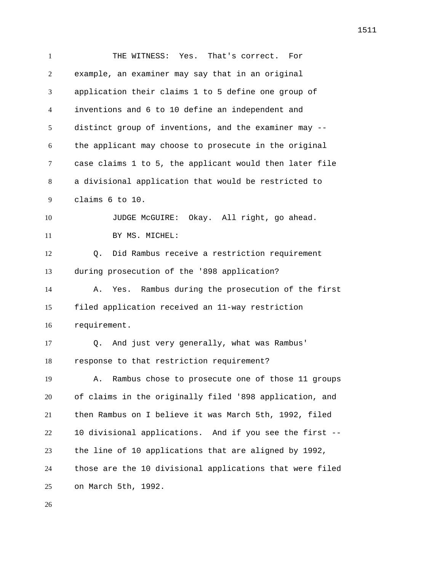THE WITNESS: Yes. That's correct. For example, an examiner may say that in an original application their claims 1 to 5 define one group of inventions and 6 to 10 define an independent and distinct group of inventions, and the examiner may -- the applicant may choose to prosecute in the original case claims 1 to 5, the applicant would then later file a divisional application that would be restricted to claims 6 to 10. JUDGE McGUIRE: Okay. All right, go ahead. 11 BY MS. MICHEL: Q. Did Rambus receive a restriction requirement during prosecution of the '898 application? A. Yes. Rambus during the prosecution of the first filed application received an 11-way restriction requirement. Q. And just very generally, what was Rambus' response to that restriction requirement? A. Rambus chose to prosecute one of those 11 groups of claims in the originally filed '898 application, and then Rambus on I believe it was March 5th, 1992, filed 10 divisional applications. And if you see the first -- the line of 10 applications that are aligned by 1992, those are the 10 divisional applications that were filed on March 5th, 1992.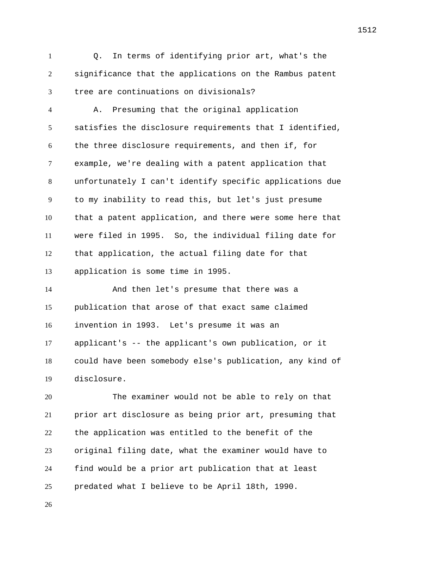Q. In terms of identifying prior art, what's the significance that the applications on the Rambus patent tree are continuations on divisionals?

 A. Presuming that the original application satisfies the disclosure requirements that I identified, the three disclosure requirements, and then if, for example, we're dealing with a patent application that unfortunately I can't identify specific applications due to my inability to read this, but let's just presume that a patent application, and there were some here that were filed in 1995. So, the individual filing date for that application, the actual filing date for that application is some time in 1995.

 And then let's presume that there was a publication that arose of that exact same claimed invention in 1993. Let's presume it was an applicant's -- the applicant's own publication, or it could have been somebody else's publication, any kind of disclosure.

 The examiner would not be able to rely on that prior art disclosure as being prior art, presuming that the application was entitled to the benefit of the original filing date, what the examiner would have to find would be a prior art publication that at least predated what I believe to be April 18th, 1990.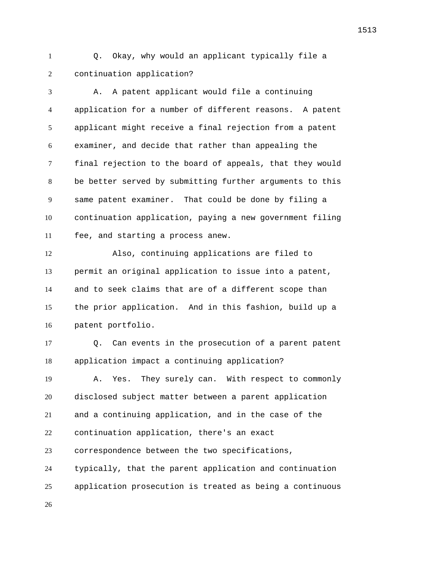Q. Okay, why would an applicant typically file a continuation application?

 A. A patent applicant would file a continuing application for a number of different reasons. A patent applicant might receive a final rejection from a patent examiner, and decide that rather than appealing the final rejection to the board of appeals, that they would be better served by submitting further arguments to this same patent examiner. That could be done by filing a continuation application, paying a new government filing fee, and starting a process anew. Also, continuing applications are filed to permit an original application to issue into a patent, and to seek claims that are of a different scope than the prior application. And in this fashion, build up a patent portfolio. Q. Can events in the prosecution of a parent patent application impact a continuing application? A. Yes. They surely can. With respect to commonly disclosed subject matter between a parent application and a continuing application, and in the case of the continuation application, there's an exact correspondence between the two specifications, typically, that the parent application and continuation

application prosecution is treated as being a continuous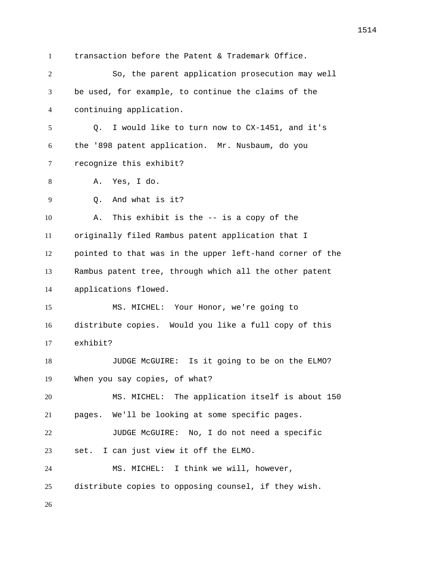transaction before the Patent & Trademark Office. So, the parent application prosecution may well be used, for example, to continue the claims of the continuing application. Q. I would like to turn now to CX-1451, and it's the '898 patent application. Mr. Nusbaum, do you recognize this exhibit? A. Yes, I do. Q. And what is it? A. This exhibit is the -- is a copy of the originally filed Rambus patent application that I pointed to that was in the upper left-hand corner of the Rambus patent tree, through which all the other patent applications flowed. MS. MICHEL: Your Honor, we're going to distribute copies. Would you like a full copy of this exhibit? 18 JUDGE McGUIRE: Is it going to be on the ELMO? When you say copies, of what? MS. MICHEL: The application itself is about 150 pages. We'll be looking at some specific pages. JUDGE McGUIRE: No, I do not need a specific set. I can just view it off the ELMO. MS. MICHEL: I think we will, however, distribute copies to opposing counsel, if they wish.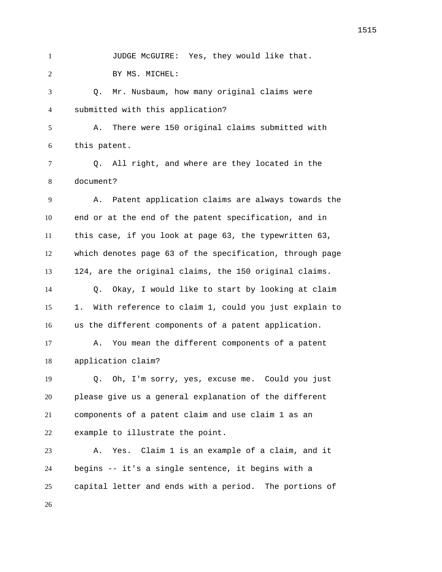1 JUDGE McGUIRE: Yes, they would like that. BY MS. MICHEL: Q. Mr. Nusbaum, how many original claims were submitted with this application? A. There were 150 original claims submitted with this patent. Q. All right, and where are they located in the document? A. Patent application claims are always towards the end or at the end of the patent specification, and in this case, if you look at page 63, the typewritten 63, which denotes page 63 of the specification, through page 124, are the original claims, the 150 original claims. Q. Okay, I would like to start by looking at claim 1. With reference to claim 1, could you just explain to us the different components of a patent application. A. You mean the different components of a patent application claim? Q. Oh, I'm sorry, yes, excuse me. Could you just please give us a general explanation of the different components of a patent claim and use claim 1 as an example to illustrate the point. A. Yes. Claim 1 is an example of a claim, and it begins -- it's a single sentence, it begins with a capital letter and ends with a period. The portions of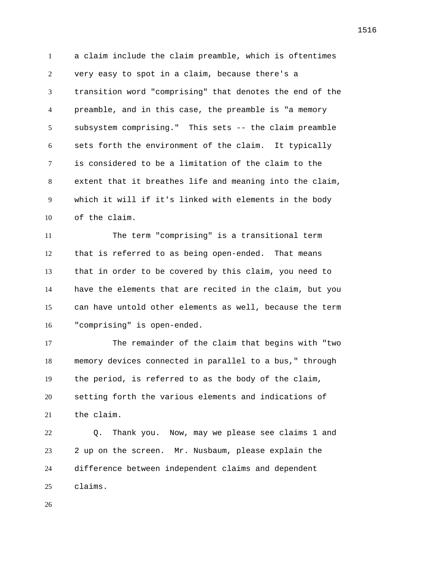a claim include the claim preamble, which is oftentimes very easy to spot in a claim, because there's a transition word "comprising" that denotes the end of the preamble, and in this case, the preamble is "a memory subsystem comprising." This sets -- the claim preamble sets forth the environment of the claim. It typically is considered to be a limitation of the claim to the extent that it breathes life and meaning into the claim, which it will if it's linked with elements in the body of the claim.

 The term "comprising" is a transitional term that is referred to as being open-ended. That means that in order to be covered by this claim, you need to have the elements that are recited in the claim, but you can have untold other elements as well, because the term "comprising" is open-ended.

 The remainder of the claim that begins with "two memory devices connected in parallel to a bus," through the period, is referred to as the body of the claim, setting forth the various elements and indications of the claim.

 Q. Thank you. Now, may we please see claims 1 and 2 up on the screen. Mr. Nusbaum, please explain the difference between independent claims and dependent claims.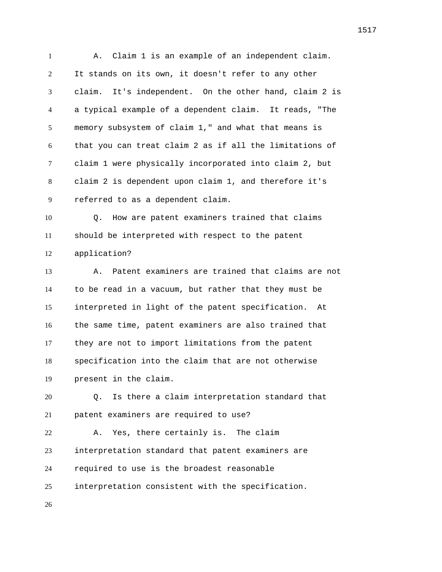1 A. Claim 1 is an example of an independent claim. It stands on its own, it doesn't refer to any other claim. It's independent. On the other hand, claim 2 is a typical example of a dependent claim. It reads, "The memory subsystem of claim 1," and what that means is that you can treat claim 2 as if all the limitations of claim 1 were physically incorporated into claim 2, but claim 2 is dependent upon claim 1, and therefore it's referred to as a dependent claim.

 Q. How are patent examiners trained that claims should be interpreted with respect to the patent application?

 A. Patent examiners are trained that claims are not to be read in a vacuum, but rather that they must be interpreted in light of the patent specification. At the same time, patent examiners are also trained that they are not to import limitations from the patent specification into the claim that are not otherwise present in the claim.

 Q. Is there a claim interpretation standard that patent examiners are required to use?

 A. Yes, there certainly is. The claim interpretation standard that patent examiners are required to use is the broadest reasonable interpretation consistent with the specification.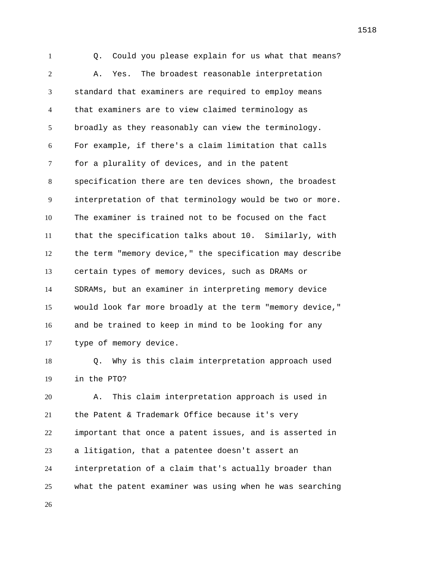Q. Could you please explain for us what that means? A. Yes. The broadest reasonable interpretation standard that examiners are required to employ means that examiners are to view claimed terminology as broadly as they reasonably can view the terminology. For example, if there's a claim limitation that calls for a plurality of devices, and in the patent specification there are ten devices shown, the broadest interpretation of that terminology would be two or more. The examiner is trained not to be focused on the fact that the specification talks about 10. Similarly, with the term "memory device," the specification may describe certain types of memory devices, such as DRAMs or SDRAMs, but an examiner in interpreting memory device would look far more broadly at the term "memory device," and be trained to keep in mind to be looking for any type of memory device.

 Q. Why is this claim interpretation approach used in the PTO?

 A. This claim interpretation approach is used in the Patent & Trademark Office because it's very important that once a patent issues, and is asserted in a litigation, that a patentee doesn't assert an interpretation of a claim that's actually broader than what the patent examiner was using when he was searching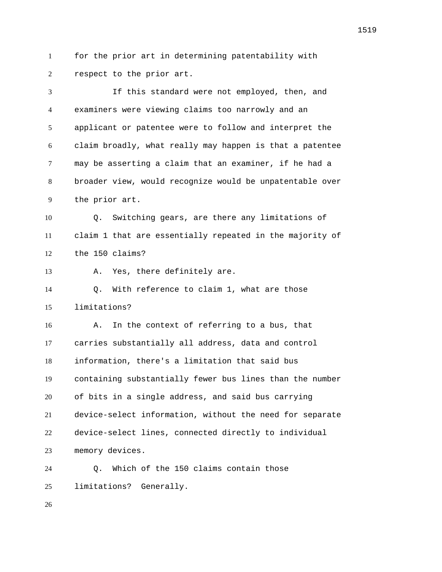for the prior art in determining patentability with respect to the prior art.

 If this standard were not employed, then, and examiners were viewing claims too narrowly and an applicant or patentee were to follow and interpret the claim broadly, what really may happen is that a patentee may be asserting a claim that an examiner, if he had a broader view, would recognize would be unpatentable over the prior art. Q. Switching gears, are there any limitations of claim 1 that are essentially repeated in the majority of the 150 claims? A. Yes, there definitely are. Q. With reference to claim 1, what are those limitations? A. In the context of referring to a bus, that carries substantially all address, data and control information, there's a limitation that said bus containing substantially fewer bus lines than the number of bits in a single address, and said bus carrying device-select information, without the need for separate device-select lines, connected directly to individual memory devices. Q. Which of the 150 claims contain those limitations? Generally.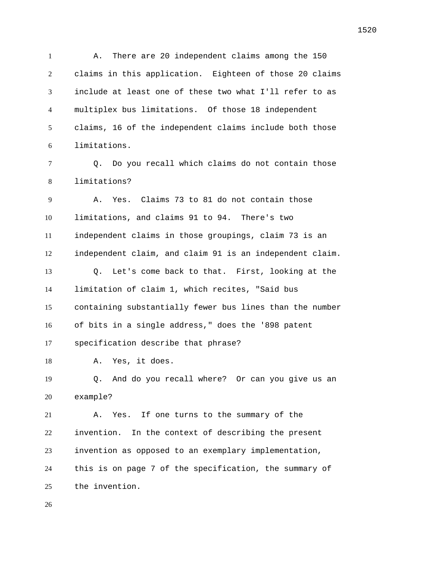A. There are 20 independent claims among the 150 claims in this application. Eighteen of those 20 claims include at least one of these two what I'll refer to as multiplex bus limitations. Of those 18 independent claims, 16 of the independent claims include both those limitations.

 Q. Do you recall which claims do not contain those limitations?

 A. Yes. Claims 73 to 81 do not contain those limitations, and claims 91 to 94. There's two independent claims in those groupings, claim 73 is an independent claim, and claim 91 is an independent claim. Q. Let's come back to that. First, looking at the limitation of claim 1, which recites, "Said bus containing substantially fewer bus lines than the number of bits in a single address," does the '898 patent specification describe that phrase? A. Yes, it does. Q. And do you recall where? Or can you give us an example? A. Yes. If one turns to the summary of the invention. In the context of describing the present invention as opposed to an exemplary implementation,

 this is on page 7 of the specification, the summary of the invention.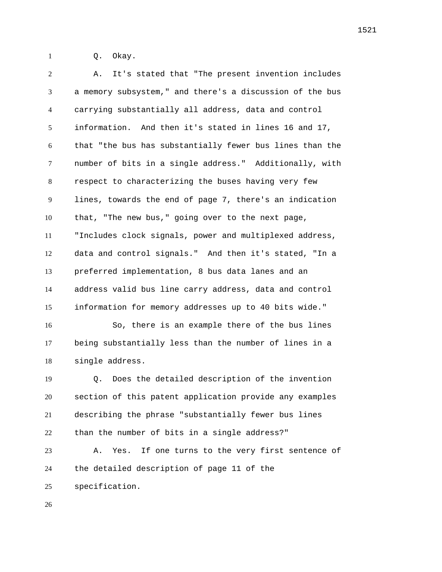Q. Okay.

 A. It's stated that "The present invention includes a memory subsystem," and there's a discussion of the bus carrying substantially all address, data and control information. And then it's stated in lines 16 and 17, that "the bus has substantially fewer bus lines than the number of bits in a single address." Additionally, with respect to characterizing the buses having very few lines, towards the end of page 7, there's an indication that, "The new bus," going over to the next page, "Includes clock signals, power and multiplexed address, data and control signals." And then it's stated, "In a preferred implementation, 8 bus data lanes and an address valid bus line carry address, data and control information for memory addresses up to 40 bits wide." So, there is an example there of the bus lines being substantially less than the number of lines in a single address. Q. Does the detailed description of the invention section of this patent application provide any examples describing the phrase "substantially fewer bus lines than the number of bits in a single address?" A. Yes. If one turns to the very first sentence of the detailed description of page 11 of the specification.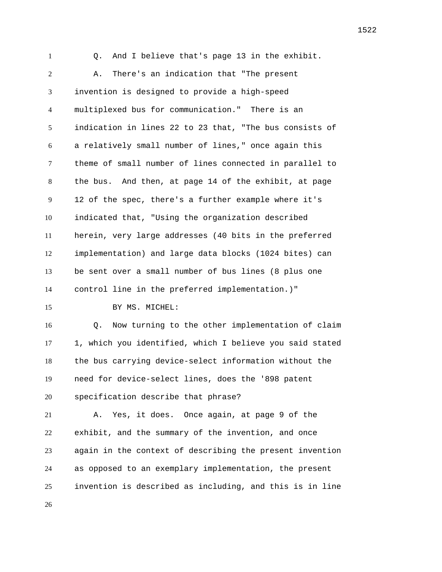Q. And I believe that's page 13 in the exhibit. A. There's an indication that "The present invention is designed to provide a high-speed multiplexed bus for communication." There is an indication in lines 22 to 23 that, "The bus consists of a relatively small number of lines," once again this theme of small number of lines connected in parallel to the bus. And then, at page 14 of the exhibit, at page 12 of the spec, there's a further example where it's indicated that, "Using the organization described herein, very large addresses (40 bits in the preferred implementation) and large data blocks (1024 bites) can be sent over a small number of bus lines (8 plus one control line in the preferred implementation.)" 15 BY MS. MICHEL: Q. Now turning to the other implementation of claim 1, which you identified, which I believe you said stated the bus carrying device-select information without the need for device-select lines, does the '898 patent specification describe that phrase? A. Yes, it does. Once again, at page 9 of the exhibit, and the summary of the invention, and once again in the context of describing the present invention as opposed to an exemplary implementation, the present invention is described as including, and this is in line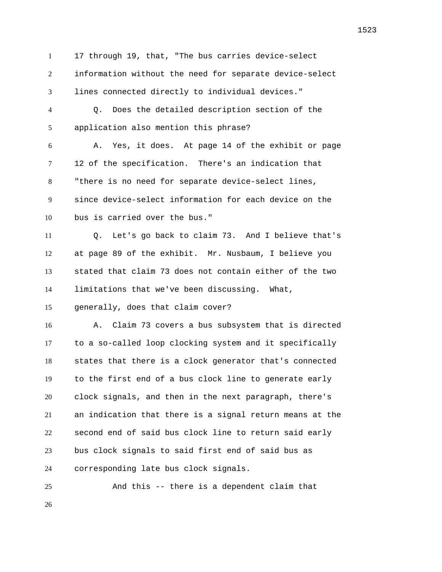17 through 19, that, "The bus carries device-select information without the need for separate device-select lines connected directly to individual devices."

 Q. Does the detailed description section of the application also mention this phrase?

 A. Yes, it does. At page 14 of the exhibit or page 12 of the specification. There's an indication that "there is no need for separate device-select lines, since device-select information for each device on the bus is carried over the bus."

 Q. Let's go back to claim 73. And I believe that's at page 89 of the exhibit. Mr. Nusbaum, I believe you stated that claim 73 does not contain either of the two limitations that we've been discussing. What,

generally, does that claim cover?

 A. Claim 73 covers a bus subsystem that is directed to a so-called loop clocking system and it specifically states that there is a clock generator that's connected to the first end of a bus clock line to generate early clock signals, and then in the next paragraph, there's an indication that there is a signal return means at the second end of said bus clock line to return said early bus clock signals to said first end of said bus as corresponding late bus clock signals.

And this -- there is a dependent claim that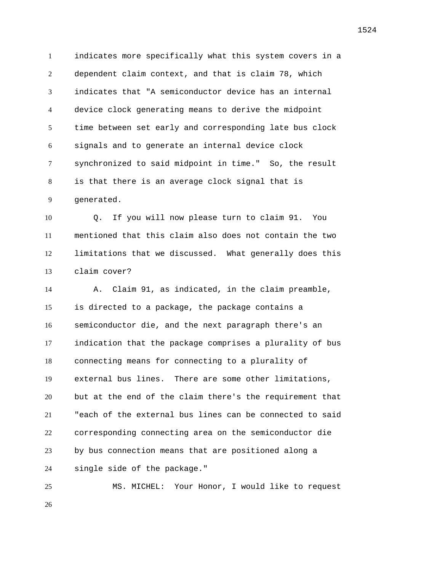indicates more specifically what this system covers in a dependent claim context, and that is claim 78, which indicates that "A semiconductor device has an internal device clock generating means to derive the midpoint time between set early and corresponding late bus clock signals and to generate an internal device clock synchronized to said midpoint in time." So, the result is that there is an average clock signal that is generated.

 Q. If you will now please turn to claim 91. You mentioned that this claim also does not contain the two limitations that we discussed. What generally does this claim cover?

 A. Claim 91, as indicated, in the claim preamble, is directed to a package, the package contains a semiconductor die, and the next paragraph there's an indication that the package comprises a plurality of bus connecting means for connecting to a plurality of external bus lines. There are some other limitations, but at the end of the claim there's the requirement that "each of the external bus lines can be connected to said corresponding connecting area on the semiconductor die by bus connection means that are positioned along a single side of the package."

 MS. MICHEL: Your Honor, I would like to request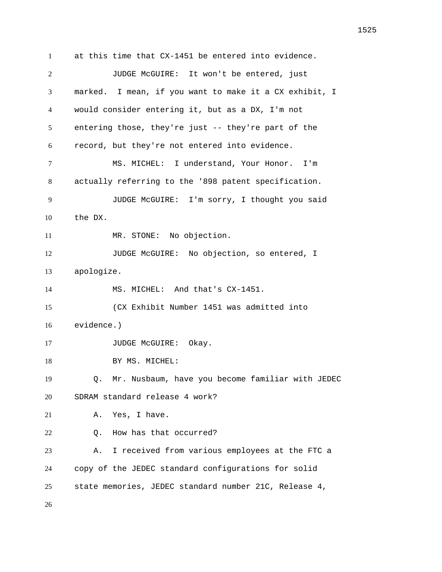at this time that CX-1451 be entered into evidence. JUDGE McGUIRE: It won't be entered, just marked. I mean, if you want to make it a CX exhibit, I would consider entering it, but as a DX, I'm not entering those, they're just -- they're part of the record, but they're not entered into evidence. MS. MICHEL: I understand, Your Honor. I'm actually referring to the '898 patent specification. JUDGE McGUIRE: I'm sorry, I thought you said the DX. 11 MR. STONE: No objection. 12 JUDGE McGUIRE: No objection, so entered, I apologize. MS. MICHEL: And that's CX-1451. (CX Exhibit Number 1451 was admitted into evidence.) 17 JUDGE McGUIRE: Okay. 18 BY MS. MICHEL: Q. Mr. Nusbaum, have you become familiar with JEDEC SDRAM standard release 4 work? A. Yes, I have. Q. How has that occurred? A. I received from various employees at the FTC a copy of the JEDEC standard configurations for solid state memories, JEDEC standard number 21C, Release 4,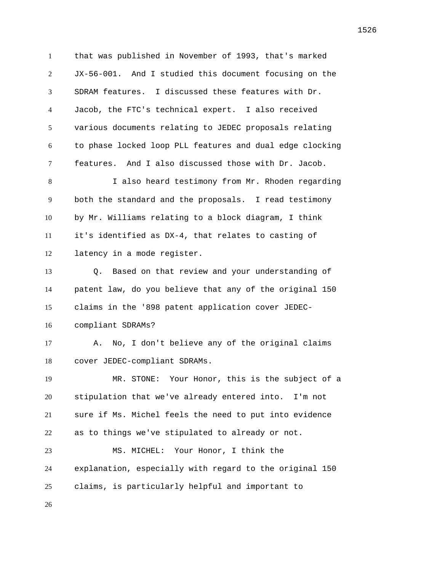that was published in November of 1993, that's marked JX-56-001. And I studied this document focusing on the SDRAM features. I discussed these features with Dr. Jacob, the FTC's technical expert. I also received various documents relating to JEDEC proposals relating to phase locked loop PLL features and dual edge clocking features. And I also discussed those with Dr. Jacob. I also heard testimony from Mr. Rhoden regarding both the standard and the proposals. I read testimony by Mr. Williams relating to a block diagram, I think it's identified as DX-4, that relates to casting of latency in a mode register. Q. Based on that review and your understanding of patent law, do you believe that any of the original 150 claims in the '898 patent application cover JEDEC- compliant SDRAMs? A. No, I don't believe any of the original claims cover JEDEC-compliant SDRAMs. MR. STONE: Your Honor, this is the subject of a stipulation that we've already entered into. I'm not sure if Ms. Michel feels the need to put into evidence as to things we've stipulated to already or not. MS. MICHEL: Your Honor, I think the explanation, especially with regard to the original 150 claims, is particularly helpful and important to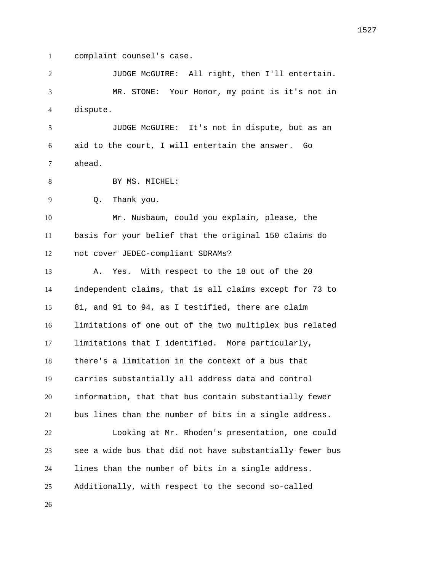complaint counsel's case.

 JUDGE McGUIRE: All right, then I'll entertain. MR. STONE: Your Honor, my point is it's not in dispute.

 JUDGE McGUIRE: It's not in dispute, but as an aid to the court, I will entertain the answer. Go ahead.

8 BY MS. MICHEL:

Q. Thank you.

 Mr. Nusbaum, could you explain, please, the basis for your belief that the original 150 claims do not cover JEDEC-compliant SDRAMs?

 A. Yes. With respect to the 18 out of the 20 independent claims, that is all claims except for 73 to 81, and 91 to 94, as I testified, there are claim limitations of one out of the two multiplex bus related limitations that I identified. More particularly, there's a limitation in the context of a bus that carries substantially all address data and control information, that that bus contain substantially fewer bus lines than the number of bits in a single address. Looking at Mr. Rhoden's presentation, one could see a wide bus that did not have substantially fewer bus lines than the number of bits in a single address. Additionally, with respect to the second so-called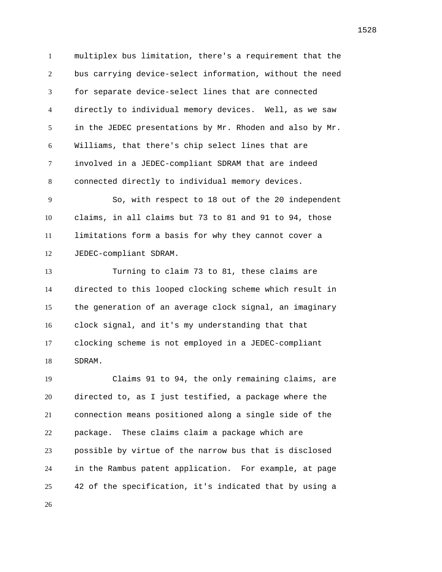multiplex bus limitation, there's a requirement that the bus carrying device-select information, without the need for separate device-select lines that are connected directly to individual memory devices. Well, as we saw in the JEDEC presentations by Mr. Rhoden and also by Mr. Williams, that there's chip select lines that are involved in a JEDEC-compliant SDRAM that are indeed connected directly to individual memory devices.

 So, with respect to 18 out of the 20 independent claims, in all claims but 73 to 81 and 91 to 94, those limitations form a basis for why they cannot cover a JEDEC-compliant SDRAM.

 Turning to claim 73 to 81, these claims are directed to this looped clocking scheme which result in the generation of an average clock signal, an imaginary clock signal, and it's my understanding that that clocking scheme is not employed in a JEDEC-compliant SDRAM.

 Claims 91 to 94, the only remaining claims, are directed to, as I just testified, a package where the connection means positioned along a single side of the package. These claims claim a package which are possible by virtue of the narrow bus that is disclosed in the Rambus patent application. For example, at page 42 of the specification, it's indicated that by using a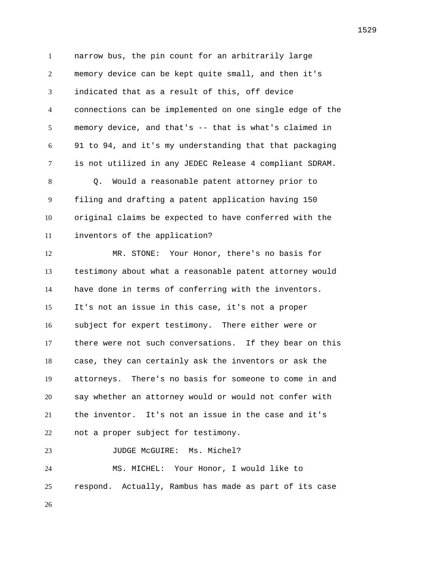narrow bus, the pin count for an arbitrarily large memory device can be kept quite small, and then it's indicated that as a result of this, off device connections can be implemented on one single edge of the memory device, and that's -- that is what's claimed in 91 to 94, and it's my understanding that that packaging is not utilized in any JEDEC Release 4 compliant SDRAM. Q. Would a reasonable patent attorney prior to filing and drafting a patent application having 150 original claims be expected to have conferred with the inventors of the application? MR. STONE: Your Honor, there's no basis for testimony about what a reasonable patent attorney would have done in terms of conferring with the inventors. It's not an issue in this case, it's not a proper subject for expert testimony. There either were or there were not such conversations. If they bear on this case, they can certainly ask the inventors or ask the attorneys. There's no basis for someone to come in and say whether an attorney would or would not confer with the inventor. It's not an issue in the case and it's not a proper subject for testimony. 23 JUDGE McGUIRE: Ms. Michel? MS. MICHEL: Your Honor, I would like to respond. Actually, Rambus has made as part of its case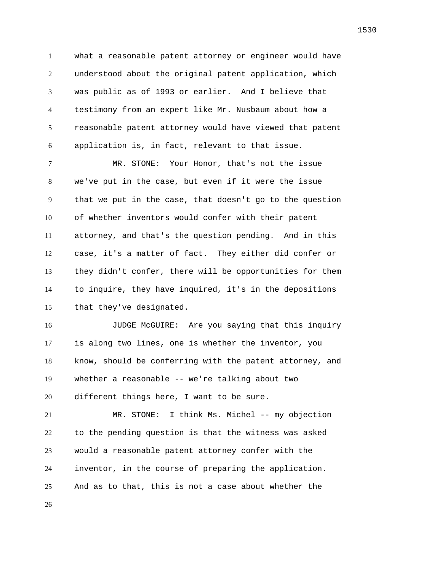what a reasonable patent attorney or engineer would have understood about the original patent application, which was public as of 1993 or earlier. And I believe that testimony from an expert like Mr. Nusbaum about how a reasonable patent attorney would have viewed that patent application is, in fact, relevant to that issue.

 MR. STONE: Your Honor, that's not the issue we've put in the case, but even if it were the issue that we put in the case, that doesn't go to the question of whether inventors would confer with their patent attorney, and that's the question pending. And in this case, it's a matter of fact. They either did confer or they didn't confer, there will be opportunities for them to inquire, they have inquired, it's in the depositions that they've designated.

 JUDGE McGUIRE: Are you saying that this inquiry is along two lines, one is whether the inventor, you know, should be conferring with the patent attorney, and whether a reasonable -- we're talking about two different things here, I want to be sure.

 MR. STONE: I think Ms. Michel -- my objection to the pending question is that the witness was asked would a reasonable patent attorney confer with the inventor, in the course of preparing the application. And as to that, this is not a case about whether the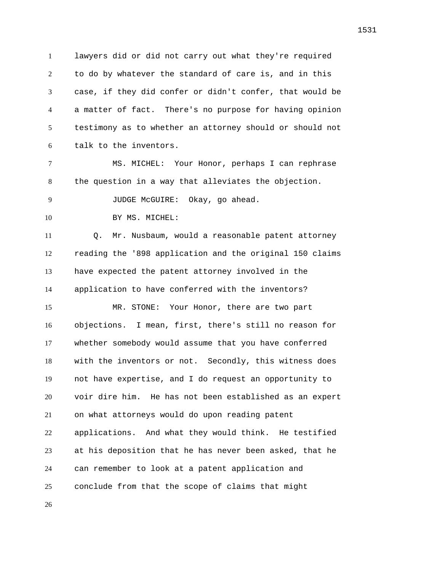lawyers did or did not carry out what they're required to do by whatever the standard of care is, and in this case, if they did confer or didn't confer, that would be a matter of fact. There's no purpose for having opinion testimony as to whether an attorney should or should not talk to the inventors.

 MS. MICHEL: Your Honor, perhaps I can rephrase the question in a way that alleviates the objection.

JUDGE McGUIRE: Okay, go ahead.

10 BY MS. MICHEL:

 Q. Mr. Nusbaum, would a reasonable patent attorney reading the '898 application and the original 150 claims have expected the patent attorney involved in the application to have conferred with the inventors?

 MR. STONE: Your Honor, there are two part objections. I mean, first, there's still no reason for whether somebody would assume that you have conferred with the inventors or not. Secondly, this witness does not have expertise, and I do request an opportunity to voir dire him. He has not been established as an expert on what attorneys would do upon reading patent applications. And what they would think. He testified at his deposition that he has never been asked, that he can remember to look at a patent application and conclude from that the scope of claims that might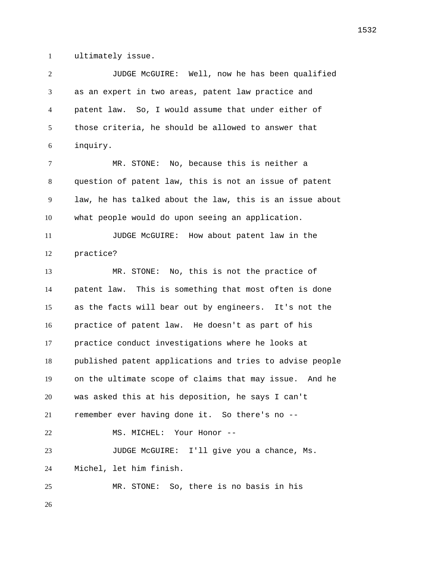ultimately issue.

 JUDGE McGUIRE: Well, now he has been qualified as an expert in two areas, patent law practice and patent law. So, I would assume that under either of those criteria, he should be allowed to answer that inquiry. MR. STONE: No, because this is neither a question of patent law, this is not an issue of patent law, he has talked about the law, this is an issue about what people would do upon seeing an application. JUDGE McGUIRE: How about patent law in the practice? MR. STONE: No, this is not the practice of patent law. This is something that most often is done as the facts will bear out by engineers. It's not the practice of patent law. He doesn't as part of his practice conduct investigations where he looks at published patent applications and tries to advise people on the ultimate scope of claims that may issue. And he was asked this at his deposition, he says I can't remember ever having done it. So there's no -- 22 MS. MICHEL: Your Honor -- JUDGE McGUIRE: I'll give you a chance, Ms. Michel, let him finish. MR. STONE: So, there is no basis in his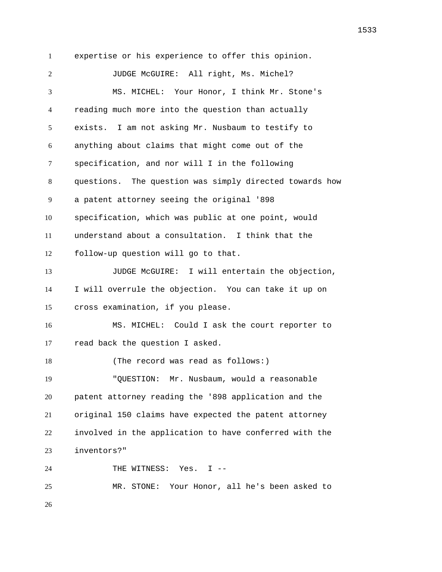expertise or his experience to offer this opinion. JUDGE McGUIRE: All right, Ms. Michel? MS. MICHEL: Your Honor, I think Mr. Stone's reading much more into the question than actually exists. I am not asking Mr. Nusbaum to testify to anything about claims that might come out of the specification, and nor will I in the following questions. The question was simply directed towards how a patent attorney seeing the original '898 specification, which was public at one point, would understand about a consultation. I think that the follow-up question will go to that. JUDGE McGUIRE: I will entertain the objection, I will overrule the objection. You can take it up on cross examination, if you please. MS. MICHEL: Could I ask the court reporter to read back the question I asked. 18 (The record was read as follows:) "QUESTION: Mr. Nusbaum, would a reasonable patent attorney reading the '898 application and the original 150 claims have expected the patent attorney involved in the application to have conferred with the inventors?" THE WITNESS: Yes. I -- MR. STONE: Your Honor, all he's been asked to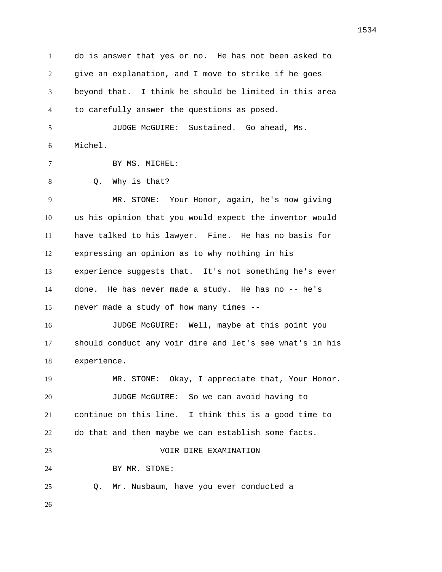do is answer that yes or no. He has not been asked to give an explanation, and I move to strike if he goes beyond that. I think he should be limited in this area to carefully answer the questions as posed. JUDGE McGUIRE: Sustained. Go ahead, Ms. Michel. BY MS. MICHEL: Q. Why is that? MR. STONE: Your Honor, again, he's now giving us his opinion that you would expect the inventor would have talked to his lawyer. Fine. He has no basis for expressing an opinion as to why nothing in his experience suggests that. It's not something he's ever done. He has never made a study. He has no -- he's never made a study of how many times -- JUDGE McGUIRE: Well, maybe at this point you should conduct any voir dire and let's see what's in his experience. MR. STONE: Okay, I appreciate that, Your Honor. JUDGE McGUIRE: So we can avoid having to continue on this line. I think this is a good time to do that and then maybe we can establish some facts. VOIR DIRE EXAMINATION BY MR. STONE: Q. Mr. Nusbaum, have you ever conducted a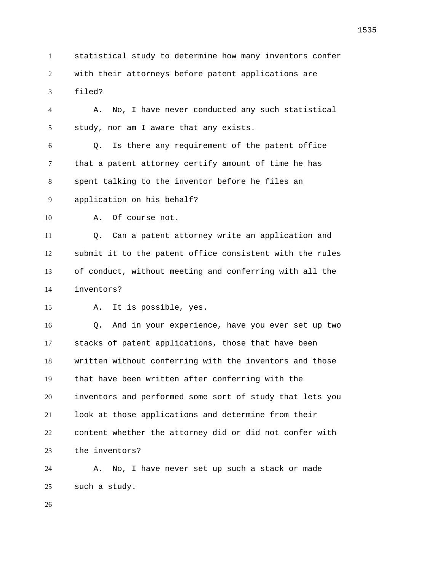statistical study to determine how many inventors confer with their attorneys before patent applications are filed?

 A. No, I have never conducted any such statistical study, nor am I aware that any exists.

 Q. Is there any requirement of the patent office that a patent attorney certify amount of time he has spent talking to the inventor before he files an

application on his behalf?

A. Of course not.

 Q. Can a patent attorney write an application and submit it to the patent office consistent with the rules of conduct, without meeting and conferring with all the inventors?

A. It is possible, yes.

 Q. And in your experience, have you ever set up two stacks of patent applications, those that have been written without conferring with the inventors and those that have been written after conferring with the inventors and performed some sort of study that lets you look at those applications and determine from their content whether the attorney did or did not confer with the inventors?

 A. No, I have never set up such a stack or made such a study.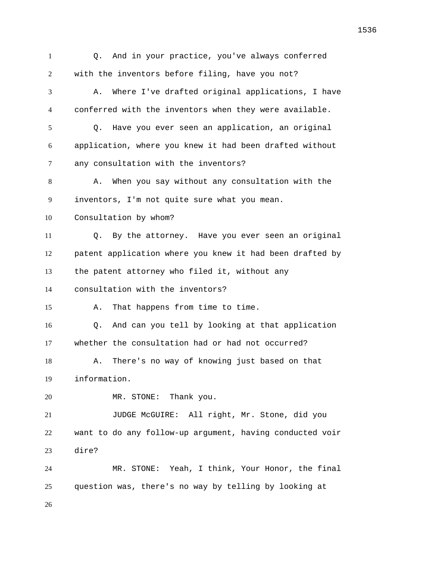Q. And in your practice, you've always conferred with the inventors before filing, have you not? A. Where I've drafted original applications, I have conferred with the inventors when they were available. Q. Have you ever seen an application, an original application, where you knew it had been drafted without any consultation with the inventors? A. When you say without any consultation with the inventors, I'm not quite sure what you mean. Consultation by whom? Q. By the attorney. Have you ever seen an original patent application where you knew it had been drafted by the patent attorney who filed it, without any consultation with the inventors? A. That happens from time to time. Q. And can you tell by looking at that application whether the consultation had or had not occurred? A. There's no way of knowing just based on that information. MR. STONE: Thank you. JUDGE McGUIRE: All right, Mr. Stone, did you want to do any follow-up argument, having conducted voir dire? MR. STONE: Yeah, I think, Your Honor, the final question was, there's no way by telling by looking at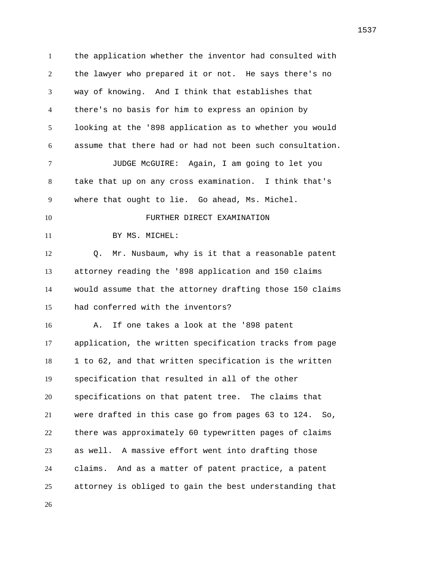the application whether the inventor had consulted with the lawyer who prepared it or not. He says there's no way of knowing. And I think that establishes that there's no basis for him to express an opinion by looking at the '898 application as to whether you would assume that there had or had not been such consultation. JUDGE McGUIRE: Again, I am going to let you take that up on any cross examination. I think that's where that ought to lie. Go ahead, Ms. Michel. FURTHER DIRECT EXAMINATION 11 BY MS. MICHEL: Q. Mr. Nusbaum, why is it that a reasonable patent attorney reading the '898 application and 150 claims would assume that the attorney drafting those 150 claims had conferred with the inventors? A. If one takes a look at the '898 patent application, the written specification tracks from page 1 to 62, and that written specification is the written specification that resulted in all of the other specifications on that patent tree. The claims that were drafted in this case go from pages 63 to 124. So, there was approximately 60 typewritten pages of claims as well. A massive effort went into drafting those claims. And as a matter of patent practice, a patent attorney is obliged to gain the best understanding that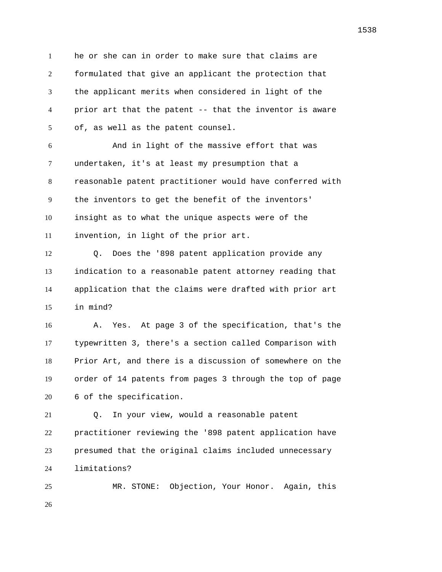he or she can in order to make sure that claims are formulated that give an applicant the protection that the applicant merits when considered in light of the prior art that the patent -- that the inventor is aware of, as well as the patent counsel.

 And in light of the massive effort that was undertaken, it's at least my presumption that a reasonable patent practitioner would have conferred with the inventors to get the benefit of the inventors' insight as to what the unique aspects were of the invention, in light of the prior art.

 Q. Does the '898 patent application provide any indication to a reasonable patent attorney reading that application that the claims were drafted with prior art in mind?

 A. Yes. At page 3 of the specification, that's the typewritten 3, there's a section called Comparison with Prior Art, and there is a discussion of somewhere on the order of 14 patents from pages 3 through the top of page 6 of the specification.

 Q. In your view, would a reasonable patent practitioner reviewing the '898 patent application have presumed that the original claims included unnecessary limitations?

 MR. STONE: Objection, Your Honor. Again, this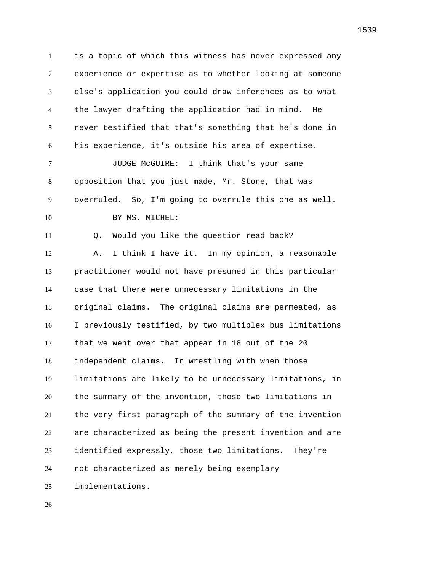is a topic of which this witness has never expressed any experience or expertise as to whether looking at someone else's application you could draw inferences as to what the lawyer drafting the application had in mind. He never testified that that's something that he's done in his experience, it's outside his area of expertise. JUDGE McGUIRE: I think that's your same opposition that you just made, Mr. Stone, that was overruled. So, I'm going to overrule this one as well. 10 BY MS. MICHEL: 11 0. Would you like the question read back? A. I think I have it. In my opinion, a reasonable practitioner would not have presumed in this particular case that there were unnecessary limitations in the original claims. The original claims are permeated, as I previously testified, by two multiplex bus limitations that we went over that appear in 18 out of the 20 independent claims. In wrestling with when those limitations are likely to be unnecessary limitations, in the summary of the invention, those two limitations in the very first paragraph of the summary of the invention are characterized as being the present invention and are identified expressly, those two limitations. They're not characterized as merely being exemplary implementations.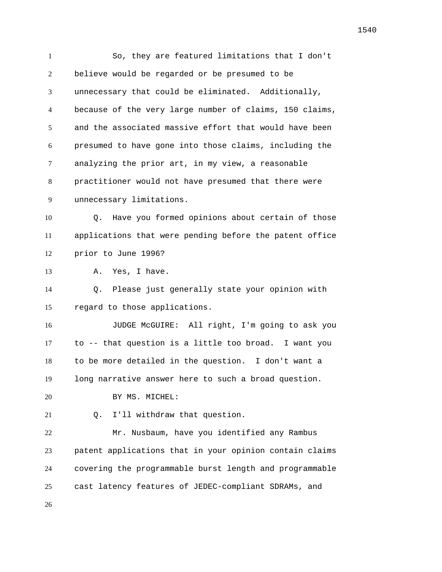So, they are featured limitations that I don't believe would be regarded or be presumed to be unnecessary that could be eliminated. Additionally, because of the very large number of claims, 150 claims, and the associated massive effort that would have been presumed to have gone into those claims, including the analyzing the prior art, in my view, a reasonable practitioner would not have presumed that there were unnecessary limitations. Q. Have you formed opinions about certain of those applications that were pending before the patent office prior to June 1996? A. Yes, I have. Q. Please just generally state your opinion with regard to those applications. JUDGE McGUIRE: All right, I'm going to ask you to -- that question is a little too broad. I want you to be more detailed in the question. I don't want a long narrative answer here to such a broad question. 20 BY MS. MICHEL: Q. I'll withdraw that question. Mr. Nusbaum, have you identified any Rambus patent applications that in your opinion contain claims covering the programmable burst length and programmable cast latency features of JEDEC-compliant SDRAMs, and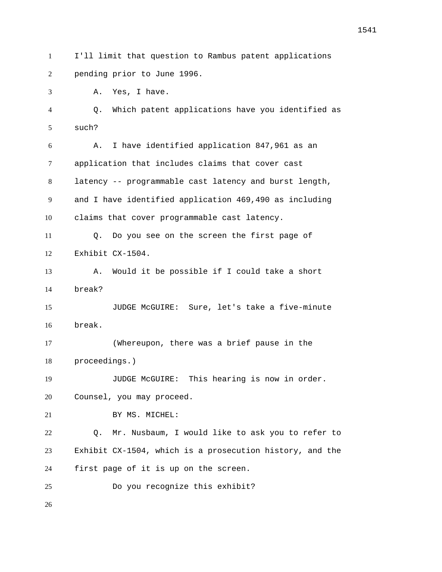I'll limit that question to Rambus patent applications pending prior to June 1996.

A. Yes, I have.

 Q. Which patent applications have you identified as such?

 A. I have identified application 847,961 as an application that includes claims that cover cast latency -- programmable cast latency and burst length, and I have identified application 469,490 as including claims that cover programmable cast latency.

 Q. Do you see on the screen the first page of Exhibit CX-1504.

 A. Would it be possible if I could take a short break?

 JUDGE McGUIRE: Sure, let's take a five-minute break.

 (Whereupon, there was a brief pause in the proceedings.)

JUDGE McGUIRE: This hearing is now in order.

Counsel, you may proceed.

21 BY MS. MICHEL:

 Q. Mr. Nusbaum, I would like to ask you to refer to Exhibit CX-1504, which is a prosecution history, and the first page of it is up on the screen.

Do you recognize this exhibit?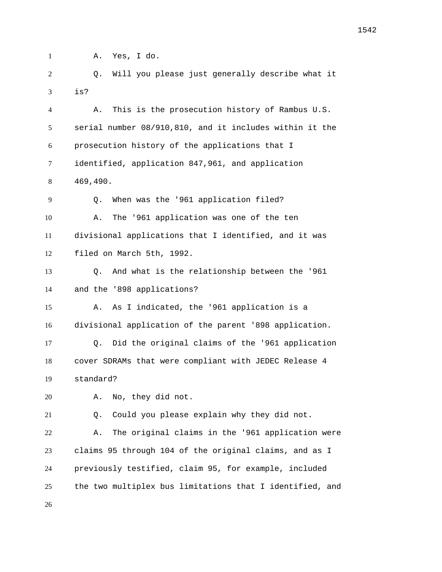A. Yes, I do.

 Q. Will you please just generally describe what it is?

 A. This is the prosecution history of Rambus U.S. serial number 08/910,810, and it includes within it the prosecution history of the applications that I identified, application 847,961, and application 469,490. Q. When was the '961 application filed? A. The '961 application was one of the ten divisional applications that I identified, and it was filed on March 5th, 1992. Q. And what is the relationship between the '961 and the '898 applications? A. As I indicated, the '961 application is a divisional application of the parent '898 application. Q. Did the original claims of the '961 application cover SDRAMs that were compliant with JEDEC Release 4 standard? A. No, they did not. Q. Could you please explain why they did not. A. The original claims in the '961 application were claims 95 through 104 of the original claims, and as I previously testified, claim 95, for example, included

the two multiplex bus limitations that I identified, and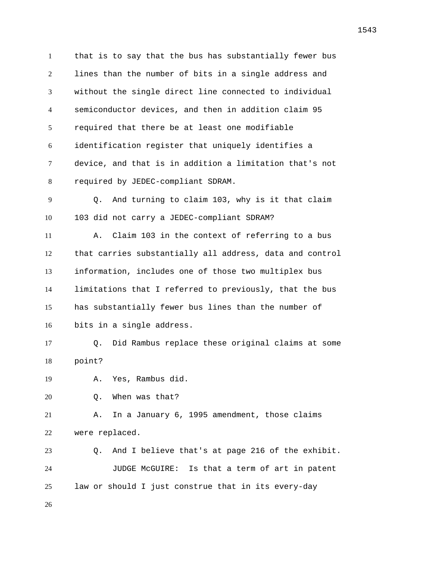that is to say that the bus has substantially fewer bus lines than the number of bits in a single address and without the single direct line connected to individual semiconductor devices, and then in addition claim 95 required that there be at least one modifiable identification register that uniquely identifies a device, and that is in addition a limitation that's not required by JEDEC-compliant SDRAM. Q. And turning to claim 103, why is it that claim 103 did not carry a JEDEC-compliant SDRAM? A. Claim 103 in the context of referring to a bus that carries substantially all address, data and control information, includes one of those two multiplex bus limitations that I referred to previously, that the bus has substantially fewer bus lines than the number of bits in a single address. Q. Did Rambus replace these original claims at some point? A. Yes, Rambus did. Q. When was that? A. In a January 6, 1995 amendment, those claims were replaced. Q. And I believe that's at page 216 of the exhibit. JUDGE McGUIRE: Is that a term of art in patent law or should I just construe that in its every-day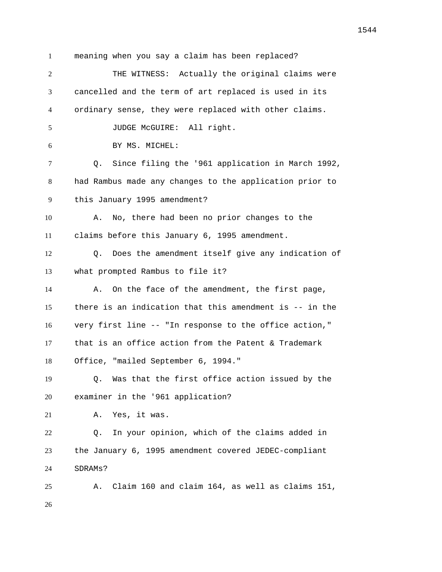meaning when you say a claim has been replaced? THE WITNESS: Actually the original claims were cancelled and the term of art replaced is used in its ordinary sense, they were replaced with other claims. JUDGE McGUIRE: All right. BY MS. MICHEL: Q. Since filing the '961 application in March 1992, had Rambus made any changes to the application prior to this January 1995 amendment? A. No, there had been no prior changes to the claims before this January 6, 1995 amendment. Q. Does the amendment itself give any indication of what prompted Rambus to file it? 14 A. On the face of the amendment, the first page, there is an indication that this amendment is -- in the very first line -- "In response to the office action," that is an office action from the Patent & Trademark Office, "mailed September 6, 1994." Q. Was that the first office action issued by the examiner in the '961 application? A. Yes, it was. Q. In your opinion, which of the claims added in the January 6, 1995 amendment covered JEDEC-compliant SDRAMs? A. Claim 160 and claim 164, as well as claims 151,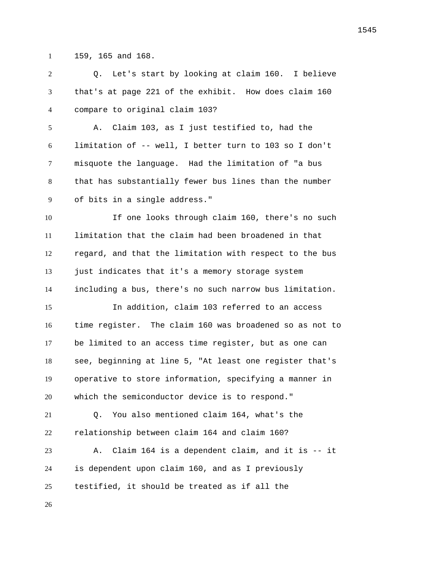159, 165 and 168.

 Q. Let's start by looking at claim 160. I believe that's at page 221 of the exhibit. How does claim 160 compare to original claim 103?

 A. Claim 103, as I just testified to, had the limitation of -- well, I better turn to 103 so I don't misquote the language. Had the limitation of "a bus that has substantially fewer bus lines than the number of bits in a single address."

 If one looks through claim 160, there's no such limitation that the claim had been broadened in that regard, and that the limitation with respect to the bus just indicates that it's a memory storage system including a bus, there's no such narrow bus limitation.

 In addition, claim 103 referred to an access time register. The claim 160 was broadened so as not to be limited to an access time register, but as one can see, beginning at line 5, "At least one register that's operative to store information, specifying a manner in which the semiconductor device is to respond."

 Q. You also mentioned claim 164, what's the relationship between claim 164 and claim 160?

 A. Claim 164 is a dependent claim, and it is -- it is dependent upon claim 160, and as I previously testified, it should be treated as if all the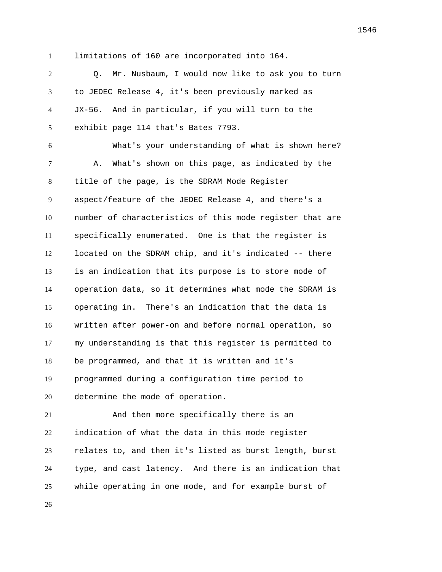limitations of 160 are incorporated into 164.

 Q. Mr. Nusbaum, I would now like to ask you to turn to JEDEC Release 4, it's been previously marked as JX-56. And in particular, if you will turn to the exhibit page 114 that's Bates 7793.

 What's your understanding of what is shown here? A. What's shown on this page, as indicated by the title of the page, is the SDRAM Mode Register aspect/feature of the JEDEC Release 4, and there's a number of characteristics of this mode register that are specifically enumerated. One is that the register is located on the SDRAM chip, and it's indicated -- there is an indication that its purpose is to store mode of operation data, so it determines what mode the SDRAM is operating in. There's an indication that the data is written after power-on and before normal operation, so my understanding is that this register is permitted to be programmed, and that it is written and it's programmed during a configuration time period to determine the mode of operation.

 And then more specifically there is an indication of what the data in this mode register relates to, and then it's listed as burst length, burst type, and cast latency. And there is an indication that while operating in one mode, and for example burst of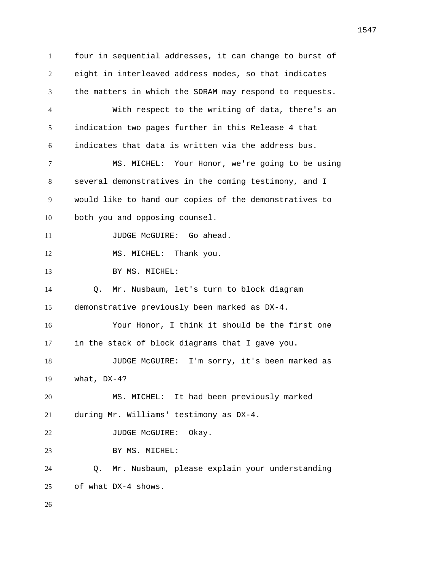four in sequential addresses, it can change to burst of eight in interleaved address modes, so that indicates the matters in which the SDRAM may respond to requests. With respect to the writing of data, there's an indication two pages further in this Release 4 that indicates that data is written via the address bus. MS. MICHEL: Your Honor, we're going to be using several demonstratives in the coming testimony, and I would like to hand our copies of the demonstratives to both you and opposing counsel. 11 JUDGE McGUIRE: Go ahead. 12 MS. MICHEL: Thank you. 13 BY MS. MICHEL: Q. Mr. Nusbaum, let's turn to block diagram demonstrative previously been marked as DX-4. Your Honor, I think it should be the first one in the stack of block diagrams that I gave you. JUDGE McGUIRE: I'm sorry, it's been marked as what, DX-4? MS. MICHEL: It had been previously marked during Mr. Williams' testimony as DX-4. 22 JUDGE McGUIRE: Okay. 23 BY MS. MICHEL: Q. Mr. Nusbaum, please explain your understanding of what DX-4 shows.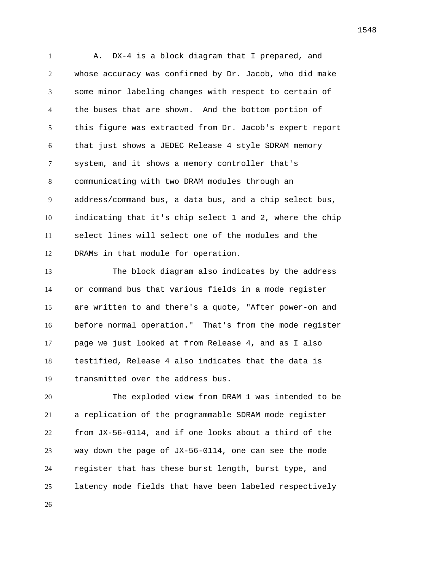A. DX-4 is a block diagram that I prepared, and whose accuracy was confirmed by Dr. Jacob, who did make some minor labeling changes with respect to certain of the buses that are shown. And the bottom portion of this figure was extracted from Dr. Jacob's expert report that just shows a JEDEC Release 4 style SDRAM memory system, and it shows a memory controller that's communicating with two DRAM modules through an address/command bus, a data bus, and a chip select bus, indicating that it's chip select 1 and 2, where the chip select lines will select one of the modules and the DRAMs in that module for operation.

 The block diagram also indicates by the address or command bus that various fields in a mode register are written to and there's a quote, "After power-on and before normal operation." That's from the mode register page we just looked at from Release 4, and as I also testified, Release 4 also indicates that the data is transmitted over the address bus.

 The exploded view from DRAM 1 was intended to be a replication of the programmable SDRAM mode register from JX-56-0114, and if one looks about a third of the way down the page of JX-56-0114, one can see the mode register that has these burst length, burst type, and latency mode fields that have been labeled respectively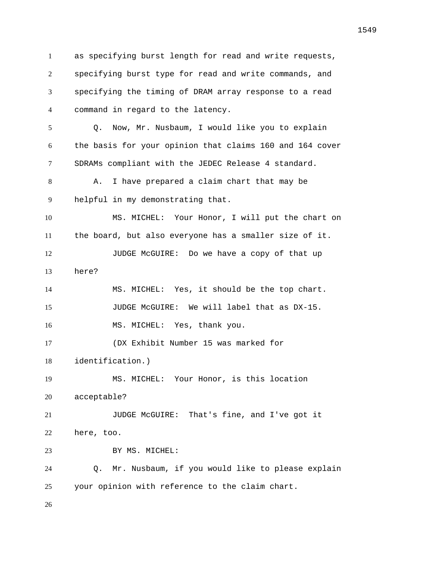as specifying burst length for read and write requests, specifying burst type for read and write commands, and specifying the timing of DRAM array response to a read command in regard to the latency. Q. Now, Mr. Nusbaum, I would like you to explain the basis for your opinion that claims 160 and 164 cover SDRAMs compliant with the JEDEC Release 4 standard. 8 A. I have prepared a claim chart that may be helpful in my demonstrating that. MS. MICHEL: Your Honor, I will put the chart on the board, but also everyone has a smaller size of it. 12 JUDGE McGUIRE: Do we have a copy of that up here? MS. MICHEL: Yes, it should be the top chart. JUDGE McGUIRE: We will label that as DX-15. 16 MS. MICHEL: Yes, thank you. (DX Exhibit Number 15 was marked for identification.) MS. MICHEL: Your Honor, is this location acceptable? JUDGE McGUIRE: That's fine, and I've got it here, too. 23 BY MS. MICHEL: Q. Mr. Nusbaum, if you would like to please explain your opinion with reference to the claim chart.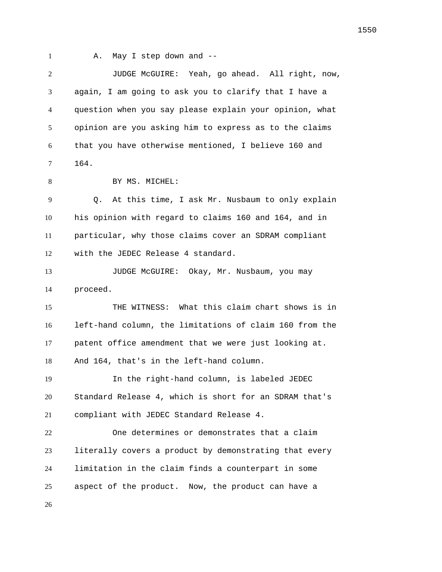1 A. May I step down and --

 JUDGE McGUIRE: Yeah, go ahead. All right, now, again, I am going to ask you to clarify that I have a question when you say please explain your opinion, what opinion are you asking him to express as to the claims that you have otherwise mentioned, I believe 160 and 164.

8 BY MS. MICHEL:

 Q. At this time, I ask Mr. Nusbaum to only explain his opinion with regard to claims 160 and 164, and in particular, why those claims cover an SDRAM compliant with the JEDEC Release 4 standard.

 JUDGE McGUIRE: Okay, Mr. Nusbaum, you may proceed.

 THE WITNESS: What this claim chart shows is in left-hand column, the limitations of claim 160 from the patent office amendment that we were just looking at. And 164, that's in the left-hand column.

 In the right-hand column, is labeled JEDEC Standard Release 4, which is short for an SDRAM that's compliant with JEDEC Standard Release 4.

 One determines or demonstrates that a claim literally covers a product by demonstrating that every limitation in the claim finds a counterpart in some aspect of the product. Now, the product can have a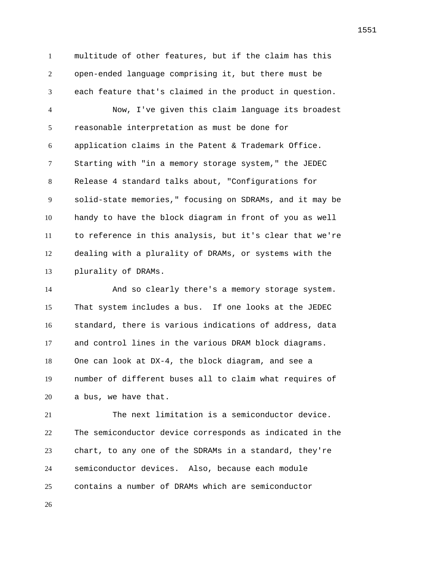multitude of other features, but if the claim has this open-ended language comprising it, but there must be each feature that's claimed in the product in question.

 Now, I've given this claim language its broadest reasonable interpretation as must be done for application claims in the Patent & Trademark Office. Starting with "in a memory storage system," the JEDEC Release 4 standard talks about, "Configurations for solid-state memories," focusing on SDRAMs, and it may be handy to have the block diagram in front of you as well to reference in this analysis, but it's clear that we're dealing with a plurality of DRAMs, or systems with the plurality of DRAMs.

 And so clearly there's a memory storage system. That system includes a bus. If one looks at the JEDEC standard, there is various indications of address, data and control lines in the various DRAM block diagrams. One can look at DX-4, the block diagram, and see a number of different buses all to claim what requires of a bus, we have that.

 The next limitation is a semiconductor device. The semiconductor device corresponds as indicated in the chart, to any one of the SDRAMs in a standard, they're semiconductor devices. Also, because each module contains a number of DRAMs which are semiconductor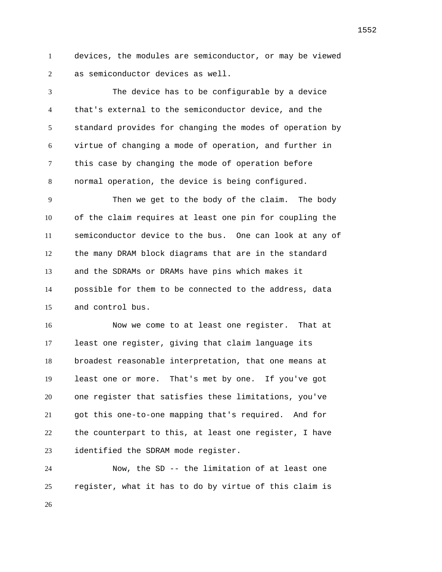devices, the modules are semiconductor, or may be viewed as semiconductor devices as well.

 The device has to be configurable by a device that's external to the semiconductor device, and the standard provides for changing the modes of operation by virtue of changing a mode of operation, and further in this case by changing the mode of operation before normal operation, the device is being configured.

 Then we get to the body of the claim. The body of the claim requires at least one pin for coupling the semiconductor device to the bus. One can look at any of the many DRAM block diagrams that are in the standard and the SDRAMs or DRAMs have pins which makes it possible for them to be connected to the address, data and control bus.

 Now we come to at least one register. That at least one register, giving that claim language its broadest reasonable interpretation, that one means at least one or more. That's met by one. If you've got one register that satisfies these limitations, you've got this one-to-one mapping that's required. And for the counterpart to this, at least one register, I have identified the SDRAM mode register.

 Now, the SD -- the limitation of at least one register, what it has to do by virtue of this claim is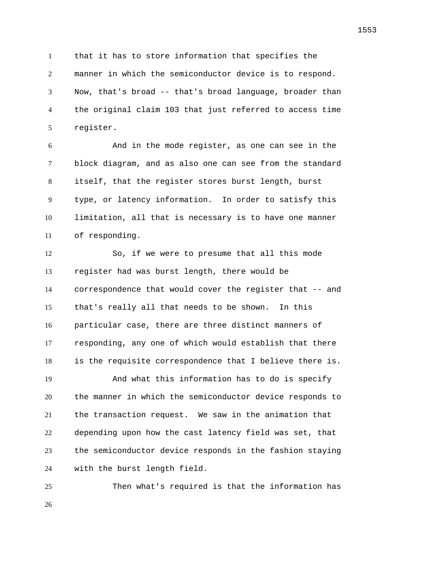that it has to store information that specifies the manner in which the semiconductor device is to respond. Now, that's broad -- that's broad language, broader than the original claim 103 that just referred to access time register.

 And in the mode register, as one can see in the block diagram, and as also one can see from the standard itself, that the register stores burst length, burst type, or latency information. In order to satisfy this limitation, all that is necessary is to have one manner of responding.

 So, if we were to presume that all this mode register had was burst length, there would be correspondence that would cover the register that -- and that's really all that needs to be shown. In this particular case, there are three distinct manners of responding, any one of which would establish that there is the requisite correspondence that I believe there is. And what this information has to do is specify the manner in which the semiconductor device responds to the transaction request. We saw in the animation that depending upon how the cast latency field was set, that the semiconductor device responds in the fashion staying with the burst length field.

 Then what's required is that the information has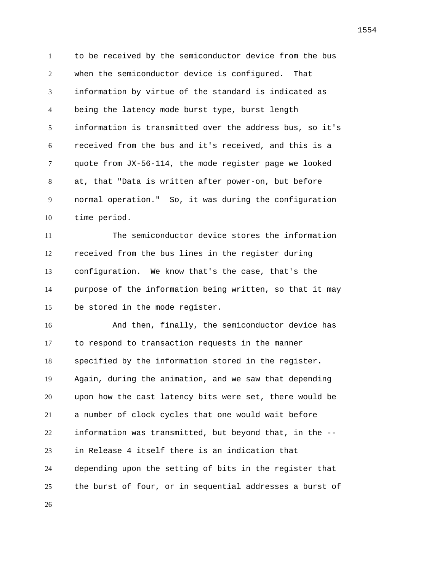to be received by the semiconductor device from the bus when the semiconductor device is configured. That information by virtue of the standard is indicated as being the latency mode burst type, burst length information is transmitted over the address bus, so it's received from the bus and it's received, and this is a quote from JX-56-114, the mode register page we looked at, that "Data is written after power-on, but before normal operation." So, it was during the configuration time period.

 The semiconductor device stores the information received from the bus lines in the register during configuration. We know that's the case, that's the purpose of the information being written, so that it may be stored in the mode register.

 And then, finally, the semiconductor device has to respond to transaction requests in the manner specified by the information stored in the register. Again, during the animation, and we saw that depending upon how the cast latency bits were set, there would be a number of clock cycles that one would wait before information was transmitted, but beyond that, in the -- in Release 4 itself there is an indication that depending upon the setting of bits in the register that the burst of four, or in sequential addresses a burst of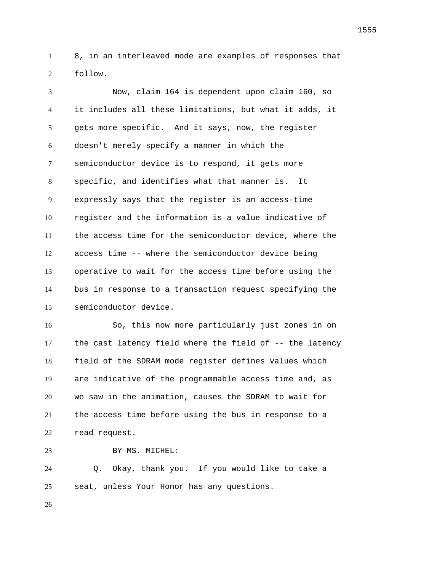8, in an interleaved mode are examples of responses that follow.

 Now, claim 164 is dependent upon claim 160, so it includes all these limitations, but what it adds, it gets more specific. And it says, now, the register doesn't merely specify a manner in which the semiconductor device is to respond, it gets more specific, and identifies what that manner is. It expressly says that the register is an access-time register and the information is a value indicative of the access time for the semiconductor device, where the access time -- where the semiconductor device being operative to wait for the access time before using the bus in response to a transaction request specifying the semiconductor device.

 So, this now more particularly just zones in on 17 the cast latency field where the field of -- the latency field of the SDRAM mode register defines values which are indicative of the programmable access time and, as we saw in the animation, causes the SDRAM to wait for the access time before using the bus in response to a read request.

```
23 BY MS. MICHEL:
```
 Q. Okay, thank you. If you would like to take a seat, unless Your Honor has any questions.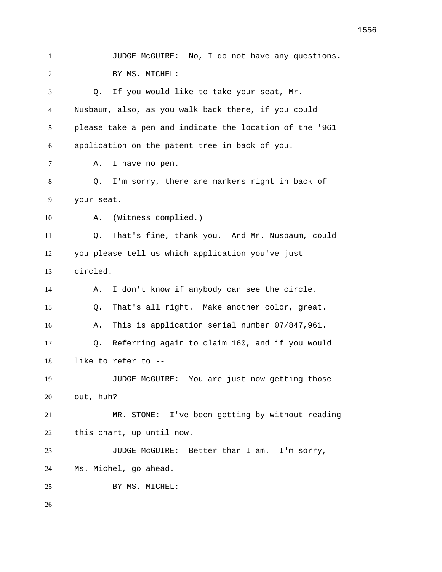JUDGE McGUIRE: No, I do not have any questions. BY MS. MICHEL: Q. If you would like to take your seat, Mr. Nusbaum, also, as you walk back there, if you could please take a pen and indicate the location of the '961 application on the patent tree in back of you. A. I have no pen. Q. I'm sorry, there are markers right in back of your seat. A. (Witness complied.) Q. That's fine, thank you. And Mr. Nusbaum, could you please tell us which application you've just circled. A. I don't know if anybody can see the circle. Q. That's all right. Make another color, great. A. This is application serial number 07/847,961. Q. Referring again to claim 160, and if you would like to refer to -- JUDGE McGUIRE: You are just now getting those out, huh? MR. STONE: I've been getting by without reading this chart, up until now. JUDGE McGUIRE: Better than I am. I'm sorry, Ms. Michel, go ahead. 25 BY MS. MICHEL: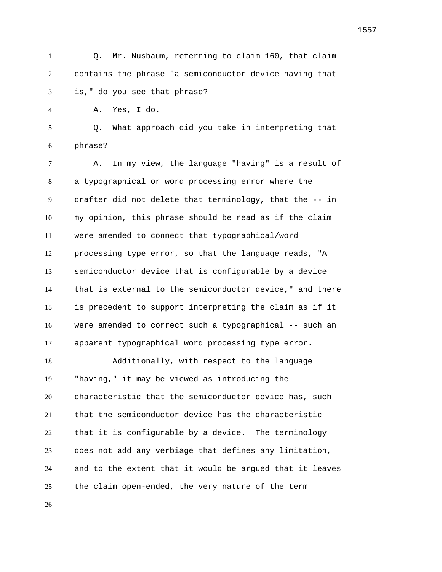Q. Mr. Nusbaum, referring to claim 160, that claim contains the phrase "a semiconductor device having that is," do you see that phrase? A. Yes, I do. Q. What approach did you take in interpreting that phrase? A. In my view, the language "having" is a result of a typographical or word processing error where the drafter did not delete that terminology, that the -- in my opinion, this phrase should be read as if the claim were amended to connect that typographical/word processing type error, so that the language reads, "A semiconductor device that is configurable by a device that is external to the semiconductor device," and there is precedent to support interpreting the claim as if it were amended to correct such a typographical -- such an apparent typographical word processing type error. Additionally, with respect to the language "having," it may be viewed as introducing the characteristic that the semiconductor device has, such that the semiconductor device has the characteristic that it is configurable by a device. The terminology does not add any verbiage that defines any limitation, and to the extent that it would be argued that it leaves the claim open-ended, the very nature of the term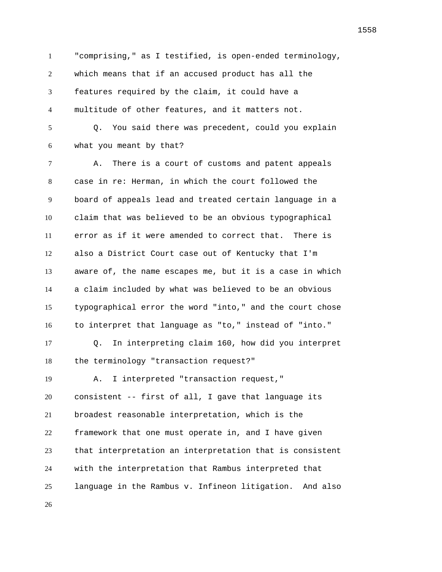"comprising," as I testified, is open-ended terminology, which means that if an accused product has all the features required by the claim, it could have a multitude of other features, and it matters not. Q. You said there was precedent, could you explain what you meant by that? A. There is a court of customs and patent appeals case in re: Herman, in which the court followed the board of appeals lead and treated certain language in a claim that was believed to be an obvious typographical error as if it were amended to correct that. There is also a District Court case out of Kentucky that I'm aware of, the name escapes me, but it is a case in which a claim included by what was believed to be an obvious typographical error the word "into," and the court chose to interpret that language as "to," instead of "into." Q. In interpreting claim 160, how did you interpret the terminology "transaction request?" A. I interpreted "transaction request," consistent -- first of all, I gave that language its broadest reasonable interpretation, which is the framework that one must operate in, and I have given that interpretation an interpretation that is consistent with the interpretation that Rambus interpreted that language in the Rambus v. Infineon litigation. And also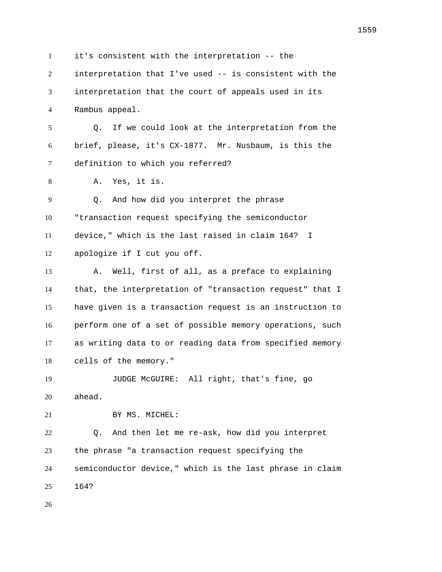it's consistent with the interpretation -- the interpretation that I've used -- is consistent with the interpretation that the court of appeals used in its Rambus appeal. Q. If we could look at the interpretation from the brief, please, it's CX-1877. Mr. Nusbaum, is this the definition to which you referred? A. Yes, it is. Q. And how did you interpret the phrase "transaction request specifying the semiconductor device," which is the last raised in claim 164? I apologize if I cut you off. A. Well, first of all, as a preface to explaining that, the interpretation of "transaction request" that I have given is a transaction request is an instruction to perform one of a set of possible memory operations, such as writing data to or reading data from specified memory cells of the memory." JUDGE McGUIRE: All right, that's fine, go ahead. 21 BY MS. MICHEL: Q. And then let me re-ask, how did you interpret the phrase "a transaction request specifying the semiconductor device," which is the last phrase in claim 164?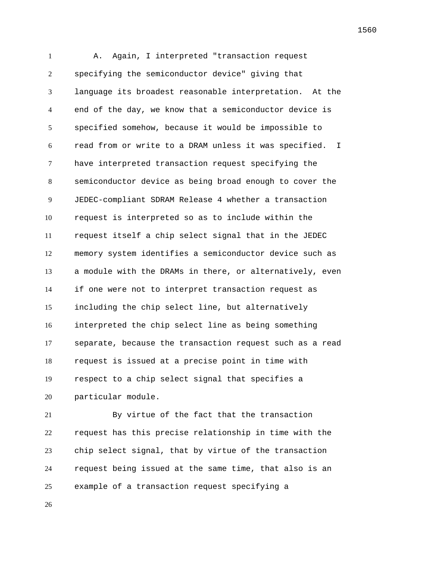A. Again, I interpreted "transaction request specifying the semiconductor device" giving that language its broadest reasonable interpretation. At the end of the day, we know that a semiconductor device is specified somehow, because it would be impossible to read from or write to a DRAM unless it was specified. I have interpreted transaction request specifying the semiconductor device as being broad enough to cover the JEDEC-compliant SDRAM Release 4 whether a transaction request is interpreted so as to include within the request itself a chip select signal that in the JEDEC memory system identifies a semiconductor device such as a module with the DRAMs in there, or alternatively, even if one were not to interpret transaction request as including the chip select line, but alternatively interpreted the chip select line as being something separate, because the transaction request such as a read request is issued at a precise point in time with respect to a chip select signal that specifies a particular module.

 By virtue of the fact that the transaction request has this precise relationship in time with the chip select signal, that by virtue of the transaction request being issued at the same time, that also is an example of a transaction request specifying a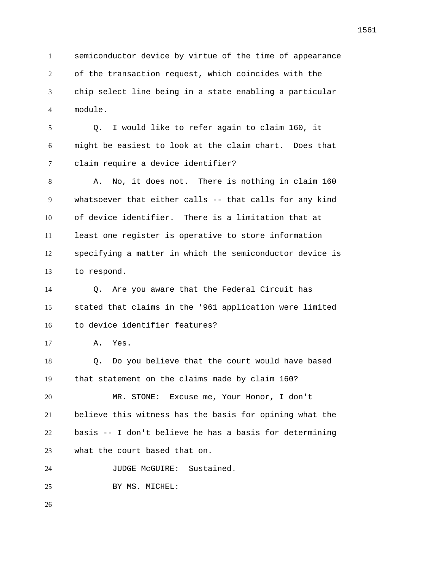semiconductor device by virtue of the time of appearance of the transaction request, which coincides with the chip select line being in a state enabling a particular module.

 Q. I would like to refer again to claim 160, it might be easiest to look at the claim chart. Does that claim require a device identifier?

 A. No, it does not. There is nothing in claim 160 whatsoever that either calls -- that calls for any kind of device identifier. There is a limitation that at least one register is operative to store information specifying a matter in which the semiconductor device is to respond.

 Q. Are you aware that the Federal Circuit has stated that claims in the '961 application were limited to device identifier features?

A. Yes.

 Q. Do you believe that the court would have based that statement on the claims made by claim 160?

 MR. STONE: Excuse me, Your Honor, I don't believe this witness has the basis for opining what the basis -- I don't believe he has a basis for determining what the court based that on.

24 JUDGE McGUIRE: Sustained.

BY MS. MICHEL: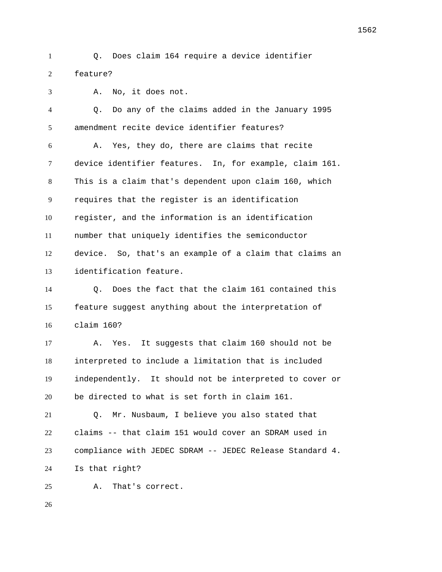Q. Does claim 164 require a device identifier feature?

 A. No, it does not. Q. Do any of the claims added in the January 1995 amendment recite device identifier features? A. Yes, they do, there are claims that recite device identifier features. In, for example, claim 161. This is a claim that's dependent upon claim 160, which requires that the register is an identification register, and the information is an identification number that uniquely identifies the semiconductor device. So, that's an example of a claim that claims an identification feature. Q. Does the fact that the claim 161 contained this feature suggest anything about the interpretation of claim 160? A. Yes. It suggests that claim 160 should not be interpreted to include a limitation that is included independently. It should not be interpreted to cover or be directed to what is set forth in claim 161. Q. Mr. Nusbaum, I believe you also stated that claims -- that claim 151 would cover an SDRAM used in

compliance with JEDEC SDRAM -- JEDEC Release Standard 4.

Is that right?

A. That's correct.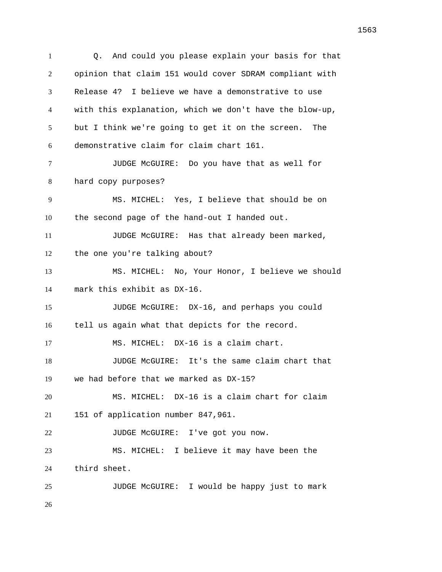Q. And could you please explain your basis for that opinion that claim 151 would cover SDRAM compliant with Release 4? I believe we have a demonstrative to use with this explanation, which we don't have the blow-up, but I think we're going to get it on the screen. The demonstrative claim for claim chart 161. JUDGE McGUIRE: Do you have that as well for hard copy purposes? MS. MICHEL: Yes, I believe that should be on the second page of the hand-out I handed out. JUDGE McGUIRE: Has that already been marked, the one you're talking about? MS. MICHEL: No, Your Honor, I believe we should mark this exhibit as DX-16. JUDGE McGUIRE: DX-16, and perhaps you could tell us again what that depicts for the record. MS. MICHEL: DX-16 is a claim chart. JUDGE McGUIRE: It's the same claim chart that we had before that we marked as DX-15? MS. MICHEL: DX-16 is a claim chart for claim 151 of application number 847,961. 22 JUDGE McGUIRE: I've got you now. MS. MICHEL: I believe it may have been the third sheet. JUDGE McGUIRE: I would be happy just to mark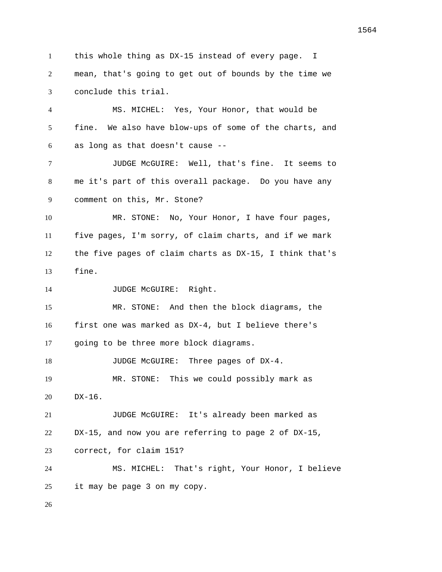this whole thing as DX-15 instead of every page. I mean, that's going to get out of bounds by the time we conclude this trial. MS. MICHEL: Yes, Your Honor, that would be fine. We also have blow-ups of some of the charts, and as long as that doesn't cause -- JUDGE McGUIRE: Well, that's fine. It seems to me it's part of this overall package. Do you have any comment on this, Mr. Stone? MR. STONE: No, Your Honor, I have four pages, five pages, I'm sorry, of claim charts, and if we mark the five pages of claim charts as DX-15, I think that's fine. 14 JUDGE McGUIRE: Right. MR. STONE: And then the block diagrams, the first one was marked as DX-4, but I believe there's going to be three more block diagrams. 18 JUDGE McGUIRE: Three pages of DX-4. MR. STONE: This we could possibly mark as DX-16. JUDGE McGUIRE: It's already been marked as DX-15, and now you are referring to page 2 of DX-15, correct, for claim 151? MS. MICHEL: That's right, Your Honor, I believe it may be page 3 on my copy.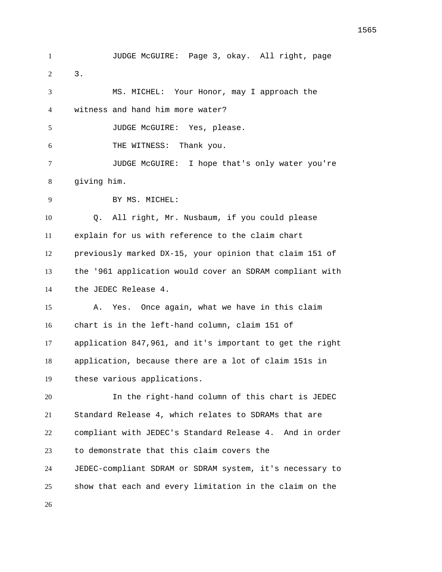JUDGE McGUIRE: Page 3, okay. All right, page 3. MS. MICHEL: Your Honor, may I approach the witness and hand him more water? 5 JUDGE McGUIRE: Yes, please. THE WITNESS: Thank you. JUDGE McGUIRE: I hope that's only water you're giving him. BY MS. MICHEL: Q. All right, Mr. Nusbaum, if you could please explain for us with reference to the claim chart previously marked DX-15, your opinion that claim 151 of the '961 application would cover an SDRAM compliant with the JEDEC Release 4. A. Yes. Once again, what we have in this claim chart is in the left-hand column, claim 151 of application 847,961, and it's important to get the right application, because there are a lot of claim 151s in these various applications. In the right-hand column of this chart is JEDEC Standard Release 4, which relates to SDRAMs that are compliant with JEDEC's Standard Release 4. And in order to demonstrate that this claim covers the JEDEC-compliant SDRAM or SDRAM system, it's necessary to show that each and every limitation in the claim on the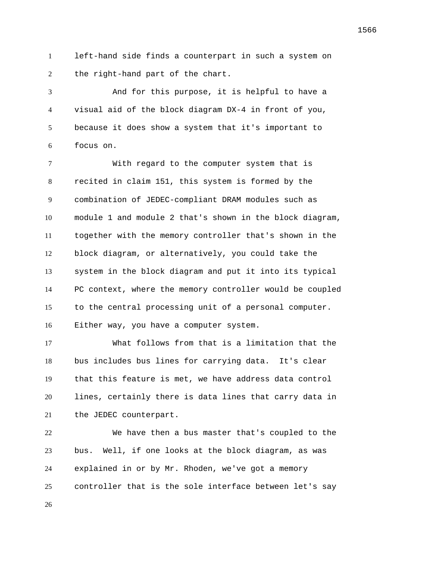left-hand side finds a counterpart in such a system on 2 the right-hand part of the chart.

 And for this purpose, it is helpful to have a visual aid of the block diagram DX-4 in front of you, because it does show a system that it's important to focus on.

 With regard to the computer system that is recited in claim 151, this system is formed by the combination of JEDEC-compliant DRAM modules such as module 1 and module 2 that's shown in the block diagram, together with the memory controller that's shown in the block diagram, or alternatively, you could take the system in the block diagram and put it into its typical PC context, where the memory controller would be coupled to the central processing unit of a personal computer. Either way, you have a computer system.

 What follows from that is a limitation that the bus includes bus lines for carrying data. It's clear that this feature is met, we have address data control lines, certainly there is data lines that carry data in the JEDEC counterpart.

 We have then a bus master that's coupled to the bus. Well, if one looks at the block diagram, as was explained in or by Mr. Rhoden, we've got a memory controller that is the sole interface between let's say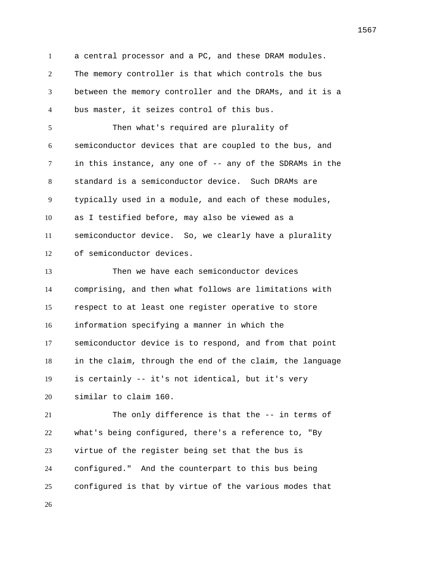a central processor and a PC, and these DRAM modules. The memory controller is that which controls the bus between the memory controller and the DRAMs, and it is a bus master, it seizes control of this bus. Then what's required are plurality of semiconductor devices that are coupled to the bus, and in this instance, any one of -- any of the SDRAMs in the standard is a semiconductor device. Such DRAMs are typically used in a module, and each of these modules, as I testified before, may also be viewed as a semiconductor device. So, we clearly have a plurality of semiconductor devices. Then we have each semiconductor devices comprising, and then what follows are limitations with respect to at least one register operative to store information specifying a manner in which the semiconductor device is to respond, and from that point in the claim, through the end of the claim, the language is certainly -- it's not identical, but it's very similar to claim 160. The only difference is that the -- in terms of what's being configured, there's a reference to, "By virtue of the register being set that the bus is configured." And the counterpart to this bus being configured is that by virtue of the various modes that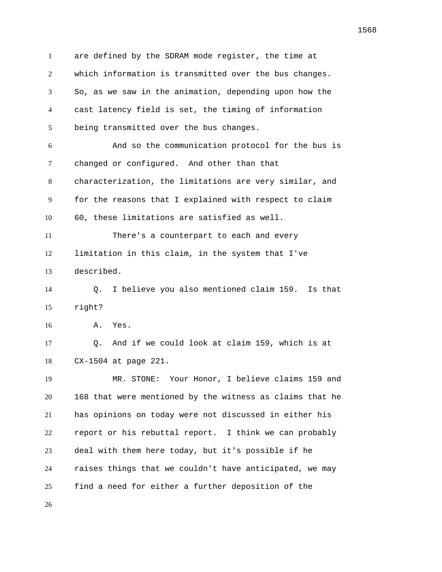are defined by the SDRAM mode register, the time at which information is transmitted over the bus changes. So, as we saw in the animation, depending upon how the cast latency field is set, the timing of information being transmitted over the bus changes. And so the communication protocol for the bus is changed or configured. And other than that characterization, the limitations are very similar, and for the reasons that I explained with respect to claim 60, these limitations are satisfied as well. There's a counterpart to each and every limitation in this claim, in the system that I've described. Q. I believe you also mentioned claim 159. Is that right? A. Yes. Q. And if we could look at claim 159, which is at CX-1504 at page 221. MR. STONE: Your Honor, I believe claims 159 and 168 that were mentioned by the witness as claims that he has opinions on today were not discussed in either his report or his rebuttal report. I think we can probably deal with them here today, but it's possible if he raises things that we couldn't have anticipated, we may find a need for either a further deposition of the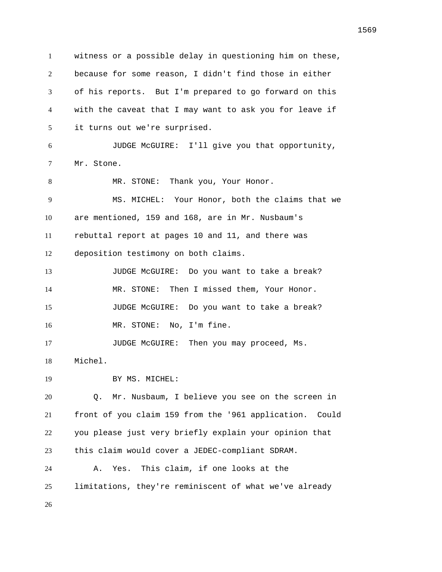witness or a possible delay in questioning him on these, because for some reason, I didn't find those in either of his reports. But I'm prepared to go forward on this with the caveat that I may want to ask you for leave if it turns out we're surprised. JUDGE McGUIRE: I'll give you that opportunity, Mr. Stone. 8 MR. STONE: Thank you, Your Honor. MS. MICHEL: Your Honor, both the claims that we are mentioned, 159 and 168, are in Mr. Nusbaum's rebuttal report at pages 10 and 11, and there was deposition testimony on both claims. JUDGE McGUIRE: Do you want to take a break? MR. STONE: Then I missed them, Your Honor. JUDGE McGUIRE: Do you want to take a break? MR. STONE: No, I'm fine. 17 JUDGE McGUIRE: Then you may proceed, Ms. Michel. 19 BY MS. MICHEL: Q. Mr. Nusbaum, I believe you see on the screen in front of you claim 159 from the '961 application. Could you please just very briefly explain your opinion that this claim would cover a JEDEC-compliant SDRAM. A. Yes. This claim, if one looks at the limitations, they're reminiscent of what we've already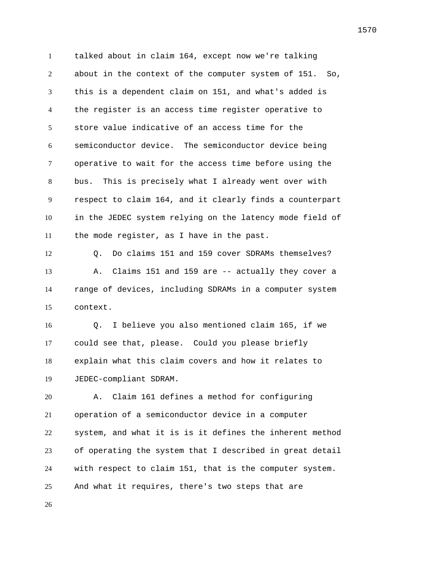talked about in claim 164, except now we're talking about in the context of the computer system of 151. So, this is a dependent claim on 151, and what's added is the register is an access time register operative to store value indicative of an access time for the semiconductor device. The semiconductor device being operative to wait for the access time before using the bus. This is precisely what I already went over with respect to claim 164, and it clearly finds a counterpart in the JEDEC system relying on the latency mode field of the mode register, as I have in the past.

 Q. Do claims 151 and 159 cover SDRAMs themselves? 13 A. Claims 151 and 159 are -- actually they cover a range of devices, including SDRAMs in a computer system context.

 Q. I believe you also mentioned claim 165, if we could see that, please. Could you please briefly explain what this claim covers and how it relates to JEDEC-compliant SDRAM.

 A. Claim 161 defines a method for configuring operation of a semiconductor device in a computer system, and what it is is it defines the inherent method of operating the system that I described in great detail with respect to claim 151, that is the computer system. And what it requires, there's two steps that are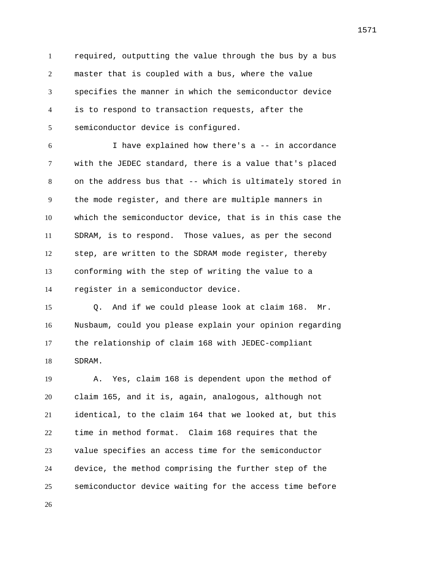required, outputting the value through the bus by a bus master that is coupled with a bus, where the value specifies the manner in which the semiconductor device is to respond to transaction requests, after the semiconductor device is configured.

 I have explained how there's a -- in accordance with the JEDEC standard, there is a value that's placed on the address bus that -- which is ultimately stored in the mode register, and there are multiple manners in which the semiconductor device, that is in this case the SDRAM, is to respond. Those values, as per the second step, are written to the SDRAM mode register, thereby conforming with the step of writing the value to a register in a semiconductor device.

 Q. And if we could please look at claim 168. Mr. Nusbaum, could you please explain your opinion regarding the relationship of claim 168 with JEDEC-compliant SDRAM.

 A. Yes, claim 168 is dependent upon the method of claim 165, and it is, again, analogous, although not identical, to the claim 164 that we looked at, but this time in method format. Claim 168 requires that the value specifies an access time for the semiconductor device, the method comprising the further step of the semiconductor device waiting for the access time before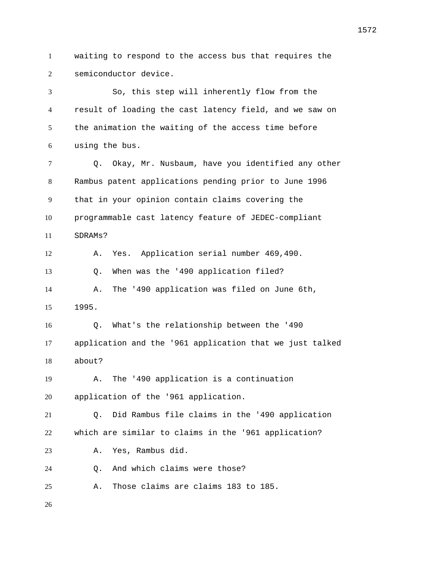waiting to respond to the access bus that requires the semiconductor device.

 So, this step will inherently flow from the result of loading the cast latency field, and we saw on the animation the waiting of the access time before using the bus. Q. Okay, Mr. Nusbaum, have you identified any other Rambus patent applications pending prior to June 1996 that in your opinion contain claims covering the programmable cast latency feature of JEDEC-compliant SDRAMs? A. Yes. Application serial number 469,490. Q. When was the '490 application filed? A. The '490 application was filed on June 6th, 1995. Q. What's the relationship between the '490 application and the '961 application that we just talked about? A. The '490 application is a continuation application of the '961 application. Q. Did Rambus file claims in the '490 application which are similar to claims in the '961 application? A. Yes, Rambus did. Q. And which claims were those? A. Those claims are claims 183 to 185.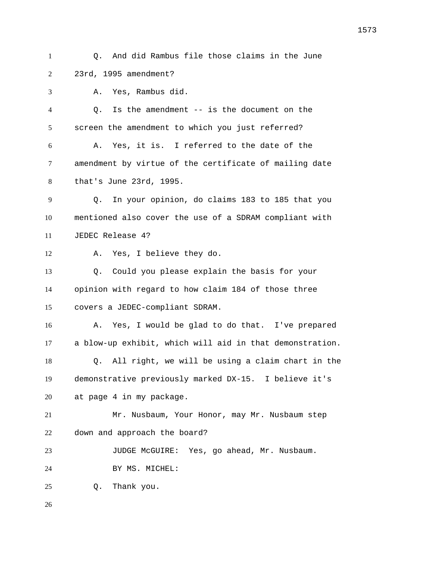Q. And did Rambus file those claims in the June 23rd, 1995 amendment? A. Yes, Rambus did. Q. Is the amendment -- is the document on the screen the amendment to which you just referred? A. Yes, it is. I referred to the date of the amendment by virtue of the certificate of mailing date that's June 23rd, 1995. Q. In your opinion, do claims 183 to 185 that you mentioned also cover the use of a SDRAM compliant with JEDEC Release 4? A. Yes, I believe they do. Q. Could you please explain the basis for your opinion with regard to how claim 184 of those three covers a JEDEC-compliant SDRAM. A. Yes, I would be glad to do that. I've prepared a blow-up exhibit, which will aid in that demonstration. Q. All right, we will be using a claim chart in the demonstrative previously marked DX-15. I believe it's at page 4 in my package. Mr. Nusbaum, Your Honor, may Mr. Nusbaum step down and approach the board? JUDGE McGUIRE: Yes, go ahead, Mr. Nusbaum. BY MS. MICHEL: Q. Thank you.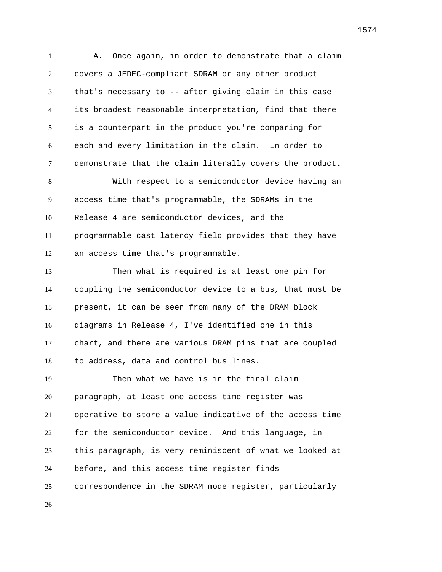A. Once again, in order to demonstrate that a claim covers a JEDEC-compliant SDRAM or any other product that's necessary to -- after giving claim in this case its broadest reasonable interpretation, find that there is a counterpart in the product you're comparing for each and every limitation in the claim. In order to demonstrate that the claim literally covers the product. With respect to a semiconductor device having an access time that's programmable, the SDRAMs in the Release 4 are semiconductor devices, and the programmable cast latency field provides that they have an access time that's programmable. Then what is required is at least one pin for coupling the semiconductor device to a bus, that must be present, it can be seen from many of the DRAM block diagrams in Release 4, I've identified one in this chart, and there are various DRAM pins that are coupled to address, data and control bus lines. Then what we have is in the final claim paragraph, at least one access time register was operative to store a value indicative of the access time for the semiconductor device. And this language, in this paragraph, is very reminiscent of what we looked at before, and this access time register finds correspondence in the SDRAM mode register, particularly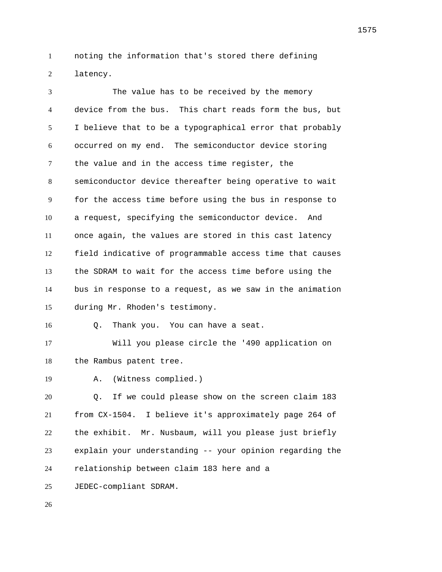noting the information that's stored there defining latency.

 The value has to be received by the memory device from the bus. This chart reads form the bus, but I believe that to be a typographical error that probably occurred on my end. The semiconductor device storing the value and in the access time register, the semiconductor device thereafter being operative to wait for the access time before using the bus in response to a request, specifying the semiconductor device. And once again, the values are stored in this cast latency field indicative of programmable access time that causes the SDRAM to wait for the access time before using the bus in response to a request, as we saw in the animation during Mr. Rhoden's testimony. Q. Thank you. You can have a seat. Will you please circle the '490 application on the Rambus patent tree. A. (Witness complied.)

 Q. If we could please show on the screen claim 183 from CX-1504. I believe it's approximately page 264 of the exhibit. Mr. Nusbaum, will you please just briefly explain your understanding -- your opinion regarding the relationship between claim 183 here and a JEDEC-compliant SDRAM.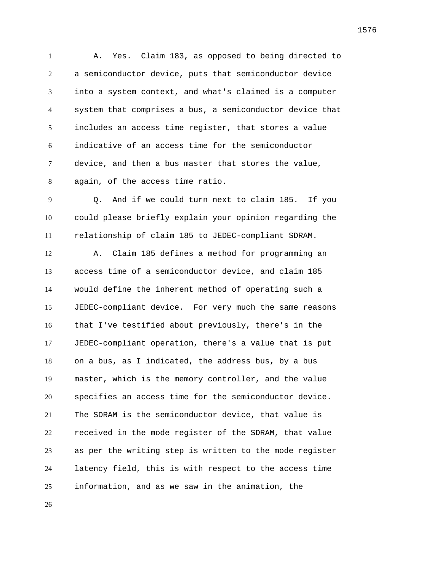A. Yes. Claim 183, as opposed to being directed to a semiconductor device, puts that semiconductor device into a system context, and what's claimed is a computer system that comprises a bus, a semiconductor device that includes an access time register, that stores a value indicative of an access time for the semiconductor device, and then a bus master that stores the value, again, of the access time ratio.

 Q. And if we could turn next to claim 185. If you could please briefly explain your opinion regarding the relationship of claim 185 to JEDEC-compliant SDRAM.

 A. Claim 185 defines a method for programming an access time of a semiconductor device, and claim 185 would define the inherent method of operating such a JEDEC-compliant device. For very much the same reasons that I've testified about previously, there's in the JEDEC-compliant operation, there's a value that is put on a bus, as I indicated, the address bus, by a bus master, which is the memory controller, and the value specifies an access time for the semiconductor device. The SDRAM is the semiconductor device, that value is received in the mode register of the SDRAM, that value as per the writing step is written to the mode register latency field, this is with respect to the access time information, and as we saw in the animation, the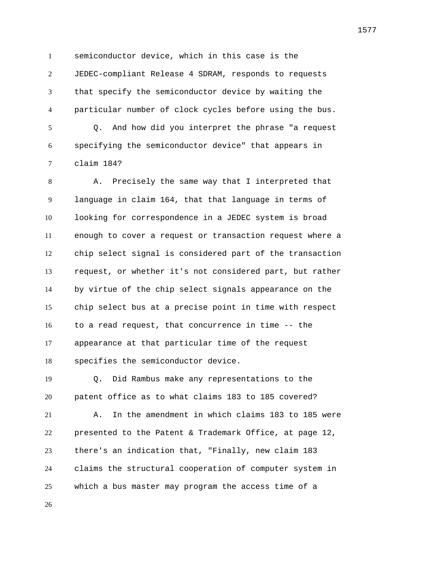semiconductor device, which in this case is the JEDEC-compliant Release 4 SDRAM, responds to requests that specify the semiconductor device by waiting the particular number of clock cycles before using the bus. Q. And how did you interpret the phrase "a request specifying the semiconductor device" that appears in claim 184?

 A. Precisely the same way that I interpreted that language in claim 164, that that language in terms of looking for correspondence in a JEDEC system is broad enough to cover a request or transaction request where a chip select signal is considered part of the transaction request, or whether it's not considered part, but rather by virtue of the chip select signals appearance on the chip select bus at a precise point in time with respect to a read request, that concurrence in time -- the appearance at that particular time of the request specifies the semiconductor device.

 Q. Did Rambus make any representations to the patent office as to what claims 183 to 185 covered? A. In the amendment in which claims 183 to 185 were presented to the Patent & Trademark Office, at page 12, there's an indication that, "Finally, new claim 183 claims the structural cooperation of computer system in which a bus master may program the access time of a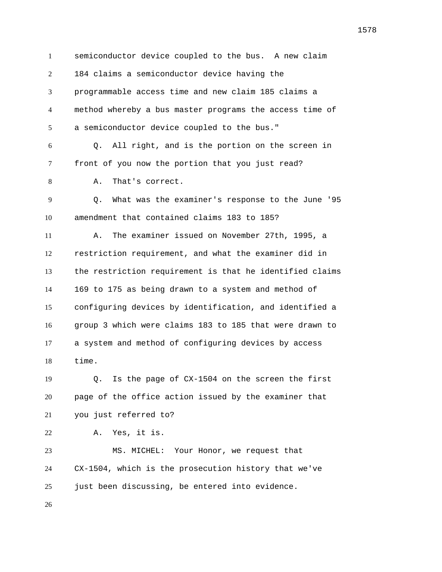semiconductor device coupled to the bus. A new claim 184 claims a semiconductor device having the programmable access time and new claim 185 claims a method whereby a bus master programs the access time of a semiconductor device coupled to the bus." Q. All right, and is the portion on the screen in front of you now the portion that you just read? A. That's correct. Q. What was the examiner's response to the June '95 amendment that contained claims 183 to 185? A. The examiner issued on November 27th, 1995, a restriction requirement, and what the examiner did in the restriction requirement is that he identified claims 169 to 175 as being drawn to a system and method of configuring devices by identification, and identified a group 3 which were claims 183 to 185 that were drawn to a system and method of configuring devices by access time. Q. Is the page of CX-1504 on the screen the first page of the office action issued by the examiner that you just referred to? A. Yes, it is. MS. MICHEL: Your Honor, we request that CX-1504, which is the prosecution history that we've just been discussing, be entered into evidence.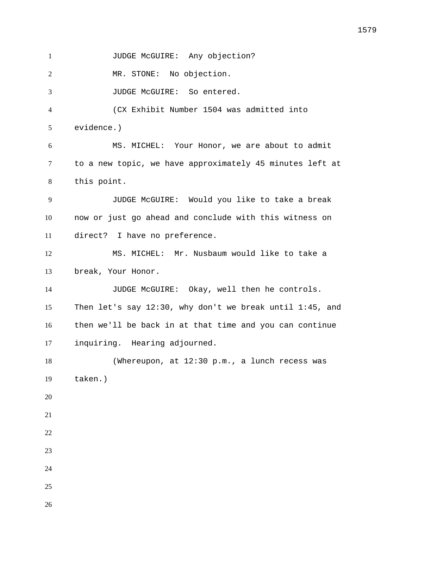1 JUDGE McGUIRE: Any objection?

MR. STONE: No objection.

JUDGE McGUIRE: So entered.

 (CX Exhibit Number 1504 was admitted into evidence.)

 MS. MICHEL: Your Honor, we are about to admit to a new topic, we have approximately 45 minutes left at this point.

 JUDGE McGUIRE: Would you like to take a break now or just go ahead and conclude with this witness on direct? I have no preference.

 MS. MICHEL: Mr. Nusbaum would like to take a break, Your Honor.

 JUDGE McGUIRE: Okay, well then he controls. Then let's say 12:30, why don't we break until 1:45, and then we'll be back in at that time and you can continue inquiring. Hearing adjourned.

18 (Whereupon, at 12:30 p.m., a lunch recess was taken.)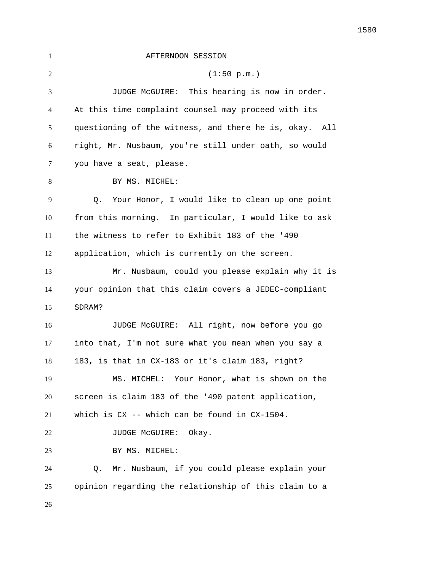| $\mathbf{1}$ | AFTERNOON SESSION                                      |
|--------------|--------------------------------------------------------|
| 2            | (1:50 p.m.)                                            |
| 3            | JUDGE McGUIRE: This hearing is now in order.           |
| 4            | At this time complaint counsel may proceed with its    |
| 5            | questioning of the witness, and there he is, okay. All |
| 6            | right, Mr. Nusbaum, you're still under oath, so would  |
| 7            | you have a seat, please.                               |
| 8            | BY MS. MICHEL:                                         |
| 9            | Your Honor, I would like to clean up one point<br>Q.   |
| 10           | from this morning. In particular, I would like to ask  |
| 11           | the witness to refer to Exhibit 183 of the '490        |
| 12           | application, which is currently on the screen.         |
| 13           | Mr. Nusbaum, could you please explain why it is        |
| 14           | your opinion that this claim covers a JEDEC-compliant  |
| 15           | SDRAM?                                                 |
| 16           | JUDGE McGUIRE: All right, now before you go            |
| 17           | into that, I'm not sure what you mean when you say a   |
| 18           | 183, is that in CX-183 or it's claim 183, right?       |
| 19           | MS. MICHEL: Your Honor, what is shown on the           |
| 20           | screen is claim 183 of the '490 patent application,    |
| 21           | which is $CX$ -- which can be found in $CX-1504$ .     |
| 22           | Okay.<br>JUDGE MCGUIRE:                                |
| 23           | BY MS. MICHEL:                                         |
| 24           | Mr. Nusbaum, if you could please explain your<br>Q.    |
| 25           | opinion regarding the relationship of this claim to a  |
| 26           |                                                        |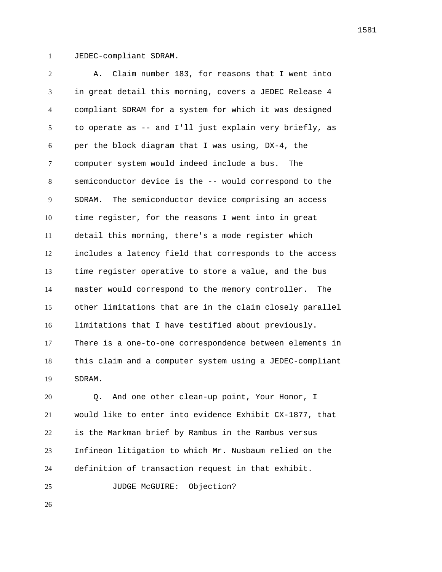JEDEC-compliant SDRAM.

 A. Claim number 183, for reasons that I went into in great detail this morning, covers a JEDEC Release 4 compliant SDRAM for a system for which it was designed to operate as -- and I'll just explain very briefly, as per the block diagram that I was using, DX-4, the computer system would indeed include a bus. The semiconductor device is the -- would correspond to the SDRAM. The semiconductor device comprising an access time register, for the reasons I went into in great detail this morning, there's a mode register which includes a latency field that corresponds to the access time register operative to store a value, and the bus master would correspond to the memory controller. The other limitations that are in the claim closely parallel limitations that I have testified about previously. There is a one-to-one correspondence between elements in this claim and a computer system using a JEDEC-compliant SDRAM.

 Q. And one other clean-up point, Your Honor, I would like to enter into evidence Exhibit CX-1877, that is the Markman brief by Rambus in the Rambus versus Infineon litigation to which Mr. Nusbaum relied on the definition of transaction request in that exhibit.

25 JUDGE McGUIRE: Objection?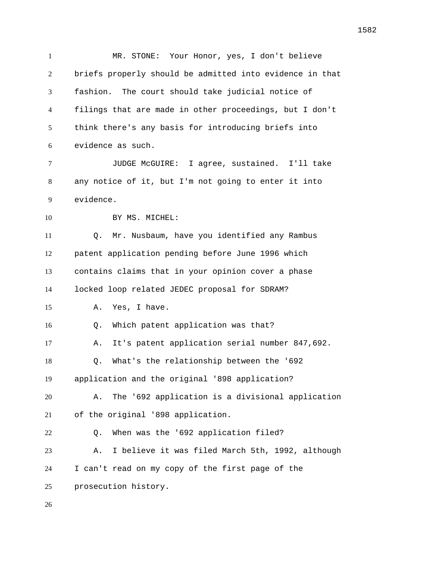MR. STONE: Your Honor, yes, I don't believe briefs properly should be admitted into evidence in that fashion. The court should take judicial notice of filings that are made in other proceedings, but I don't think there's any basis for introducing briefs into evidence as such. JUDGE McGUIRE: I agree, sustained. I'll take any notice of it, but I'm not going to enter it into evidence. 10 BY MS. MICHEL: Q. Mr. Nusbaum, have you identified any Rambus patent application pending before June 1996 which contains claims that in your opinion cover a phase locked loop related JEDEC proposal for SDRAM? A. Yes, I have. Q. Which patent application was that? A. It's patent application serial number 847,692. Q. What's the relationship between the '692 application and the original '898 application? A. The '692 application is a divisional application of the original '898 application. Q. When was the '692 application filed? A. I believe it was filed March 5th, 1992, although I can't read on my copy of the first page of the prosecution history.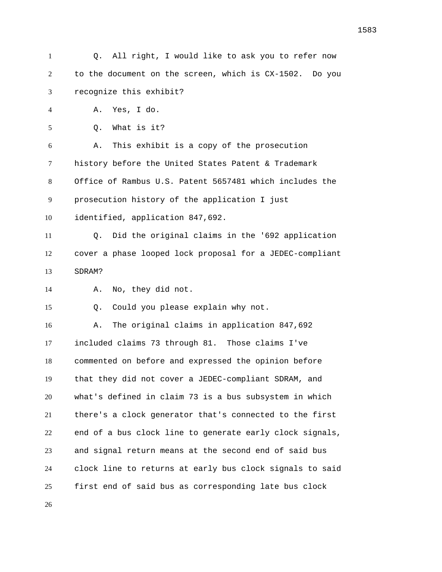Q. All right, I would like to ask you to refer now to the document on the screen, which is CX-1502. Do you recognize this exhibit? A. Yes, I do. Q. What is it? A. This exhibit is a copy of the prosecution history before the United States Patent & Trademark Office of Rambus U.S. Patent 5657481 which includes the prosecution history of the application I just identified, application 847,692. Q. Did the original claims in the '692 application cover a phase looped lock proposal for a JEDEC-compliant SDRAM? A. No, they did not. Q. Could you please explain why not. A. The original claims in application 847,692 included claims 73 through 81. Those claims I've commented on before and expressed the opinion before that they did not cover a JEDEC-compliant SDRAM, and what's defined in claim 73 is a bus subsystem in which there's a clock generator that's connected to the first end of a bus clock line to generate early clock signals, and signal return means at the second end of said bus clock line to returns at early bus clock signals to said first end of said bus as corresponding late bus clock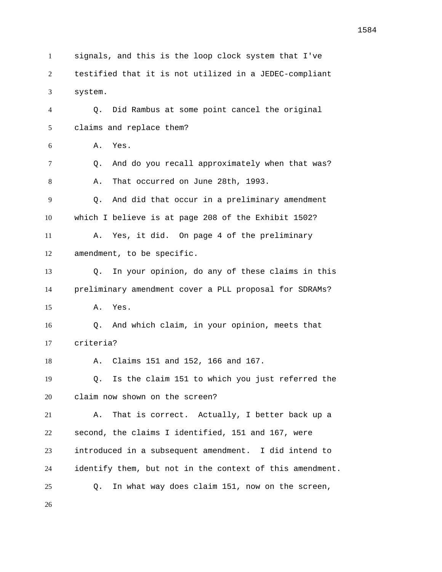signals, and this is the loop clock system that I've testified that it is not utilized in a JEDEC-compliant system. Q. Did Rambus at some point cancel the original claims and replace them? A. Yes. Q. And do you recall approximately when that was? A. That occurred on June 28th, 1993. Q. And did that occur in a preliminary amendment which I believe is at page 208 of the Exhibit 1502? A. Yes, it did. On page 4 of the preliminary amendment, to be specific. Q. In your opinion, do any of these claims in this preliminary amendment cover a PLL proposal for SDRAMs? A. Yes. Q. And which claim, in your opinion, meets that criteria? A. Claims 151 and 152, 166 and 167. Q. Is the claim 151 to which you just referred the claim now shown on the screen? A. That is correct. Actually, I better back up a second, the claims I identified, 151 and 167, were introduced in a subsequent amendment. I did intend to identify them, but not in the context of this amendment. Q. In what way does claim 151, now on the screen,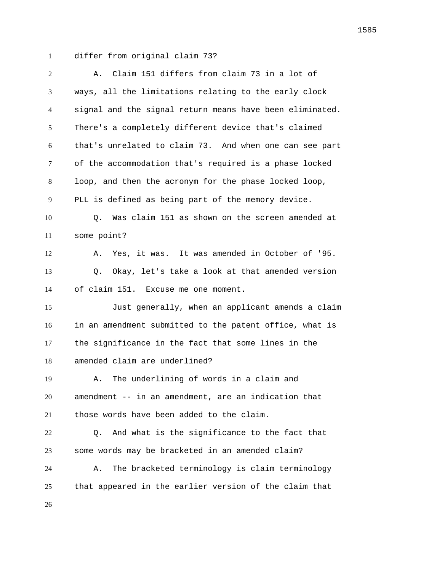differ from original claim 73?

| $\overline{2}$ | Claim 151 differs from claim 73 in a lot of<br>Α.        |
|----------------|----------------------------------------------------------|
| 3              | ways, all the limitations relating to the early clock    |
| $\overline{4}$ | signal and the signal return means have been eliminated. |
| 5              | There's a completely different device that's claimed     |
| 6              | that's unrelated to claim 73. And when one can see part  |
| $\tau$         | of the accommodation that's required is a phase locked   |
| 8              | loop, and then the acronym for the phase locked loop,    |
| 9              | PLL is defined as being part of the memory device.       |
| 10             | Was claim 151 as shown on the screen amended at<br>Q.    |
| 11             | some point?                                              |
| 12             | Yes, it was. It was amended in October of '95.<br>Α.     |
| 13             | Okay, let's take a look at that amended version<br>Q.    |
| 14             | of claim 151. Excuse me one moment.                      |
| 15             | Just generally, when an applicant amends a claim         |
| 16             | in an amendment submitted to the patent office, what is  |
| 17             | the significance in the fact that some lines in the      |
| 18             | amended claim are underlined?                            |
| 19             | The underlining of words in a claim and<br>Α.            |
| 20             | amendment -- in an amendment, are an indication that     |
| 21             | those words have been added to the claim.                |
| 22             | And what is the significance to the fact that<br>О.      |
| 23             | some words may be bracketed in an amended claim?         |
| 24             | The bracketed terminology is claim terminology<br>Α.     |
| 25             | that appeared in the earlier version of the claim that   |
| 26             |                                                          |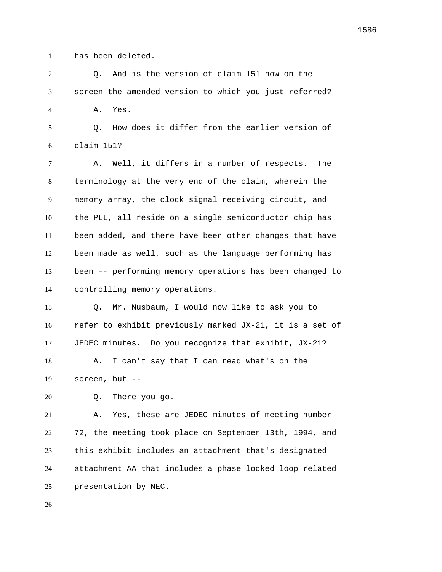has been deleted.

 Q. And is the version of claim 151 now on the screen the amended version to which you just referred? A. Yes.

 Q. How does it differ from the earlier version of claim 151?

 A. Well, it differs in a number of respects. The terminology at the very end of the claim, wherein the memory array, the clock signal receiving circuit, and the PLL, all reside on a single semiconductor chip has been added, and there have been other changes that have been made as well, such as the language performing has been -- performing memory operations has been changed to controlling memory operations.

 Q. Mr. Nusbaum, I would now like to ask you to refer to exhibit previously marked JX-21, it is a set of JEDEC minutes. Do you recognize that exhibit, JX-21?

 A. I can't say that I can read what's on the screen, but --

Q. There you go.

 A. Yes, these are JEDEC minutes of meeting number 72, the meeting took place on September 13th, 1994, and this exhibit includes an attachment that's designated attachment AA that includes a phase locked loop related presentation by NEC.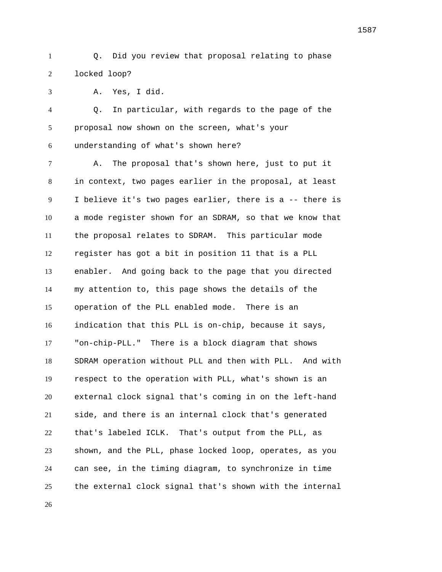Q. Did you review that proposal relating to phase locked loop?

A. Yes, I did.

 Q. In particular, with regards to the page of the proposal now shown on the screen, what's your understanding of what's shown here?

 A. The proposal that's shown here, just to put it in context, two pages earlier in the proposal, at least I believe it's two pages earlier, there is a -- there is a mode register shown for an SDRAM, so that we know that the proposal relates to SDRAM. This particular mode register has got a bit in position 11 that is a PLL enabler. And going back to the page that you directed my attention to, this page shows the details of the operation of the PLL enabled mode. There is an indication that this PLL is on-chip, because it says, "on-chip-PLL." There is a block diagram that shows SDRAM operation without PLL and then with PLL. And with respect to the operation with PLL, what's shown is an external clock signal that's coming in on the left-hand side, and there is an internal clock that's generated that's labeled ICLK. That's output from the PLL, as shown, and the PLL, phase locked loop, operates, as you can see, in the timing diagram, to synchronize in time the external clock signal that's shown with the internal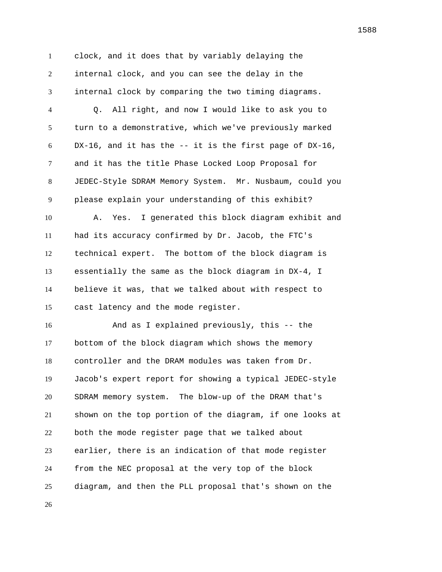clock, and it does that by variably delaying the internal clock, and you can see the delay in the internal clock by comparing the two timing diagrams.

 Q. All right, and now I would like to ask you to turn to a demonstrative, which we've previously marked DX-16, and it has the -- it is the first page of DX-16, and it has the title Phase Locked Loop Proposal for JEDEC-Style SDRAM Memory System. Mr. Nusbaum, could you please explain your understanding of this exhibit? A. Yes. I generated this block diagram exhibit and had its accuracy confirmed by Dr. Jacob, the FTC's technical expert. The bottom of the block diagram is essentially the same as the block diagram in DX-4, I believe it was, that we talked about with respect to cast latency and the mode register.

 And as I explained previously, this -- the bottom of the block diagram which shows the memory controller and the DRAM modules was taken from Dr. Jacob's expert report for showing a typical JEDEC-style SDRAM memory system. The blow-up of the DRAM that's shown on the top portion of the diagram, if one looks at both the mode register page that we talked about earlier, there is an indication of that mode register from the NEC proposal at the very top of the block diagram, and then the PLL proposal that's shown on the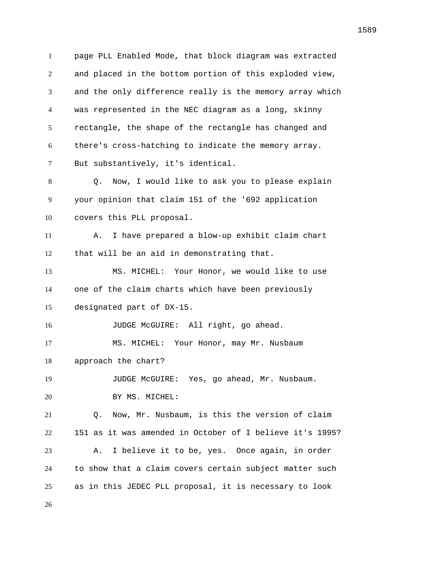page PLL Enabled Mode, that block diagram was extracted and placed in the bottom portion of this exploded view, and the only difference really is the memory array which was represented in the NEC diagram as a long, skinny rectangle, the shape of the rectangle has changed and there's cross-hatching to indicate the memory array. But substantively, it's identical. Q. Now, I would like to ask you to please explain your opinion that claim 151 of the '692 application covers this PLL proposal. A. I have prepared a blow-up exhibit claim chart that will be an aid in demonstrating that. MS. MICHEL: Your Honor, we would like to use one of the claim charts which have been previously designated part of DX-15. 16 JUDGE McGUIRE: All right, go ahead. MS. MICHEL: Your Honor, may Mr. Nusbaum approach the chart? JUDGE McGUIRE: Yes, go ahead, Mr. Nusbaum. 20 BY MS. MICHEL: Q. Now, Mr. Nusbaum, is this the version of claim 151 as it was amended in October of I believe it's 1995? A. I believe it to be, yes. Once again, in order to show that a claim covers certain subject matter such as in this JEDEC PLL proposal, it is necessary to look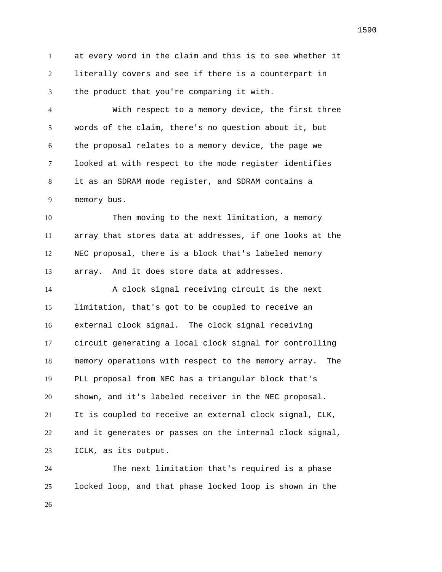at every word in the claim and this is to see whether it literally covers and see if there is a counterpart in the product that you're comparing it with.

 With respect to a memory device, the first three words of the claim, there's no question about it, but the proposal relates to a memory device, the page we looked at with respect to the mode register identifies it as an SDRAM mode register, and SDRAM contains a memory bus.

 Then moving to the next limitation, a memory array that stores data at addresses, if one looks at the NEC proposal, there is a block that's labeled memory array. And it does store data at addresses.

 A clock signal receiving circuit is the next limitation, that's got to be coupled to receive an external clock signal. The clock signal receiving circuit generating a local clock signal for controlling memory operations with respect to the memory array. The PLL proposal from NEC has a triangular block that's shown, and it's labeled receiver in the NEC proposal. It is coupled to receive an external clock signal, CLK, and it generates or passes on the internal clock signal, ICLK, as its output.

 The next limitation that's required is a phase locked loop, and that phase locked loop is shown in the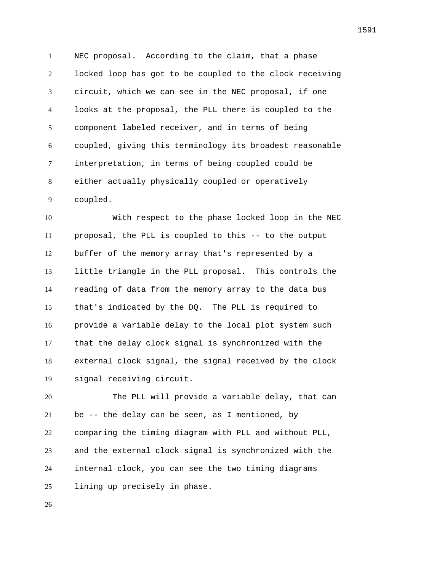NEC proposal. According to the claim, that a phase locked loop has got to be coupled to the clock receiving circuit, which we can see in the NEC proposal, if one looks at the proposal, the PLL there is coupled to the component labeled receiver, and in terms of being coupled, giving this terminology its broadest reasonable interpretation, in terms of being coupled could be either actually physically coupled or operatively coupled.

 With respect to the phase locked loop in the NEC proposal, the PLL is coupled to this -- to the output buffer of the memory array that's represented by a little triangle in the PLL proposal. This controls the reading of data from the memory array to the data bus that's indicated by the DQ. The PLL is required to provide a variable delay to the local plot system such that the delay clock signal is synchronized with the external clock signal, the signal received by the clock signal receiving circuit.

 The PLL will provide a variable delay, that can be -- the delay can be seen, as I mentioned, by comparing the timing diagram with PLL and without PLL, and the external clock signal is synchronized with the internal clock, you can see the two timing diagrams lining up precisely in phase.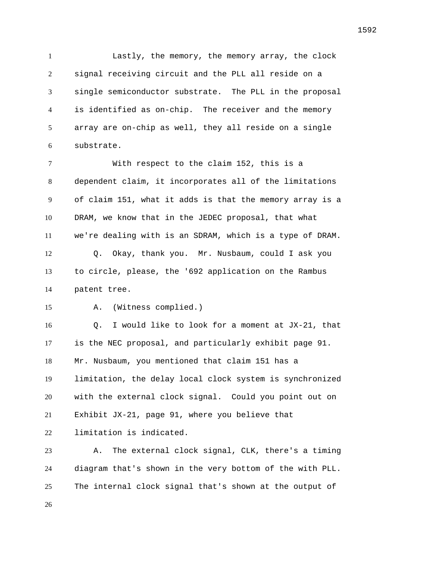Lastly, the memory, the memory array, the clock signal receiving circuit and the PLL all reside on a single semiconductor substrate. The PLL in the proposal is identified as on-chip. The receiver and the memory array are on-chip as well, they all reside on a single substrate.

 With respect to the claim 152, this is a dependent claim, it incorporates all of the limitations of claim 151, what it adds is that the memory array is a DRAM, we know that in the JEDEC proposal, that what we're dealing with is an SDRAM, which is a type of DRAM. Q. Okay, thank you. Mr. Nusbaum, could I ask you to circle, please, the '692 application on the Rambus patent tree.

A. (Witness complied.)

 Q. I would like to look for a moment at JX-21, that is the NEC proposal, and particularly exhibit page 91. Mr. Nusbaum, you mentioned that claim 151 has a limitation, the delay local clock system is synchronized with the external clock signal. Could you point out on Exhibit JX-21, page 91, where you believe that limitation is indicated.

 A. The external clock signal, CLK, there's a timing diagram that's shown in the very bottom of the with PLL. The internal clock signal that's shown at the output of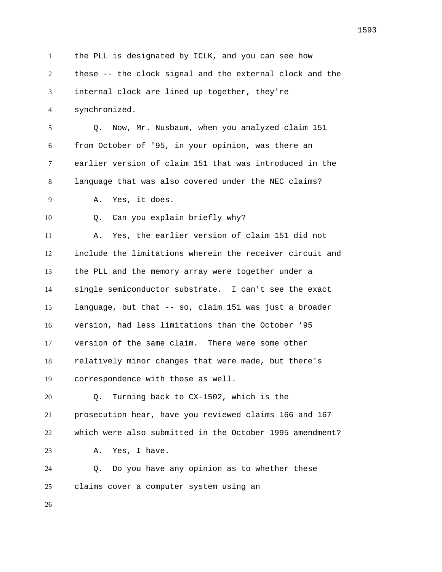the PLL is designated by ICLK, and you can see how these -- the clock signal and the external clock and the internal clock are lined up together, they're synchronized. Q. Now, Mr. Nusbaum, when you analyzed claim 151 from October of '95, in your opinion, was there an earlier version of claim 151 that was introduced in the language that was also covered under the NEC claims? A. Yes, it does. Q. Can you explain briefly why? A. Yes, the earlier version of claim 151 did not include the limitations wherein the receiver circuit and the PLL and the memory array were together under a single semiconductor substrate. I can't see the exact language, but that -- so, claim 151 was just a broader version, had less limitations than the October '95 version of the same claim. There were some other relatively minor changes that were made, but there's correspondence with those as well. Q. Turning back to CX-1502, which is the prosecution hear, have you reviewed claims 166 and 167 which were also submitted in the October 1995 amendment? A. Yes, I have. Q. Do you have any opinion as to whether these claims cover a computer system using an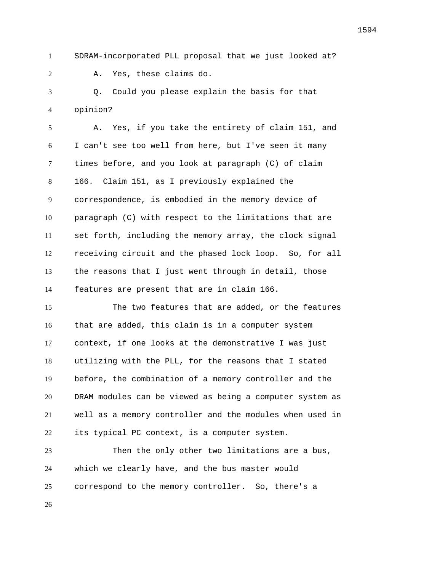SDRAM-incorporated PLL proposal that we just looked at?

A. Yes, these claims do.

 Q. Could you please explain the basis for that opinion?

 A. Yes, if you take the entirety of claim 151, and I can't see too well from here, but I've seen it many times before, and you look at paragraph (C) of claim 166. Claim 151, as I previously explained the correspondence, is embodied in the memory device of paragraph (C) with respect to the limitations that are set forth, including the memory array, the clock signal receiving circuit and the phased lock loop. So, for all the reasons that I just went through in detail, those features are present that are in claim 166.

 The two features that are added, or the features that are added, this claim is in a computer system context, if one looks at the demonstrative I was just utilizing with the PLL, for the reasons that I stated before, the combination of a memory controller and the DRAM modules can be viewed as being a computer system as well as a memory controller and the modules when used in its typical PC context, is a computer system.

 Then the only other two limitations are a bus, which we clearly have, and the bus master would correspond to the memory controller. So, there's a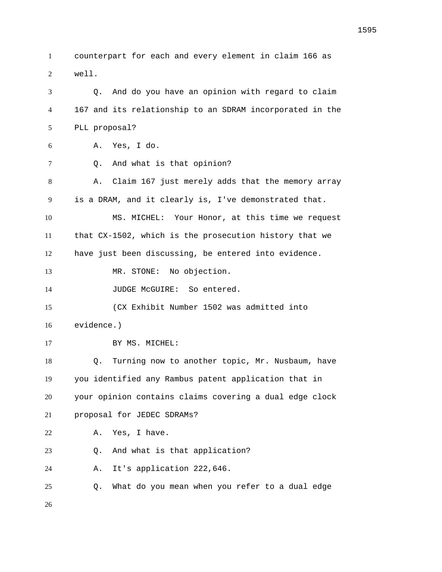counterpart for each and every element in claim 166 as well. Q. And do you have an opinion with regard to claim

167 and its relationship to an SDRAM incorporated in the

 PLL proposal? A. Yes, I do. Q. And what is that opinion? A. Claim 167 just merely adds that the memory array is a DRAM, and it clearly is, I've demonstrated that. MS. MICHEL: Your Honor, at this time we request that CX-1502, which is the prosecution history that we have just been discussing, be entered into evidence. 13 MR. STONE: No objection. 14 JUDGE McGUIRE: So entered. (CX Exhibit Number 1502 was admitted into evidence.) 17 BY MS. MICHEL: Q. Turning now to another topic, Mr. Nusbaum, have you identified any Rambus patent application that in your opinion contains claims covering a dual edge clock proposal for JEDEC SDRAMs? A. Yes, I have. Q. And what is that application? A. It's application 222,646. Q. What do you mean when you refer to a dual edge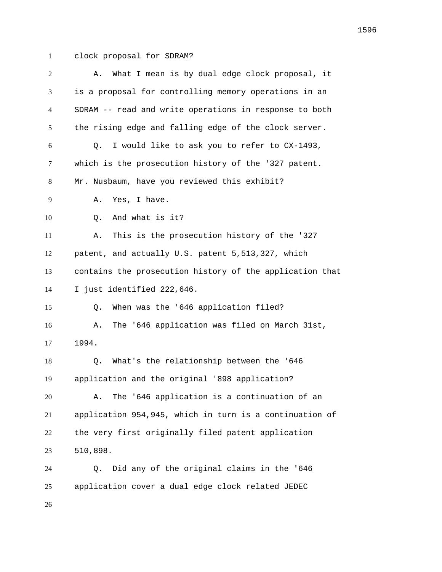clock proposal for SDRAM?

| 2  | What I mean is by dual edge clock proposal, it<br>Α.     |
|----|----------------------------------------------------------|
| 3  | is a proposal for controlling memory operations in an    |
| 4  | SDRAM -- read and write operations in response to both   |
| 5  | the rising edge and falling edge of the clock server.    |
| 6  | I would like to ask you to refer to CX-1493,<br>0.       |
| 7  | which is the prosecution history of the '327 patent.     |
| 8  | Mr. Nusbaum, have you reviewed this exhibit?             |
| 9  | Yes, I have.<br>Α.                                       |
| 10 | And what is it?<br>Q.                                    |
| 11 | This is the prosecution history of the '327<br>Α.        |
| 12 | patent, and actually U.S. patent 5,513,327, which        |
| 13 | contains the prosecution history of the application that |
| 14 | I just identified 222,646.                               |
| 15 | When was the '646 application filed?<br>Q.               |
| 16 | The '646 application was filed on March 31st,<br>Α.      |
| 17 | 1994.                                                    |
| 18 | What's the relationship between the '646<br>Q.           |
| 19 | application and the original '898 application?           |
| 20 | The '646 application is a continuation of an<br>Α.       |
| 21 | application 954,945, which in turn is a continuation of  |
| 22 | the very first originally filed patent application       |
| 23 | 510,898.                                                 |
| 24 | Did any of the original claims in the '646<br>Q.         |
| 25 | application cover a dual edge clock related JEDEC        |
| 26 |                                                          |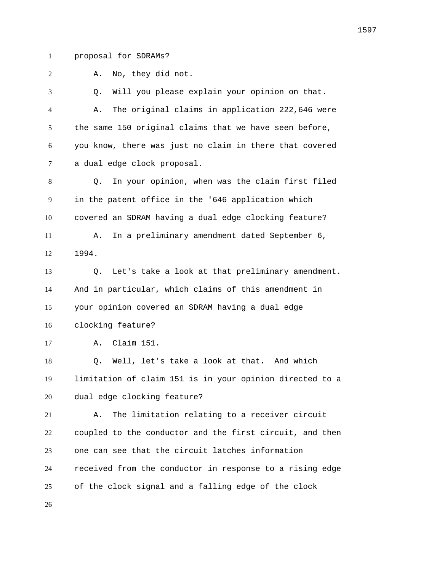proposal for SDRAMs?

A. No, they did not.

 Q. Will you please explain your opinion on that. A. The original claims in application 222,646 were the same 150 original claims that we have seen before, you know, there was just no claim in there that covered a dual edge clock proposal. Q. In your opinion, when was the claim first filed in the patent office in the '646 application which covered an SDRAM having a dual edge clocking feature? A. In a preliminary amendment dated September 6, 1994. Q. Let's take a look at that preliminary amendment. And in particular, which claims of this amendment in your opinion covered an SDRAM having a dual edge clocking feature? A. Claim 151. Q. Well, let's take a look at that. And which limitation of claim 151 is in your opinion directed to a dual edge clocking feature? A. The limitation relating to a receiver circuit coupled to the conductor and the first circuit, and then one can see that the circuit latches information

of the clock signal and a falling edge of the clock

received from the conductor in response to a rising edge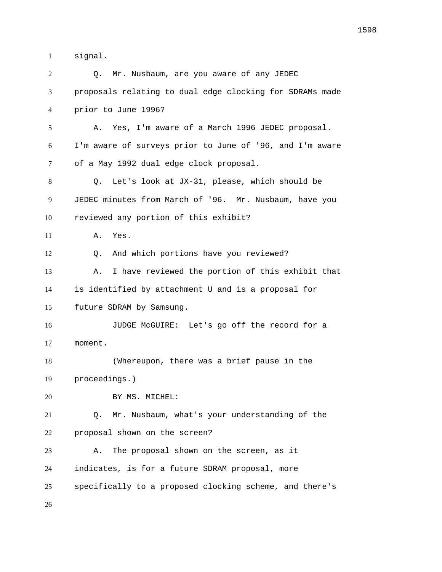signal.

| 2  | Mr. Nusbaum, are you aware of any JEDEC<br>О.            |
|----|----------------------------------------------------------|
| 3  | proposals relating to dual edge clocking for SDRAMs made |
| 4  | prior to June 1996?                                      |
| 5  | Yes, I'm aware of a March 1996 JEDEC proposal.<br>Α.     |
| 6  | I'm aware of surveys prior to June of '96, and I'm aware |
| 7  | of a May 1992 dual edge clock proposal.                  |
| 8  | Let's look at JX-31, please, which should be<br>Q.       |
| 9  | JEDEC minutes from March of '96. Mr. Nusbaum, have you   |
| 10 | reviewed any portion of this exhibit?                    |
| 11 | Α.<br>Yes.                                               |
| 12 | And which portions have you reviewed?<br>O.              |
| 13 | I have reviewed the portion of this exhibit that<br>Α.   |
| 14 | is identified by attachment U and is a proposal for      |
| 15 | future SDRAM by Samsung.                                 |
| 16 | JUDGE McGUIRE: Let's go off the record for a             |
| 17 | moment.                                                  |
| 18 | (Whereupon, there was a brief pause in the               |
| 19 | proceedings.)                                            |
| 20 | BY MS. MICHEL:                                           |
| 21 | Mr. Nusbaum, what's your understanding of the<br>Q.      |
| 22 | proposal shown on the screen?                            |
| 23 | The proposal shown on the screen, as it<br>Α.            |
| 24 | indicates, is for a future SDRAM proposal, more          |
| 25 | specifically to a proposed clocking scheme, and there's  |
| 26 |                                                          |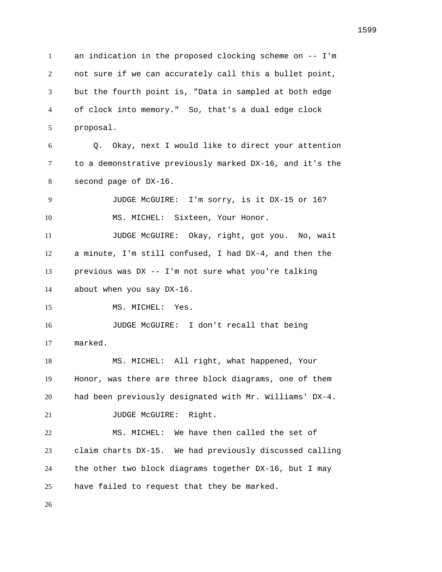an indication in the proposed clocking scheme on -- I'm not sure if we can accurately call this a bullet point, but the fourth point is, "Data in sampled at both edge of clock into memory." So, that's a dual edge clock proposal. Q. Okay, next I would like to direct your attention to a demonstrative previously marked DX-16, and it's the second page of DX-16. JUDGE McGUIRE: I'm sorry, is it DX-15 or 16? 10 MS. MICHEL: Sixteen, Your Honor. JUDGE McGUIRE: Okay, right, got you. No, wait a minute, I'm still confused, I had DX-4, and then the previous was DX -- I'm not sure what you're talking about when you say DX-16. 15 MS. MICHEL: Yes. JUDGE McGUIRE: I don't recall that being marked. MS. MICHEL: All right, what happened, Your Honor, was there are three block diagrams, one of them had been previously designated with Mr. Williams' DX-4. 21 JUDGE McGUIRE: Right. MS. MICHEL: We have then called the set of claim charts DX-15. We had previously discussed calling the other two block diagrams together DX-16, but I may have failed to request that they be marked.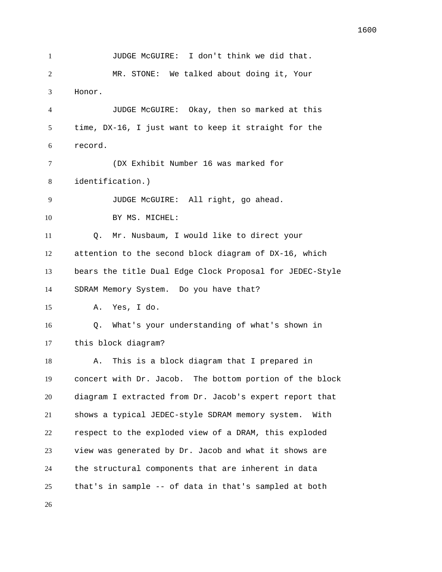1 JUDGE McGUIRE: I don't think we did that. MR. STONE: We talked about doing it, Your Honor. JUDGE McGUIRE: Okay, then so marked at this time, DX-16, I just want to keep it straight for the record. (DX Exhibit Number 16 was marked for identification.) JUDGE McGUIRE: All right, go ahead. 10 BY MS. MICHEL: Q. Mr. Nusbaum, I would like to direct your attention to the second block diagram of DX-16, which bears the title Dual Edge Clock Proposal for JEDEC-Style SDRAM Memory System. Do you have that? A. Yes, I do. Q. What's your understanding of what's shown in this block diagram? A. This is a block diagram that I prepared in concert with Dr. Jacob. The bottom portion of the block diagram I extracted from Dr. Jacob's expert report that shows a typical JEDEC-style SDRAM memory system. With respect to the exploded view of a DRAM, this exploded view was generated by Dr. Jacob and what it shows are the structural components that are inherent in data that's in sample -- of data in that's sampled at both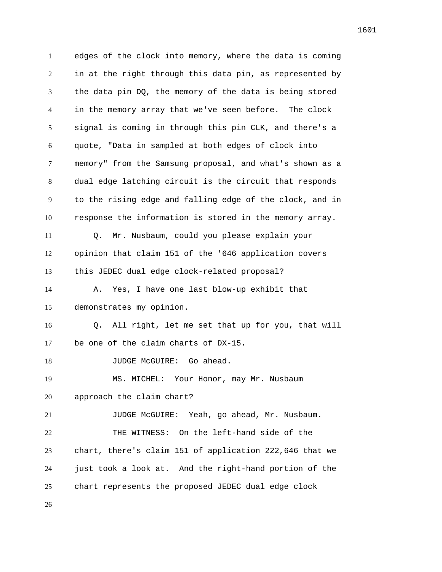edges of the clock into memory, where the data is coming in at the right through this data pin, as represented by the data pin DQ, the memory of the data is being stored in the memory array that we've seen before. The clock signal is coming in through this pin CLK, and there's a quote, "Data in sampled at both edges of clock into memory" from the Samsung proposal, and what's shown as a dual edge latching circuit is the circuit that responds to the rising edge and falling edge of the clock, and in response the information is stored in the memory array. Q. Mr. Nusbaum, could you please explain your opinion that claim 151 of the '646 application covers this JEDEC dual edge clock-related proposal? A. Yes, I have one last blow-up exhibit that demonstrates my opinion. Q. All right, let me set that up for you, that will be one of the claim charts of DX-15. 18 JUDGE McGUIRE: Go ahead. MS. MICHEL: Your Honor, may Mr. Nusbaum approach the claim chart? JUDGE McGUIRE: Yeah, go ahead, Mr. Nusbaum. THE WITNESS: On the left-hand side of the chart, there's claim 151 of application 222,646 that we just took a look at. And the right-hand portion of the chart represents the proposed JEDEC dual edge clock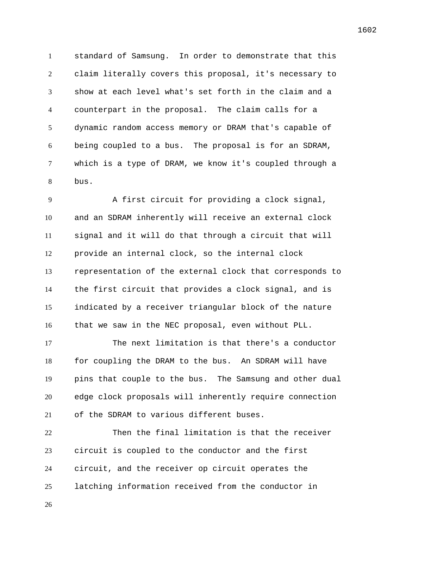standard of Samsung. In order to demonstrate that this claim literally covers this proposal, it's necessary to show at each level what's set forth in the claim and a counterpart in the proposal. The claim calls for a dynamic random access memory or DRAM that's capable of being coupled to a bus. The proposal is for an SDRAM, which is a type of DRAM, we know it's coupled through a bus.

 A first circuit for providing a clock signal, and an SDRAM inherently will receive an external clock signal and it will do that through a circuit that will provide an internal clock, so the internal clock representation of the external clock that corresponds to the first circuit that provides a clock signal, and is indicated by a receiver triangular block of the nature that we saw in the NEC proposal, even without PLL.

 The next limitation is that there's a conductor for coupling the DRAM to the bus. An SDRAM will have pins that couple to the bus. The Samsung and other dual edge clock proposals will inherently require connection of the SDRAM to various different buses.

 Then the final limitation is that the receiver circuit is coupled to the conductor and the first circuit, and the receiver op circuit operates the latching information received from the conductor in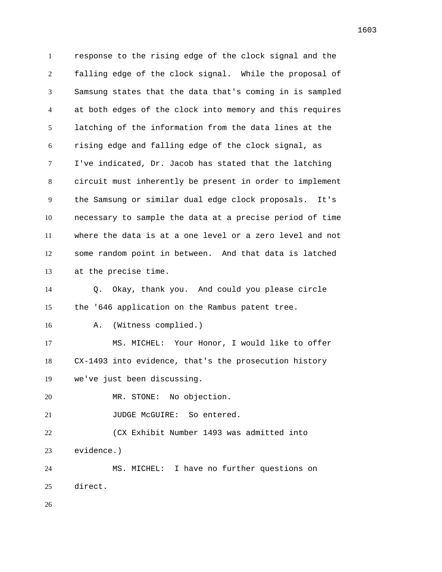response to the rising edge of the clock signal and the falling edge of the clock signal. While the proposal of Samsung states that the data that's coming in is sampled at both edges of the clock into memory and this requires latching of the information from the data lines at the rising edge and falling edge of the clock signal, as I've indicated, Dr. Jacob has stated that the latching circuit must inherently be present in order to implement the Samsung or similar dual edge clock proposals. It's necessary to sample the data at a precise period of time where the data is at a one level or a zero level and not some random point in between. And that data is latched at the precise time. Q. Okay, thank you. And could you please circle the '646 application on the Rambus patent tree. A. (Witness complied.) MS. MICHEL: Your Honor, I would like to offer CX-1493 into evidence, that's the prosecution history we've just been discussing. MR. STONE: No objection. 21 JUDGE McGUIRE: So entered. (CX Exhibit Number 1493 was admitted into evidence.) MS. MICHEL: I have no further questions on direct.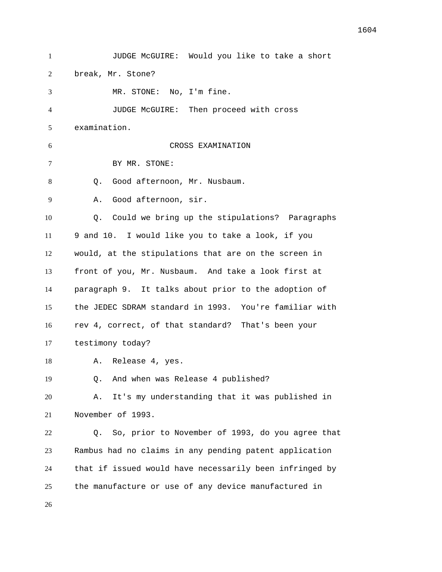JUDGE McGUIRE: Would you like to take a short break, Mr. Stone? MR. STONE: No, I'm fine. JUDGE McGUIRE: Then proceed with cross examination. CROSS EXAMINATION BY MR. STONE: Q. Good afternoon, Mr. Nusbaum. A. Good afternoon, sir. Q. Could we bring up the stipulations? Paragraphs 9 and 10. I would like you to take a look, if you would, at the stipulations that are on the screen in front of you, Mr. Nusbaum. And take a look first at paragraph 9. It talks about prior to the adoption of the JEDEC SDRAM standard in 1993. You're familiar with rev 4, correct, of that standard? That's been your testimony today? A. Release 4, yes. Q. And when was Release 4 published? A. It's my understanding that it was published in November of 1993. Q. So, prior to November of 1993, do you agree that Rambus had no claims in any pending patent application that if issued would have necessarily been infringed by the manufacture or use of any device manufactured in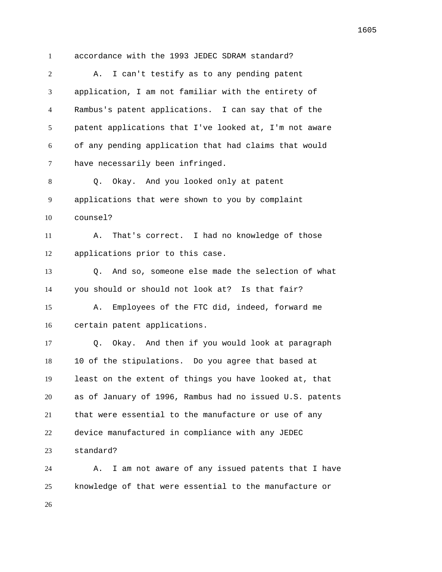accordance with the 1993 JEDEC SDRAM standard?

| 2  | I can't testify as to any pending patent<br>Α.           |
|----|----------------------------------------------------------|
| 3  | application, I am not familiar with the entirety of      |
| 4  | Rambus's patent applications. I can say that of the      |
| 5  | patent applications that I've looked at, I'm not aware   |
| 6  | of any pending application that had claims that would    |
| 7  | have necessarily been infringed.                         |
| 8  | Okay. And you looked only at patent<br>$Q_{\star}$       |
| 9  | applications that were shown to you by complaint         |
| 10 | counsel?                                                 |
| 11 | That's correct. I had no knowledge of those<br>Α.        |
| 12 | applications prior to this case.                         |
| 13 | And so, someone else made the selection of what<br>O.    |
| 14 | you should or should not look at? Is that fair?          |
| 15 | Employees of the FTC did, indeed, forward me<br>Α.       |
| 16 | certain patent applications.                             |
| 17 | Okay. And then if you would look at paragraph<br>O.      |
| 18 | 10 of the stipulations. Do you agree that based at       |
| 19 | least on the extent of things you have looked at, that   |
| 20 | as of January of 1996, Rambus had no issued U.S. patents |
| 21 | that were essential to the manufacture or use of any     |
| 22 | device manufactured in compliance with any JEDEC         |
| 23 | standard?                                                |
| 24 | I am not aware of any issued patents that I have<br>Α.   |

knowledge of that were essential to the manufacture or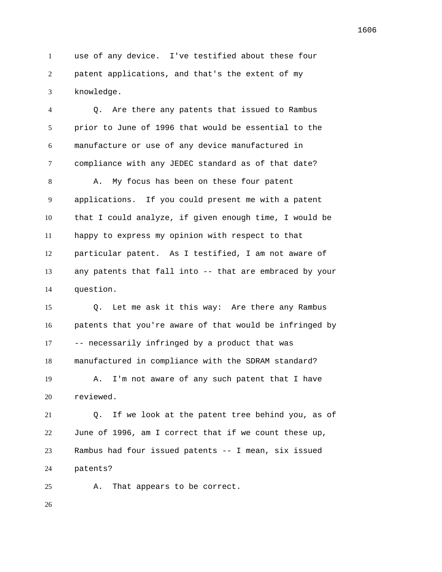use of any device. I've testified about these four patent applications, and that's the extent of my knowledge.

 Q. Are there any patents that issued to Rambus prior to June of 1996 that would be essential to the manufacture or use of any device manufactured in compliance with any JEDEC standard as of that date?

8 A. My focus has been on these four patent applications. If you could present me with a patent that I could analyze, if given enough time, I would be happy to express my opinion with respect to that particular patent. As I testified, I am not aware of any patents that fall into -- that are embraced by your question.

 Q. Let me ask it this way: Are there any Rambus patents that you're aware of that would be infringed by -- necessarily infringed by a product that was manufactured in compliance with the SDRAM standard?

 A. I'm not aware of any such patent that I have reviewed.

 Q. If we look at the patent tree behind you, as of June of 1996, am I correct that if we count these up, Rambus had four issued patents -- I mean, six issued patents?

A. That appears to be correct.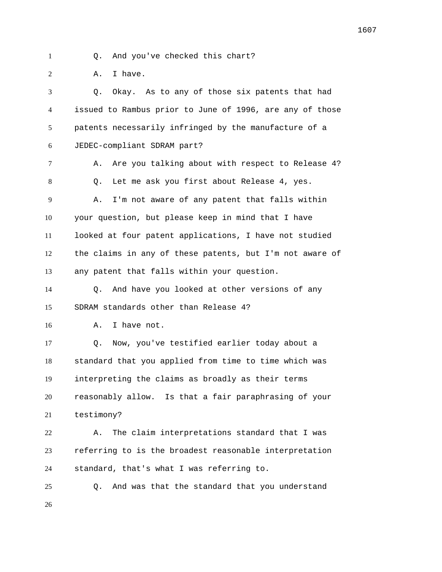- 
- Q. And you've checked this chart?

2 A. I have.

 Q. Okay. As to any of those six patents that had issued to Rambus prior to June of 1996, are any of those patents necessarily infringed by the manufacture of a JEDEC-compliant SDRAM part? 7 A. Are you talking about with respect to Release 4? Q. Let me ask you first about Release 4, yes. A. I'm not aware of any patent that falls within your question, but please keep in mind that I have looked at four patent applications, I have not studied the claims in any of these patents, but I'm not aware of any patent that falls within your question. Q. And have you looked at other versions of any SDRAM standards other than Release 4? A. I have not. Q. Now, you've testified earlier today about a standard that you applied from time to time which was interpreting the claims as broadly as their terms reasonably allow. Is that a fair paraphrasing of your testimony? A. The claim interpretations standard that I was referring to is the broadest reasonable interpretation standard, that's what I was referring to. Q. And was that the standard that you understand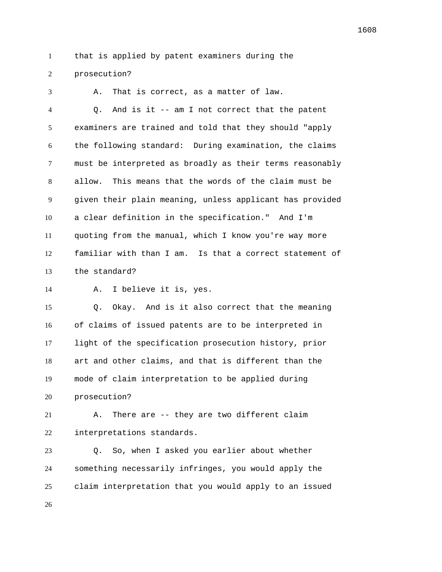that is applied by patent examiners during the

prosecution?

 A. That is correct, as a matter of law. Q. And is it -- am I not correct that the patent examiners are trained and told that they should "apply the following standard: During examination, the claims must be interpreted as broadly as their terms reasonably allow. This means that the words of the claim must be given their plain meaning, unless applicant has provided a clear definition in the specification." And I'm quoting from the manual, which I know you're way more familiar with than I am. Is that a correct statement of the standard?

A. I believe it is, yes.

 Q. Okay. And is it also correct that the meaning of claims of issued patents are to be interpreted in light of the specification prosecution history, prior art and other claims, and that is different than the mode of claim interpretation to be applied during prosecution?

 A. There are -- they are two different claim interpretations standards.

 Q. So, when I asked you earlier about whether something necessarily infringes, you would apply the claim interpretation that you would apply to an issued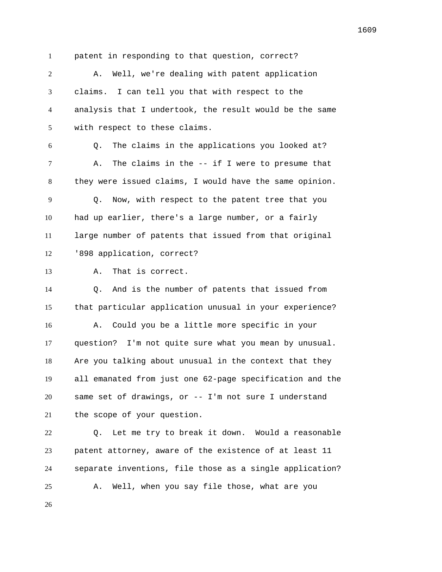patent in responding to that question, correct?

 A. Well, we're dealing with patent application claims. I can tell you that with respect to the analysis that I undertook, the result would be the same with respect to these claims.

 Q. The claims in the applications you looked at? A. The claims in the -- if I were to presume that they were issued claims, I would have the same opinion. Q. Now, with respect to the patent tree that you had up earlier, there's a large number, or a fairly large number of patents that issued from that original '898 application, correct?

```
13 A. That is correct.
```
 Q. And is the number of patents that issued from that particular application unusual in your experience? A. Could you be a little more specific in your question? I'm not quite sure what you mean by unusual. Are you talking about unusual in the context that they all emanated from just one 62-page specification and the same set of drawings, or -- I'm not sure I understand the scope of your question.

 Q. Let me try to break it down. Would a reasonable patent attorney, aware of the existence of at least 11 separate inventions, file those as a single application? A. Well, when you say file those, what are you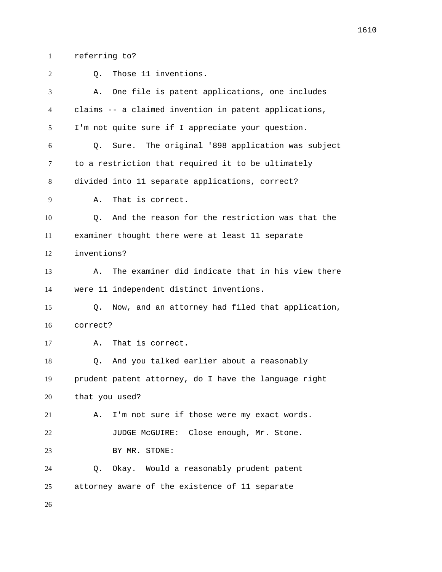referring to?

| 2  | Those 11 inventions.<br>Q.                                        |
|----|-------------------------------------------------------------------|
| 3  | One file is patent applications, one includes<br>Α.               |
| 4  | claims -- a claimed invention in patent applications,             |
| 5  | I'm not quite sure if I appreciate your question.                 |
| 6  | Sure. The original '898 application was subject<br>О.             |
| 7  | to a restriction that required it to be ultimately                |
| 8  | divided into 11 separate applications, correct?                   |
| 9  | That is correct.<br>Α.                                            |
| 10 | And the reason for the restriction was that the<br>Q <sub>1</sub> |
| 11 | examiner thought there were at least 11 separate                  |
| 12 | inventions?                                                       |
| 13 | The examiner did indicate that in his view there<br>Α.            |
| 14 | were 11 independent distinct inventions.                          |
| 15 | Now, and an attorney had filed that application,<br>О.            |
| 16 | correct?                                                          |
| 17 | That is correct.<br>Α.                                            |
| 18 | And you talked earlier about a reasonably<br>0.                   |
| 19 | prudent patent attorney, do I have the language right             |
| 20 | that you used?                                                    |
| 21 | I'm not sure if those were my exact words.<br>Α.                  |
| 22 | JUDGE McGUIRE: Close enough, Mr. Stone.                           |
| 23 | BY MR. STONE:                                                     |
| 24 | Q. Okay. Would a reasonably prudent patent                        |
| 25 | attorney aware of the existence of 11 separate                    |
| 26 |                                                                   |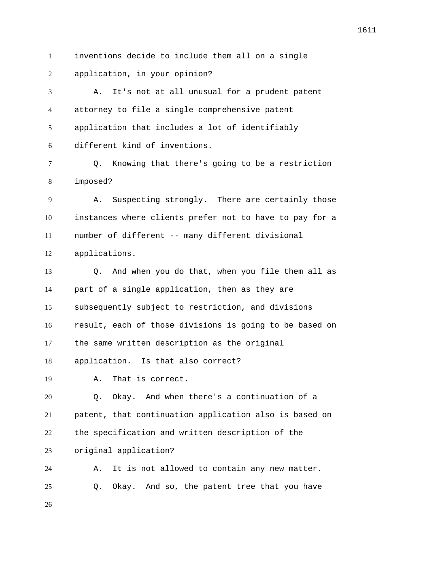inventions decide to include them all on a single

application, in your opinion?

 A. It's not at all unusual for a prudent patent attorney to file a single comprehensive patent application that includes a lot of identifiably different kind of inventions.

 Q. Knowing that there's going to be a restriction imposed?

 A. Suspecting strongly. There are certainly those instances where clients prefer not to have to pay for a number of different -- many different divisional applications.

 Q. And when you do that, when you file them all as part of a single application, then as they are subsequently subject to restriction, and divisions result, each of those divisions is going to be based on the same written description as the original application. Is that also correct? A. That is correct. Q. Okay. And when there's a continuation of a patent, that continuation application also is based on the specification and written description of the original application? A. It is not allowed to contain any new matter. Q. Okay. And so, the patent tree that you have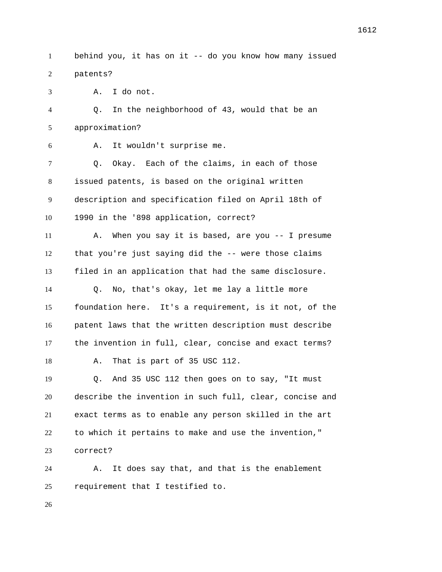behind you, it has on it -- do you know how many issued patents?

A. I do not.

 Q. In the neighborhood of 43, would that be an approximation?

A. It wouldn't surprise me.

 Q. Okay. Each of the claims, in each of those issued patents, is based on the original written description and specification filed on April 18th of 1990 in the '898 application, correct?

 A. When you say it is based, are you -- I presume that you're just saying did the -- were those claims filed in an application that had the same disclosure.

 Q. No, that's okay, let me lay a little more foundation here. It's a requirement, is it not, of the patent laws that the written description must describe the invention in full, clear, concise and exact terms? A. That is part of 35 USC 112.

 Q. And 35 USC 112 then goes on to say, "It must describe the invention in such full, clear, concise and exact terms as to enable any person skilled in the art to which it pertains to make and use the invention," correct?

 A. It does say that, and that is the enablement requirement that I testified to.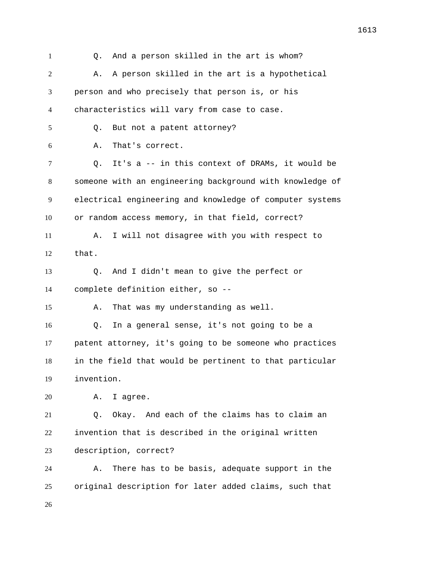Q. And a person skilled in the art is whom? 2 A. A person skilled in the art is a hypothetical person and who precisely that person is, or his characteristics will vary from case to case. Q. But not a patent attorney? A. That's correct. Q. It's a -- in this context of DRAMs, it would be someone with an engineering background with knowledge of electrical engineering and knowledge of computer systems or random access memory, in that field, correct? A. I will not disagree with you with respect to that. Q. And I didn't mean to give the perfect or complete definition either, so -- A. That was my understanding as well. Q. In a general sense, it's not going to be a patent attorney, it's going to be someone who practices in the field that would be pertinent to that particular invention. A. I agree. Q. Okay. And each of the claims has to claim an invention that is described in the original written description, correct? A. There has to be basis, adequate support in the original description for later added claims, such that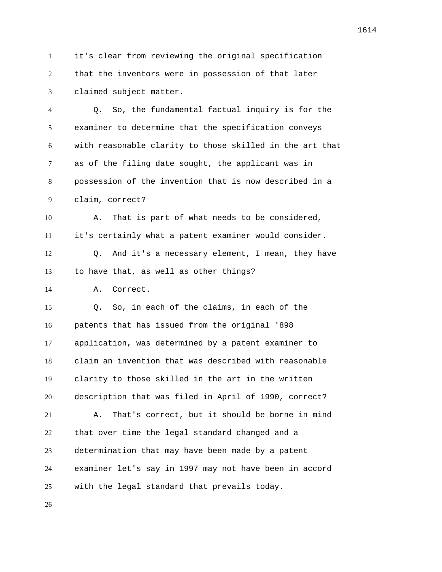it's clear from reviewing the original specification that the inventors were in possession of that later claimed subject matter.

 Q. So, the fundamental factual inquiry is for the examiner to determine that the specification conveys with reasonable clarity to those skilled in the art that as of the filing date sought, the applicant was in possession of the invention that is now described in a claim, correct?

 A. That is part of what needs to be considered, it's certainly what a patent examiner would consider.

 Q. And it's a necessary element, I mean, they have to have that, as well as other things?

A. Correct.

 Q. So, in each of the claims, in each of the patents that has issued from the original '898 application, was determined by a patent examiner to claim an invention that was described with reasonable clarity to those skilled in the art in the written description that was filed in April of 1990, correct? A. That's correct, but it should be borne in mind that over time the legal standard changed and a determination that may have been made by a patent examiner let's say in 1997 may not have been in accord with the legal standard that prevails today.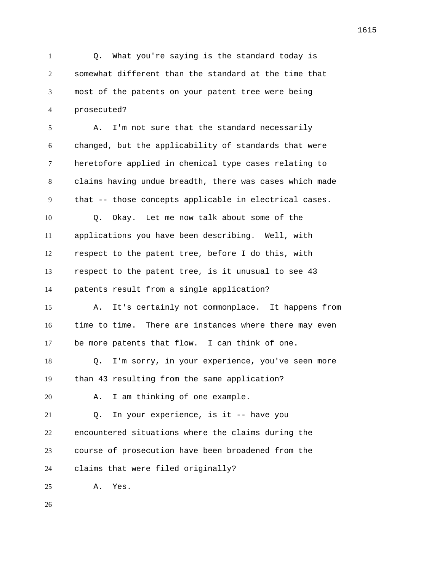Q. What you're saying is the standard today is somewhat different than the standard at the time that most of the patents on your patent tree were being prosecuted?

 A. I'm not sure that the standard necessarily changed, but the applicability of standards that were heretofore applied in chemical type cases relating to claims having undue breadth, there was cases which made that -- those concepts applicable in electrical cases. Q. Okay. Let me now talk about some of the applications you have been describing. Well, with respect to the patent tree, before I do this, with respect to the patent tree, is it unusual to see 43 patents result from a single application? A. It's certainly not commonplace. It happens from time to time. There are instances where there may even be more patents that flow. I can think of one. Q. I'm sorry, in your experience, you've seen more than 43 resulting from the same application? A. I am thinking of one example. Q. In your experience, is it -- have you encountered situations where the claims during the course of prosecution have been broadened from the claims that were filed originally? A. Yes.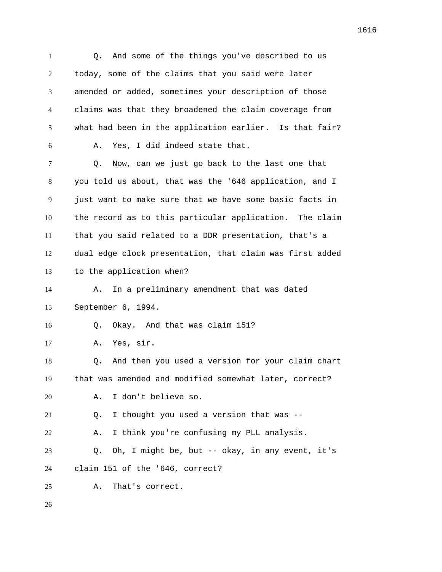Q. And some of the things you've described to us today, some of the claims that you said were later amended or added, sometimes your description of those claims was that they broadened the claim coverage from what had been in the application earlier. Is that fair? A. Yes, I did indeed state that. Q. Now, can we just go back to the last one that you told us about, that was the '646 application, and I just want to make sure that we have some basic facts in the record as to this particular application. The claim that you said related to a DDR presentation, that's a dual edge clock presentation, that claim was first added to the application when? A. In a preliminary amendment that was dated September 6, 1994. Q. Okay. And that was claim 151? A. Yes, sir. Q. And then you used a version for your claim chart that was amended and modified somewhat later, correct? A. I don't believe so. Q. I thought you used a version that was -- A. I think you're confusing my PLL analysis. Q. Oh, I might be, but -- okay, in any event, it's claim 151 of the '646, correct? A. That's correct.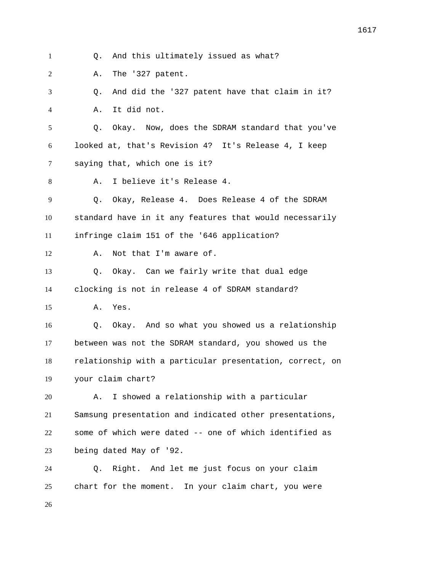Q. And this ultimately issued as what? A. The '327 patent. Q. And did the '327 patent have that claim in it? A. It did not. Q. Okay. Now, does the SDRAM standard that you've looked at, that's Revision 4? It's Release 4, I keep saying that, which one is it? A. I believe it's Release 4. Q. Okay, Release 4. Does Release 4 of the SDRAM standard have in it any features that would necessarily infringe claim 151 of the '646 application? A. Not that I'm aware of. Q. Okay. Can we fairly write that dual edge clocking is not in release 4 of SDRAM standard? A. Yes. Q. Okay. And so what you showed us a relationship between was not the SDRAM standard, you showed us the relationship with a particular presentation, correct, on your claim chart? A. I showed a relationship with a particular Samsung presentation and indicated other presentations,

 some of which were dated -- one of which identified as being dated May of '92.

 Q. Right. And let me just focus on your claim chart for the moment. In your claim chart, you were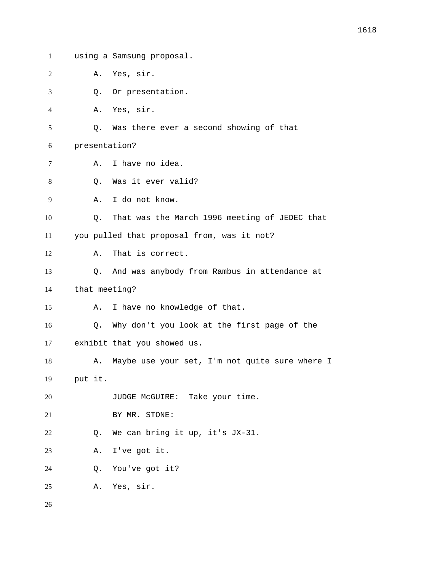using a Samsung proposal. A. Yes, sir. Q. Or presentation. A. Yes, sir. Q. Was there ever a second showing of that presentation? A. I have no idea. 8 0. Was it ever valid? A. I do not know. Q. That was the March 1996 meeting of JEDEC that you pulled that proposal from, was it not? A. That is correct. Q. And was anybody from Rambus in attendance at that meeting? A. I have no knowledge of that. Q. Why don't you look at the first page of the exhibit that you showed us. 18 A. Maybe use your set, I'm not quite sure where I put it. 20 JUDGE McGUIRE: Take your time. BY MR. STONE: Q. We can bring it up, it's JX-31. A. I've got it. Q. You've got it? A. Yes, sir.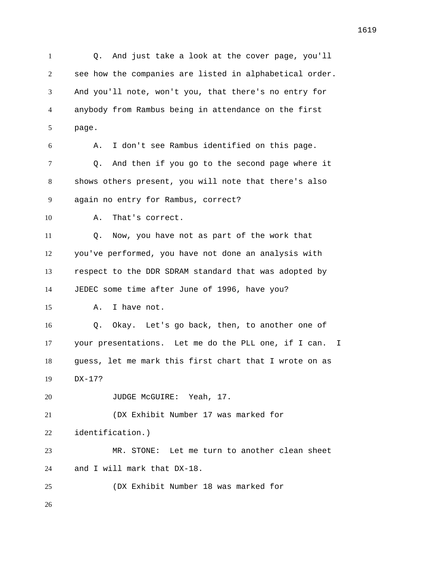Q. And just take a look at the cover page, you'll see how the companies are listed in alphabetical order. And you'll note, won't you, that there's no entry for anybody from Rambus being in attendance on the first page. A. I don't see Rambus identified on this page. Q. And then if you go to the second page where it shows others present, you will note that there's also again no entry for Rambus, correct? A. That's correct. Q. Now, you have not as part of the work that you've performed, you have not done an analysis with respect to the DDR SDRAM standard that was adopted by JEDEC some time after June of 1996, have you? A. I have not. Q. Okay. Let's go back, then, to another one of your presentations. Let me do the PLL one, if I can. I guess, let me mark this first chart that I wrote on as DX-17? 20 JUDGE McGUIRE: Yeah, 17. (DX Exhibit Number 17 was marked for identification.) MR. STONE: Let me turn to another clean sheet and I will mark that DX-18. (DX Exhibit Number 18 was marked for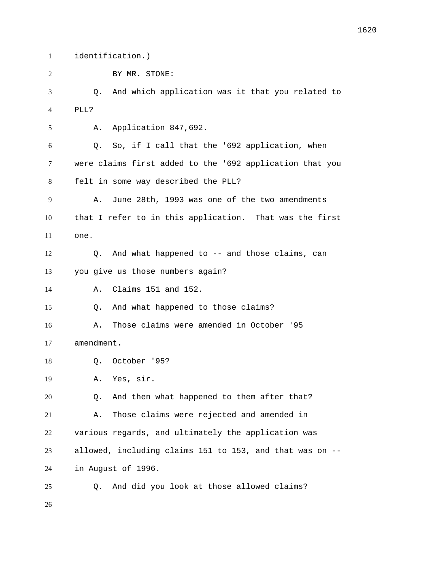identification.)

BY MR. STONE:

 Q. And which application was it that you related to PLL?

A. Application 847,692.

 Q. So, if I call that the '692 application, when were claims first added to the '692 application that you felt in some way described the PLL?

 A. June 28th, 1993 was one of the two amendments that I refer to in this application. That was the first one.

 Q. And what happened to -- and those claims, can you give us those numbers again?

A. Claims 151 and 152.

Q. And what happened to those claims?

 A. Those claims were amended in October '95 amendment.

Q. October '95?

A. Yes, sir.

 Q. And then what happened to them after that? A. Those claims were rejected and amended in various regards, and ultimately the application was allowed, including claims 151 to 153, and that was on -- in August of 1996.

Q. And did you look at those allowed claims?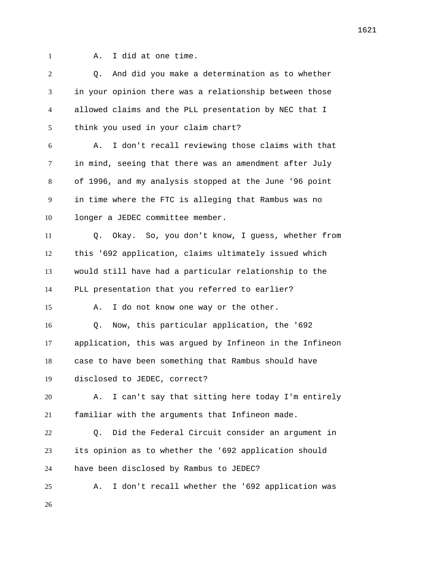A. I did at one time.

 Q. And did you make a determination as to whether in your opinion there was a relationship between those allowed claims and the PLL presentation by NEC that I think you used in your claim chart? A. I don't recall reviewing those claims with that in mind, seeing that there was an amendment after July of 1996, and my analysis stopped at the June '96 point in time where the FTC is alleging that Rambus was no longer a JEDEC committee member. Q. Okay. So, you don't know, I guess, whether from this '692 application, claims ultimately issued which would still have had a particular relationship to the PLL presentation that you referred to earlier? A. I do not know one way or the other. Q. Now, this particular application, the '692 application, this was argued by Infineon in the Infineon case to have been something that Rambus should have disclosed to JEDEC, correct? A. I can't say that sitting here today I'm entirely familiar with the arguments that Infineon made. Q. Did the Federal Circuit consider an argument in its opinion as to whether the '692 application should have been disclosed by Rambus to JEDEC? A. I don't recall whether the '692 application was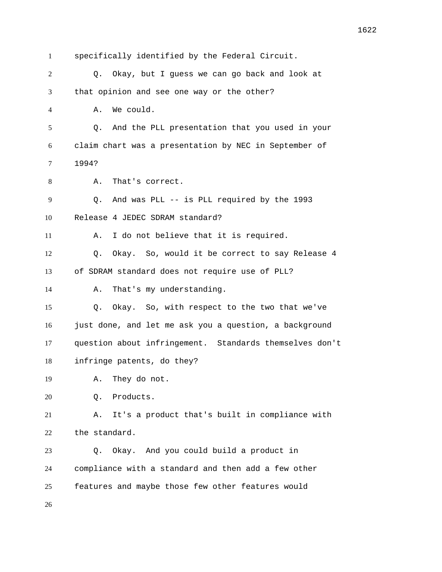specifically identified by the Federal Circuit. Q. Okay, but I guess we can go back and look at that opinion and see one way or the other? A. We could. Q. And the PLL presentation that you used in your claim chart was a presentation by NEC in September of 1994? A. That's correct. Q. And was PLL -- is PLL required by the 1993 Release 4 JEDEC SDRAM standard? A. I do not believe that it is required. Q. Okay. So, would it be correct to say Release 4 of SDRAM standard does not require use of PLL? A. That's my understanding. Q. Okay. So, with respect to the two that we've just done, and let me ask you a question, a background question about infringement. Standards themselves don't infringe patents, do they? A. They do not. Q. Products. A. It's a product that's built in compliance with the standard. Q. Okay. And you could build a product in compliance with a standard and then add a few other features and maybe those few other features would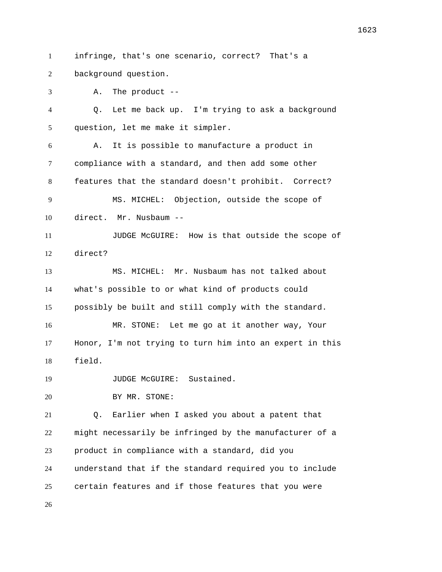infringe, that's one scenario, correct? That's a

background question.

 A. The product -- Q. Let me back up. I'm trying to ask a background question, let me make it simpler. A. It is possible to manufacture a product in compliance with a standard, and then add some other features that the standard doesn't prohibit. Correct? MS. MICHEL: Objection, outside the scope of direct. Mr. Nusbaum -- JUDGE McGUIRE: How is that outside the scope of direct? MS. MICHEL: Mr. Nusbaum has not talked about what's possible to or what kind of products could possibly be built and still comply with the standard. MR. STONE: Let me go at it another way, Your Honor, I'm not trying to turn him into an expert in this field. 19 JUDGE McGUIRE: Sustained. BY MR. STONE: Q. Earlier when I asked you about a patent that might necessarily be infringed by the manufacturer of a product in compliance with a standard, did you understand that if the standard required you to include certain features and if those features that you were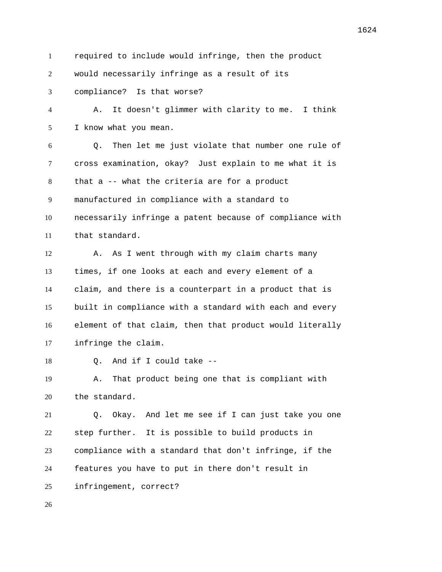required to include would infringe, then the product

would necessarily infringe as a result of its

compliance? Is that worse?

 A. It doesn't glimmer with clarity to me. I think I know what you mean.

 Q. Then let me just violate that number one rule of cross examination, okay? Just explain to me what it is that a -- what the criteria are for a product manufactured in compliance with a standard to necessarily infringe a patent because of compliance with that standard.

12 A. As I went through with my claim charts many times, if one looks at each and every element of a claim, and there is a counterpart in a product that is built in compliance with a standard with each and every element of that claim, then that product would literally infringe the claim.

Q. And if I could take --

 A. That product being one that is compliant with the standard.

 Q. Okay. And let me see if I can just take you one step further. It is possible to build products in compliance with a standard that don't infringe, if the features you have to put in there don't result in infringement, correct?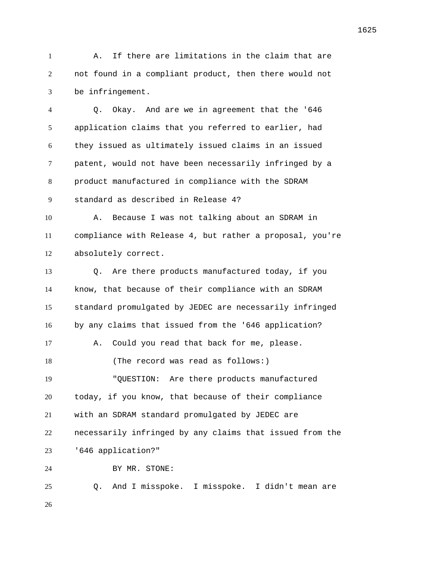A. If there are limitations in the claim that are not found in a compliant product, then there would not be infringement.

 Q. Okay. And are we in agreement that the '646 application claims that you referred to earlier, had they issued as ultimately issued claims in an issued patent, would not have been necessarily infringed by a product manufactured in compliance with the SDRAM standard as described in Release 4? A. Because I was not talking about an SDRAM in compliance with Release 4, but rather a proposal, you're absolutely correct. Q. Are there products manufactured today, if you know, that because of their compliance with an SDRAM standard promulgated by JEDEC are necessarily infringed by any claims that issued from the '646 application? A. Could you read that back for me, please. 18 (The record was read as follows:) "QUESTION: Are there products manufactured today, if you know, that because of their compliance with an SDRAM standard promulgated by JEDEC are necessarily infringed by any claims that issued from the '646 application?" BY MR. STONE: Q. And I misspoke. I misspoke. I didn't mean are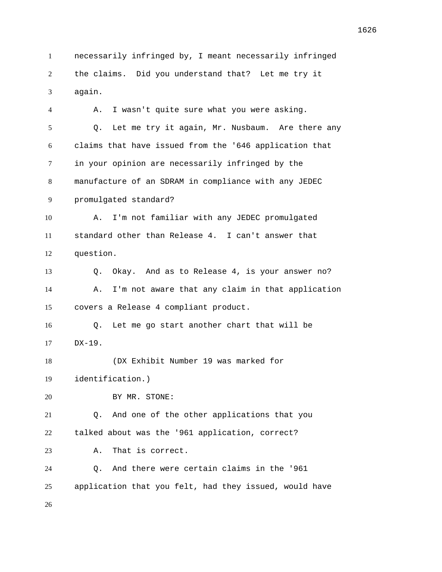necessarily infringed by, I meant necessarily infringed the claims. Did you understand that? Let me try it again.

 A. I wasn't quite sure what you were asking. Q. Let me try it again, Mr. Nusbaum. Are there any claims that have issued from the '646 application that in your opinion are necessarily infringed by the manufacture of an SDRAM in compliance with any JEDEC promulgated standard? A. I'm not familiar with any JEDEC promulgated standard other than Release 4. I can't answer that question. Q. Okay. And as to Release 4, is your answer no? A. I'm not aware that any claim in that application covers a Release 4 compliant product. Q. Let me go start another chart that will be DX-19. (DX Exhibit Number 19 was marked for identification.) BY MR. STONE: Q. And one of the other applications that you talked about was the '961 application, correct? A. That is correct. Q. And there were certain claims in the '961 application that you felt, had they issued, would have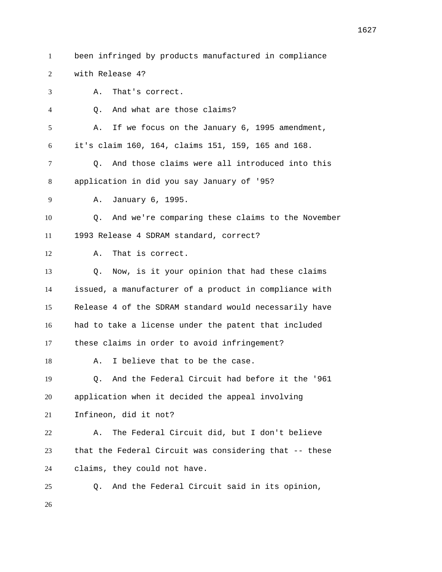- 
- been infringed by products manufactured in compliance

with Release 4?

A. That's correct.

Q. And what are those claims?

A. If we focus on the January 6, 1995 amendment,

it's claim 160, 164, claims 151, 159, 165 and 168.

 Q. And those claims were all introduced into this application in did you say January of '95?

A. January 6, 1995.

 Q. And we're comparing these claims to the November 1993 Release 4 SDRAM standard, correct?

A. That is correct.

 Q. Now, is it your opinion that had these claims issued, a manufacturer of a product in compliance with Release 4 of the SDRAM standard would necessarily have had to take a license under the patent that included these claims in order to avoid infringement?

18 A. I believe that to be the case.

 Q. And the Federal Circuit had before it the '961 application when it decided the appeal involving

Infineon, did it not?

 A. The Federal Circuit did, but I don't believe that the Federal Circuit was considering that -- these claims, they could not have.

Q. And the Federal Circuit said in its opinion,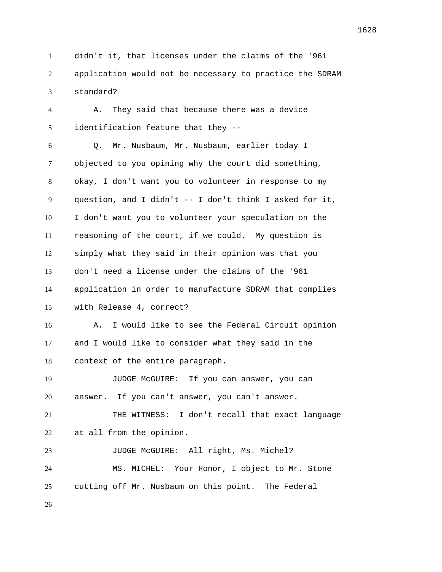didn't it, that licenses under the claims of the '961 application would not be necessary to practice the SDRAM standard?

 A. They said that because there was a device identification feature that they --

 Q. Mr. Nusbaum, Mr. Nusbaum, earlier today I objected to you opining why the court did something, okay, I don't want you to volunteer in response to my question, and I didn't -- I don't think I asked for it, I don't want you to volunteer your speculation on the reasoning of the court, if we could. My question is simply what they said in their opinion was that you don't need a license under the claims of the '961 application in order to manufacture SDRAM that complies with Release 4, correct?

 A. I would like to see the Federal Circuit opinion and I would like to consider what they said in the context of the entire paragraph.

 JUDGE McGUIRE: If you can answer, you can answer. If you can't answer, you can't answer. THE WITNESS: I don't recall that exact language at all from the opinion. JUDGE McGUIRE: All right, Ms. Michel? MS. MICHEL: Your Honor, I object to Mr. Stone cutting off Mr. Nusbaum on this point. The Federal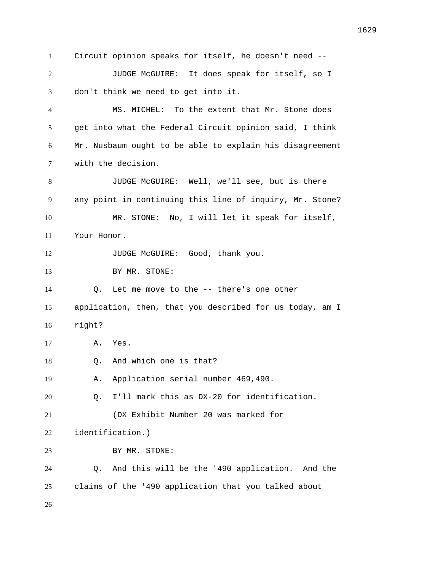Circuit opinion speaks for itself, he doesn't need -- JUDGE McGUIRE: It does speak for itself, so I don't think we need to get into it. MS. MICHEL: To the extent that Mr. Stone does get into what the Federal Circuit opinion said, I think Mr. Nusbaum ought to be able to explain his disagreement with the decision. JUDGE McGUIRE: Well, we'll see, but is there any point in continuing this line of inquiry, Mr. Stone? MR. STONE: No, I will let it speak for itself, Your Honor. 12 JUDGE McGUIRE: Good, thank you. 13 BY MR. STONE: Q. Let me move to the -- there's one other application, then, that you described for us today, am I right? A. Yes. Q. And which one is that? A. Application serial number 469,490. Q. I'll mark this as DX-20 for identification. (DX Exhibit Number 20 was marked for identification.) 23 BY MR. STONE: Q. And this will be the '490 application. And the claims of the '490 application that you talked about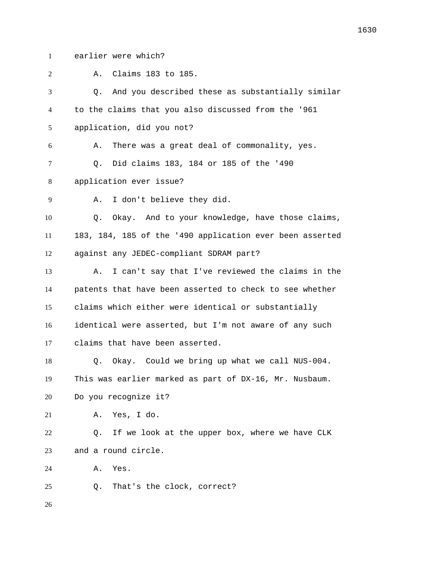earlier were which?

 A. Claims 183 to 185. Q. And you described these as substantially similar to the claims that you also discussed from the '961 application, did you not? A. There was a great deal of commonality, yes. Q. Did claims 183, 184 or 185 of the '490 application ever issue? A. I don't believe they did. Q. Okay. And to your knowledge, have those claims, 183, 184, 185 of the '490 application ever been asserted against any JEDEC-compliant SDRAM part? A. I can't say that I've reviewed the claims in the patents that have been asserted to check to see whether claims which either were identical or substantially identical were asserted, but I'm not aware of any such claims that have been asserted. Q. Okay. Could we bring up what we call NUS-004. This was earlier marked as part of DX-16, Mr. Nusbaum. Do you recognize it? A. Yes, I do. Q. If we look at the upper box, where we have CLK and a round circle. A. Yes. Q. That's the clock, correct?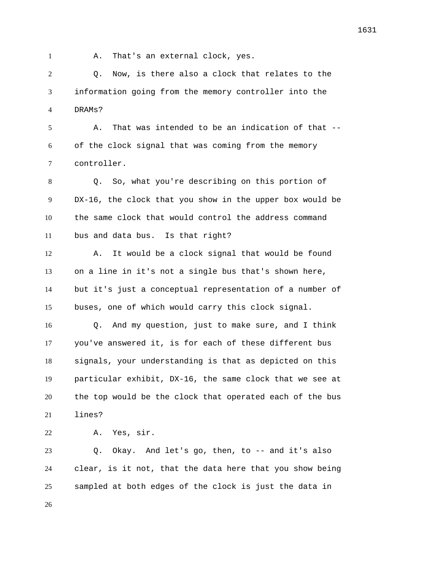1 A. That's an external clock, yes.

 Q. Now, is there also a clock that relates to the information going from the memory controller into the DRAMs?

 A. That was intended to be an indication of that -- of the clock signal that was coming from the memory controller.

 Q. So, what you're describing on this portion of DX-16, the clock that you show in the upper box would be the same clock that would control the address command bus and data bus. Is that right?

 A. It would be a clock signal that would be found on a line in it's not a single bus that's shown here, but it's just a conceptual representation of a number of buses, one of which would carry this clock signal.

 Q. And my question, just to make sure, and I think you've answered it, is for each of these different bus signals, your understanding is that as depicted on this particular exhibit, DX-16, the same clock that we see at the top would be the clock that operated each of the bus lines?

A. Yes, sir.

 Q. Okay. And let's go, then, to -- and it's also clear, is it not, that the data here that you show being sampled at both edges of the clock is just the data in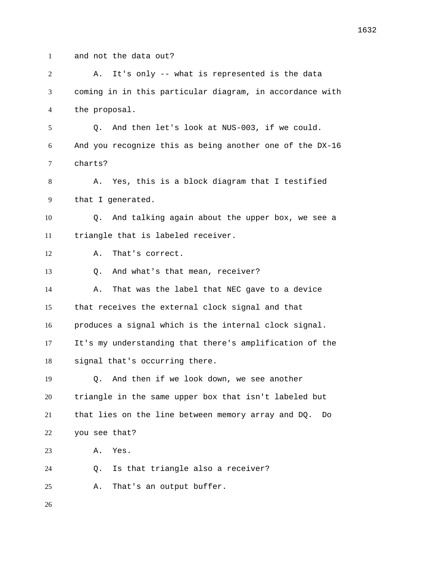- 
- and not the data out?

 A. It's only -- what is represented is the data coming in in this particular diagram, in accordance with the proposal. Q. And then let's look at NUS-003, if we could. And you recognize this as being another one of the DX-16 charts? A. Yes, this is a block diagram that I testified that I generated. Q. And talking again about the upper box, we see a triangle that is labeled receiver. A. That's correct. Q. And what's that mean, receiver? 14 A. That was the label that NEC gave to a device that receives the external clock signal and that produces a signal which is the internal clock signal. It's my understanding that there's amplification of the signal that's occurring there. Q. And then if we look down, we see another triangle in the same upper box that isn't labeled but that lies on the line between memory array and DQ. Do you see that? A. Yes. Q. Is that triangle also a receiver? A. That's an output buffer.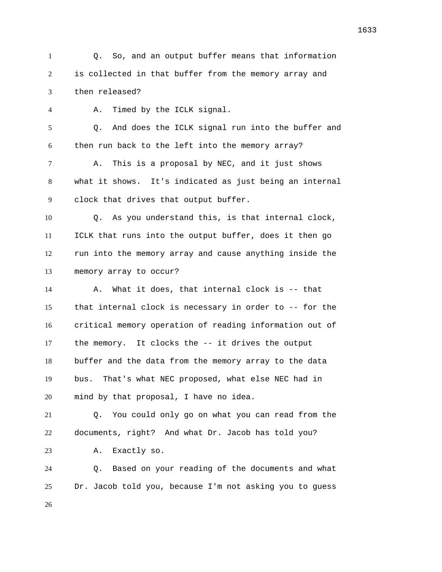Q. So, and an output buffer means that information is collected in that buffer from the memory array and then released?

 A. Timed by the ICLK signal. Q. And does the ICLK signal run into the buffer and then run back to the left into the memory array? A. This is a proposal by NEC, and it just shows what it shows. It's indicated as just being an internal clock that drives that output buffer. Q. As you understand this, is that internal clock, ICLK that runs into the output buffer, does it then go run into the memory array and cause anything inside the memory array to occur? A. What it does, that internal clock is -- that

 that internal clock is necessary in order to -- for the critical memory operation of reading information out of the memory. It clocks the -- it drives the output buffer and the data from the memory array to the data bus. That's what NEC proposed, what else NEC had in mind by that proposal, I have no idea.

 Q. You could only go on what you can read from the documents, right? And what Dr. Jacob has told you?

A. Exactly so.

 Q. Based on your reading of the documents and what Dr. Jacob told you, because I'm not asking you to guess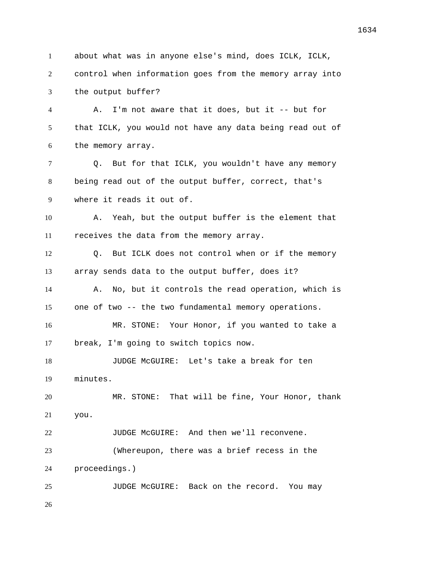about what was in anyone else's mind, does ICLK, ICLK, control when information goes from the memory array into the output buffer? A. I'm not aware that it does, but it -- but for that ICLK, you would not have any data being read out of the memory array. Q. But for that ICLK, you wouldn't have any memory being read out of the output buffer, correct, that's where it reads it out of. A. Yeah, but the output buffer is the element that receives the data from the memory array. Q. But ICLK does not control when or if the memory array sends data to the output buffer, does it? A. No, but it controls the read operation, which is one of two -- the two fundamental memory operations. MR. STONE: Your Honor, if you wanted to take a break, I'm going to switch topics now. JUDGE McGUIRE: Let's take a break for ten minutes. MR. STONE: That will be fine, Your Honor, thank you. 22 JUDGE McGUIRE: And then we'll reconvene. (Whereupon, there was a brief recess in the proceedings.) JUDGE McGUIRE: Back on the record. You may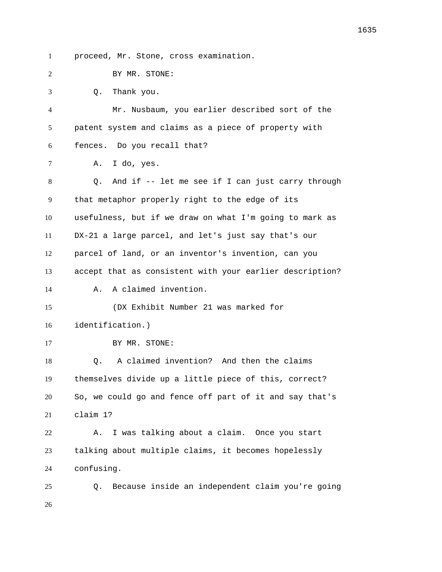proceed, Mr. Stone, cross examination.

| ⌒ |  |  | BY MR. STONE: |
|---|--|--|---------------|
|---|--|--|---------------|

 Q. Thank you. Mr. Nusbaum, you earlier described sort of the patent system and claims as a piece of property with fences. Do you recall that? A. I do, yes. Q. And if -- let me see if I can just carry through that metaphor properly right to the edge of its usefulness, but if we draw on what I'm going to mark as DX-21 a large parcel, and let's just say that's our parcel of land, or an inventor's invention, can you accept that as consistent with your earlier description? A. A claimed invention. (DX Exhibit Number 21 was marked for identification.) 17 BY MR. STONE: Q. A claimed invention? And then the claims themselves divide up a little piece of this, correct? So, we could go and fence off part of it and say that's claim 1? A. I was talking about a claim. Once you start talking about multiple claims, it becomes hopelessly confusing. Q. Because inside an independent claim you're going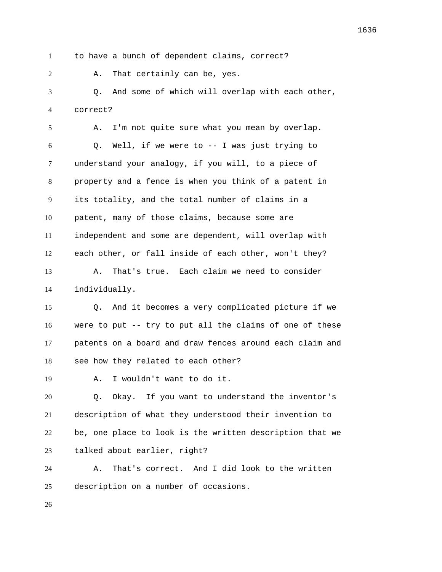to have a bunch of dependent claims, correct?

A. That certainly can be, yes.

 Q. And some of which will overlap with each other, correct?

 A. I'm not quite sure what you mean by overlap. Q. Well, if we were to -- I was just trying to understand your analogy, if you will, to a piece of property and a fence is when you think of a patent in its totality, and the total number of claims in a patent, many of those claims, because some are independent and some are dependent, will overlap with each other, or fall inside of each other, won't they? A. That's true. Each claim we need to consider individually.

 Q. And it becomes a very complicated picture if we were to put -- try to put all the claims of one of these patents on a board and draw fences around each claim and see how they related to each other?

A. I wouldn't want to do it.

 Q. Okay. If you want to understand the inventor's description of what they understood their invention to be, one place to look is the written description that we talked about earlier, right?

 A. That's correct. And I did look to the written description on a number of occasions.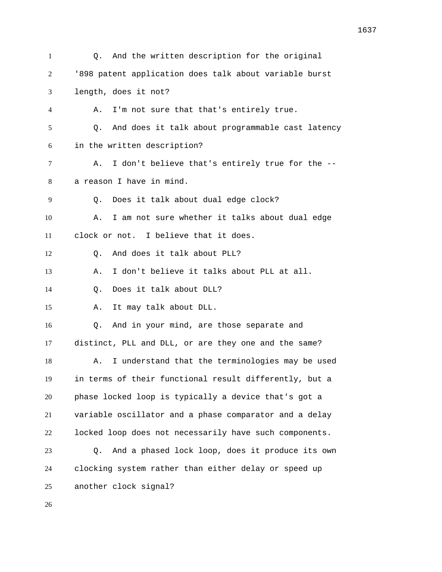| $\mathbf{1}$ | And the written description for the original<br>Q.     |
|--------------|--------------------------------------------------------|
| 2            | '898 patent application does talk about variable burst |
| 3            | length, does it not?                                   |
| 4            | I'm not sure that that's entirely true.<br>Α.          |
| 5            | And does it talk about programmable cast latency<br>Q. |
| 6            | in the written description?                            |
| 7            | I don't believe that's entirely true for the --<br>Α.  |
| 8            | a reason I have in mind.                               |
| 9            | Does it talk about dual edge clock?<br>Q.              |
| 10           | I am not sure whether it talks about dual edge<br>Α.   |
| 11           | clock or not. I believe that it does.                  |
| 12           | And does it talk about PLL?<br>Q.                      |
| 13           | I don't believe it talks about PLL at all.<br>Α.       |
| 14           | Does it talk about DLL?<br>Q.                          |
| 15           | It may talk about DLL.<br>Α.                           |
| 16           | And in your mind, are those separate and<br>Q.         |
| 17           | distinct, PLL and DLL, or are they one and the same?   |
| 18           | I understand that the terminologies may be used<br>Α.  |
| 19           | in terms of their functional result differently, but a |
| 20           | phase locked loop is typically a device that's got a   |
| 21           | variable oscillator and a phase comparator and a delay |
| 22           | locked loop does not necessarily have such components. |
| 23           | And a phased lock loop, does it produce its own<br>Q.  |
| 24           | clocking system rather than either delay or speed up   |
| 25           | another clock signal?                                  |
| 26           |                                                        |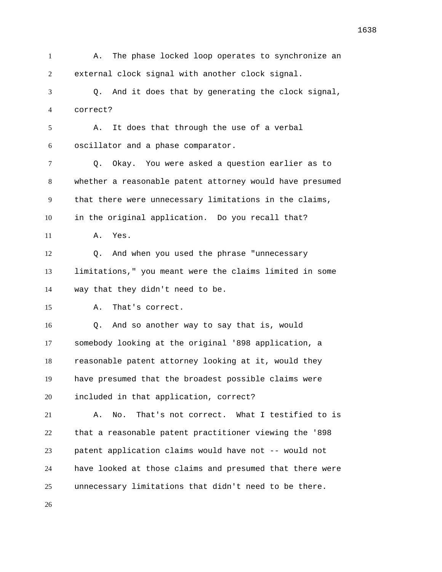A. The phase locked loop operates to synchronize an external clock signal with another clock signal. Q. And it does that by generating the clock signal, correct? A. It does that through the use of a verbal oscillator and a phase comparator. Q. Okay. You were asked a question earlier as to whether a reasonable patent attorney would have presumed that there were unnecessary limitations in the claims, in the original application. Do you recall that? A. Yes. Q. And when you used the phrase "unnecessary limitations," you meant were the claims limited in some way that they didn't need to be. A. That's correct. Q. And so another way to say that is, would somebody looking at the original '898 application, a reasonable patent attorney looking at it, would they have presumed that the broadest possible claims were included in that application, correct? A. No. That's not correct. What I testified to is that a reasonable patent practitioner viewing the '898 patent application claims would have not -- would not have looked at those claims and presumed that there were unnecessary limitations that didn't need to be there.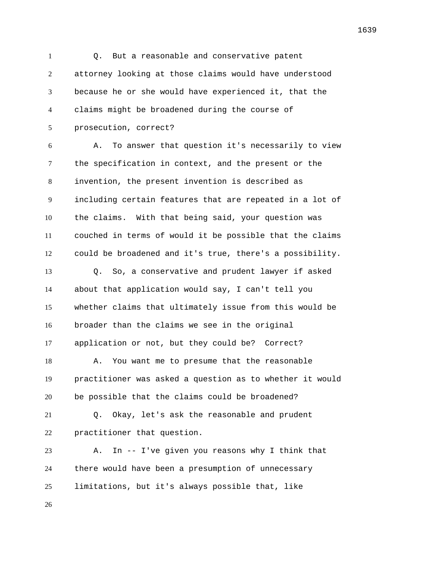Q. But a reasonable and conservative patent attorney looking at those claims would have understood because he or she would have experienced it, that the claims might be broadened during the course of prosecution, correct? A. To answer that question it's necessarily to view the specification in context, and the present or the invention, the present invention is described as including certain features that are repeated in a lot of the claims. With that being said, your question was couched in terms of would it be possible that the claims could be broadened and it's true, there's a possibility. Q. So, a conservative and prudent lawyer if asked about that application would say, I can't tell you whether claims that ultimately issue from this would be broader than the claims we see in the original application or not, but they could be? Correct? A. You want me to presume that the reasonable practitioner was asked a question as to whether it would be possible that the claims could be broadened? Q. Okay, let's ask the reasonable and prudent practitioner that question. A. In -- I've given you reasons why I think that there would have been a presumption of unnecessary limitations, but it's always possible that, like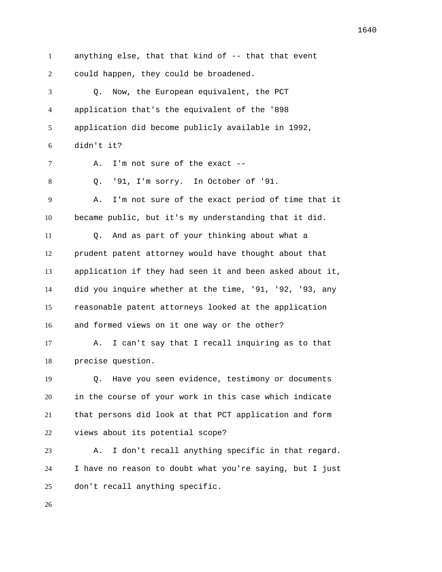anything else, that that kind of -- that that event could happen, they could be broadened. Q. Now, the European equivalent, the PCT application that's the equivalent of the '898 application did become publicly available in 1992, didn't it? A. I'm not sure of the exact -- Q. '91, I'm sorry. In October of '91. A. I'm not sure of the exact period of time that it became public, but it's my understanding that it did. Q. And as part of your thinking about what a prudent patent attorney would have thought about that application if they had seen it and been asked about it, did you inquire whether at the time, '91, '92, '93, any reasonable patent attorneys looked at the application and formed views on it one way or the other? A. I can't say that I recall inquiring as to that precise question. Q. Have you seen evidence, testimony or documents in the course of your work in this case which indicate that persons did look at that PCT application and form views about its potential scope? A. I don't recall anything specific in that regard. I have no reason to doubt what you're saying, but I just don't recall anything specific.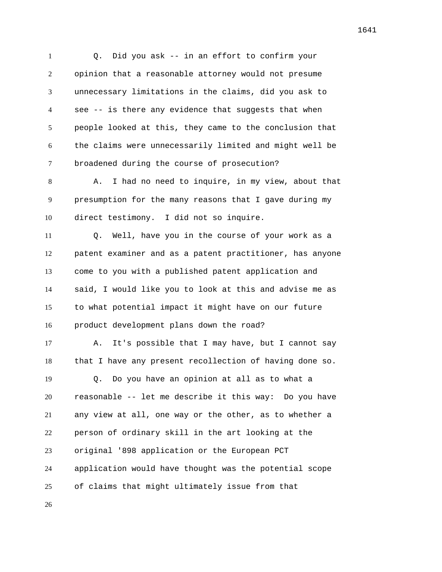Q. Did you ask -- in an effort to confirm your opinion that a reasonable attorney would not presume unnecessary limitations in the claims, did you ask to see -- is there any evidence that suggests that when people looked at this, they came to the conclusion that the claims were unnecessarily limited and might well be broadened during the course of prosecution? A. I had no need to inquire, in my view, about that presumption for the many reasons that I gave during my direct testimony. I did not so inquire. Q. Well, have you in the course of your work as a patent examiner and as a patent practitioner, has anyone come to you with a published patent application and said, I would like you to look at this and advise me as to what potential impact it might have on our future product development plans down the road? A. It's possible that I may have, but I cannot say that I have any present recollection of having done so. Q. Do you have an opinion at all as to what a reasonable -- let me describe it this way: Do you have any view at all, one way or the other, as to whether a person of ordinary skill in the art looking at the original '898 application or the European PCT application would have thought was the potential scope of claims that might ultimately issue from that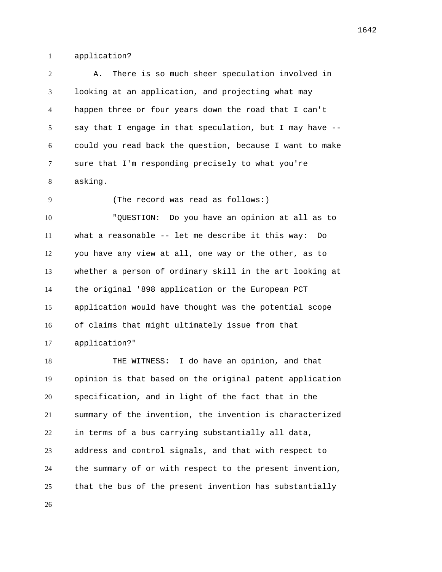application?

 A. There is so much sheer speculation involved in looking at an application, and projecting what may happen three or four years down the road that I can't say that I engage in that speculation, but I may have -- could you read back the question, because I want to make sure that I'm responding precisely to what you're asking.

 "QUESTION: Do you have an opinion at all as to what a reasonable -- let me describe it this way: Do you have any view at all, one way or the other, as to whether a person of ordinary skill in the art looking at the original '898 application or the European PCT application would have thought was the potential scope of claims that might ultimately issue from that application?"

(The record was read as follows:)

 THE WITNESS: I do have an opinion, and that opinion is that based on the original patent application specification, and in light of the fact that in the summary of the invention, the invention is characterized in terms of a bus carrying substantially all data, address and control signals, and that with respect to the summary of or with respect to the present invention, that the bus of the present invention has substantially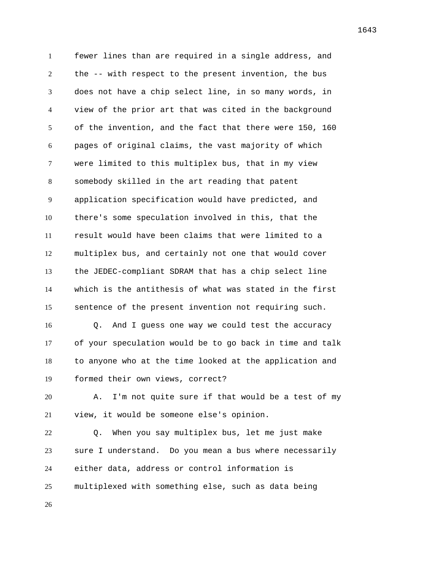fewer lines than are required in a single address, and the -- with respect to the present invention, the bus does not have a chip select line, in so many words, in view of the prior art that was cited in the background of the invention, and the fact that there were 150, 160 pages of original claims, the vast majority of which were limited to this multiplex bus, that in my view somebody skilled in the art reading that patent application specification would have predicted, and there's some speculation involved in this, that the result would have been claims that were limited to a multiplex bus, and certainly not one that would cover the JEDEC-compliant SDRAM that has a chip select line which is the antithesis of what was stated in the first sentence of the present invention not requiring such. Q. And I guess one way we could test the accuracy

 of your speculation would be to go back in time and talk to anyone who at the time looked at the application and formed their own views, correct?

 A. I'm not quite sure if that would be a test of my view, it would be someone else's opinion.

 Q. When you say multiplex bus, let me just make sure I understand. Do you mean a bus where necessarily either data, address or control information is multiplexed with something else, such as data being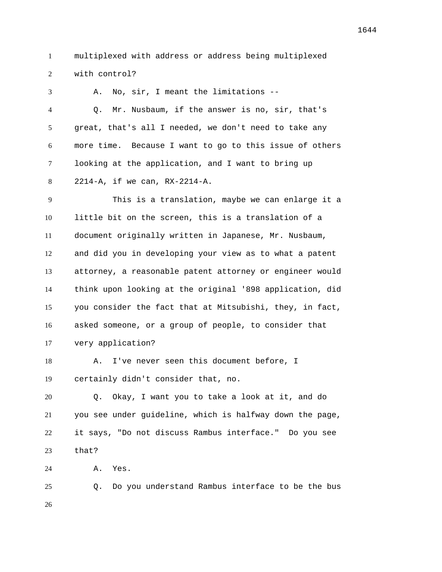multiplexed with address or address being multiplexed with control?

 A. No, sir, I meant the limitations -- Q. Mr. Nusbaum, if the answer is no, sir, that's great, that's all I needed, we don't need to take any more time. Because I want to go to this issue of others looking at the application, and I want to bring up 2214-A, if we can, RX-2214-A.

 This is a translation, maybe we can enlarge it a little bit on the screen, this is a translation of a document originally written in Japanese, Mr. Nusbaum, and did you in developing your view as to what a patent attorney, a reasonable patent attorney or engineer would think upon looking at the original '898 application, did you consider the fact that at Mitsubishi, they, in fact, asked someone, or a group of people, to consider that very application?

 A. I've never seen this document before, I certainly didn't consider that, no.

 Q. Okay, I want you to take a look at it, and do you see under guideline, which is halfway down the page, it says, "Do not discuss Rambus interface." Do you see that?

A. Yes.

 Q. Do you understand Rambus interface to be the bus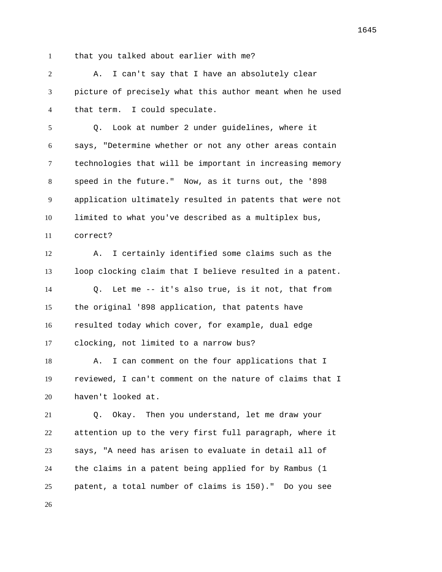that you talked about earlier with me?

 A. I can't say that I have an absolutely clear picture of precisely what this author meant when he used that term. I could speculate.

 Q. Look at number 2 under guidelines, where it says, "Determine whether or not any other areas contain technologies that will be important in increasing memory speed in the future." Now, as it turns out, the '898 application ultimately resulted in patents that were not limited to what you've described as a multiplex bus, correct?

 A. I certainly identified some claims such as the loop clocking claim that I believe resulted in a patent. Q. Let me -- it's also true, is it not, that from the original '898 application, that patents have resulted today which cover, for example, dual edge clocking, not limited to a narrow bus?

18 A. I can comment on the four applications that I reviewed, I can't comment on the nature of claims that I haven't looked at.

 Q. Okay. Then you understand, let me draw your attention up to the very first full paragraph, where it says, "A need has arisen to evaluate in detail all of the claims in a patent being applied for by Rambus (1 patent, a total number of claims is 150)." Do you see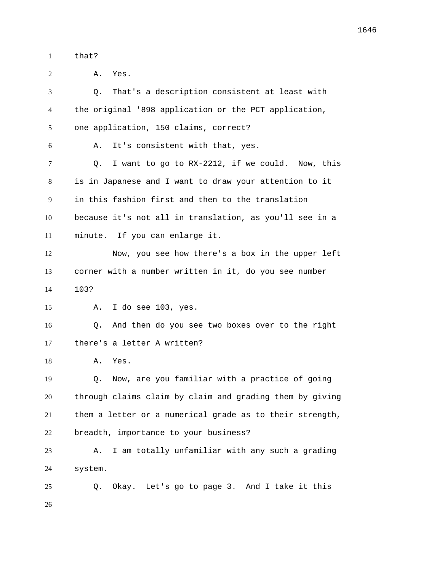that?

 A. Yes. Q. That's a description consistent at least with the original '898 application or the PCT application, one application, 150 claims, correct? A. It's consistent with that, yes. Q. I want to go to RX-2212, if we could. Now, this is in Japanese and I want to draw your attention to it in this fashion first and then to the translation because it's not all in translation, as you'll see in a minute. If you can enlarge it. Now, you see how there's a box in the upper left corner with a number written in it, do you see number 103? A. I do see 103, yes. Q. And then do you see two boxes over to the right there's a letter A written? A. Yes. Q. Now, are you familiar with a practice of going through claims claim by claim and grading them by giving them a letter or a numerical grade as to their strength, breadth, importance to your business? A. I am totally unfamiliar with any such a grading system. Q. Okay. Let's go to page 3. And I take it this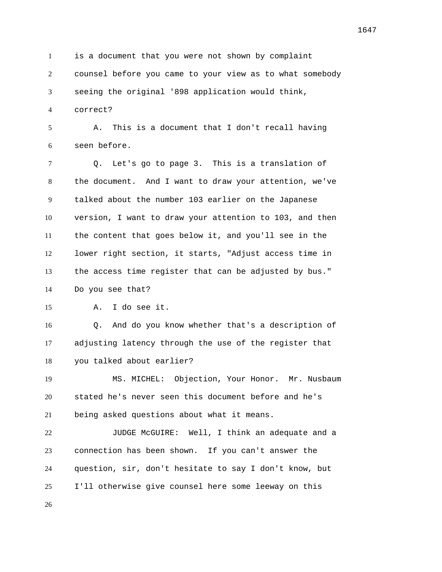is a document that you were not shown by complaint counsel before you came to your view as to what somebody seeing the original '898 application would think,

correct?

 A. This is a document that I don't recall having seen before.

 Q. Let's go to page 3. This is a translation of the document. And I want to draw your attention, we've talked about the number 103 earlier on the Japanese version, I want to draw your attention to 103, and then the content that goes below it, and you'll see in the lower right section, it starts, "Adjust access time in the access time register that can be adjusted by bus." Do you see that?

A. I do see it.

 Q. And do you know whether that's a description of adjusting latency through the use of the register that you talked about earlier?

 MS. MICHEL: Objection, Your Honor. Mr. Nusbaum stated he's never seen this document before and he's being asked questions about what it means.

 JUDGE McGUIRE: Well, I think an adequate and a connection has been shown. If you can't answer the question, sir, don't hesitate to say I don't know, but I'll otherwise give counsel here some leeway on this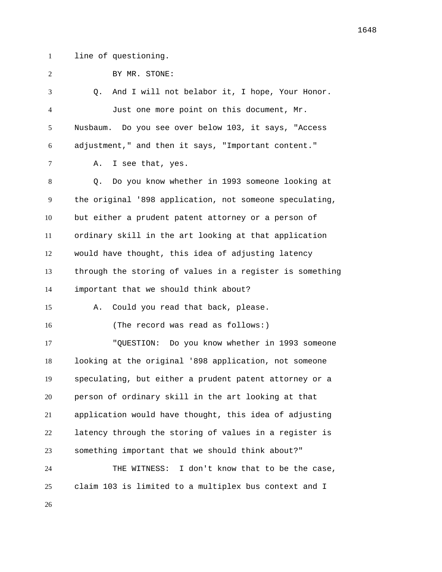line of questioning.

| 2              | BY MR. STONE:                                            |
|----------------|----------------------------------------------------------|
| 3              | And I will not belabor it, I hope, Your Honor.<br>Q.     |
| $\overline{4}$ | Just one more point on this document, Mr.                |
| 5              | Nusbaum. Do you see over below 103, it says, "Access     |
| 6              | adjustment," and then it says, "Important content."      |
| 7              | I see that, yes.<br>Α.                                   |
| 8              | Do you know whether in 1993 someone looking at<br>O.     |
| 9              | the original '898 application, not someone speculating,  |
| 10             | but either a prudent patent attorney or a person of      |
| 11             | ordinary skill in the art looking at that application    |
| 12             | would have thought, this idea of adjusting latency       |
| 13             | through the storing of values in a register is something |
| 14             | important that we should think about?                    |
| 15             | Could you read that back, please.<br>Α.                  |
| 16             | (The record was read as follows:)                        |
| 17             | "QUESTION: Do you know whether in 1993 someone           |
| 18             | looking at the original '898 application, not someone    |
| 19             | speculating, but either a prudent patent attorney or a   |
| 20             | person of ordinary skill in the art looking at that      |
| 21             | application would have thought, this idea of adjusting   |
| 22             | latency through the storing of values in a register is   |
| 23             | something important that we should think about?"         |
| 24             | I don't know that to be the case,<br>THE WITNESS:        |
| 25             | claim 103 is limited to a multiplex bus context and I    |
| 26             |                                                          |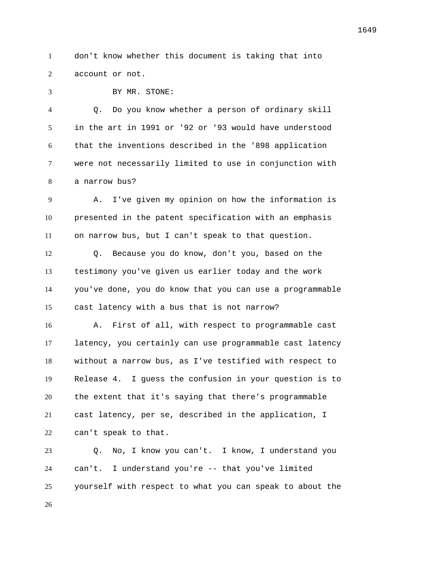don't know whether this document is taking that into account or not.

BY MR. STONE:

 Q. Do you know whether a person of ordinary skill in the art in 1991 or '92 or '93 would have understood that the inventions described in the '898 application were not necessarily limited to use in conjunction with a narrow bus?

 A. I've given my opinion on how the information is presented in the patent specification with an emphasis on narrow bus, but I can't speak to that question.

 Q. Because you do know, don't you, based on the testimony you've given us earlier today and the work you've done, you do know that you can use a programmable cast latency with a bus that is not narrow?

 A. First of all, with respect to programmable cast latency, you certainly can use programmable cast latency without a narrow bus, as I've testified with respect to Release 4. I guess the confusion in your question is to the extent that it's saying that there's programmable cast latency, per se, described in the application, I can't speak to that.

 Q. No, I know you can't. I know, I understand you can't. I understand you're -- that you've limited yourself with respect to what you can speak to about the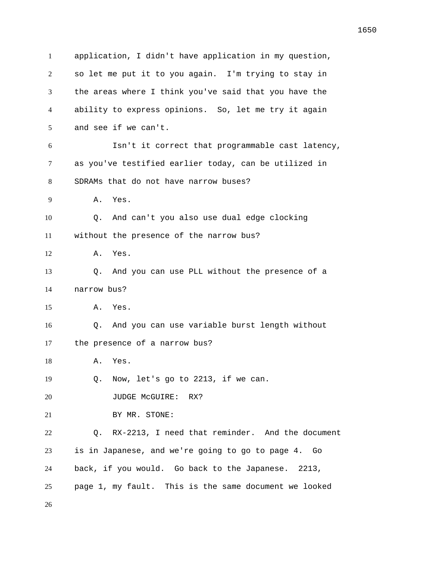application, I didn't have application in my question, so let me put it to you again. I'm trying to stay in the areas where I think you've said that you have the ability to express opinions. So, let me try it again and see if we can't. Isn't it correct that programmable cast latency, as you've testified earlier today, can be utilized in SDRAMs that do not have narrow buses? A. Yes. Q. And can't you also use dual edge clocking without the presence of the narrow bus? A. Yes. Q. And you can use PLL without the presence of a narrow bus? A. Yes. Q. And you can use variable burst length without the presence of a narrow bus? A. Yes. Q. Now, let's go to 2213, if we can. 20 JUDGE McGUIRE: RX? BY MR. STONE: Q. RX-2213, I need that reminder. And the document is in Japanese, and we're going to go to page 4. Go back, if you would. Go back to the Japanese. 2213, page 1, my fault. This is the same document we looked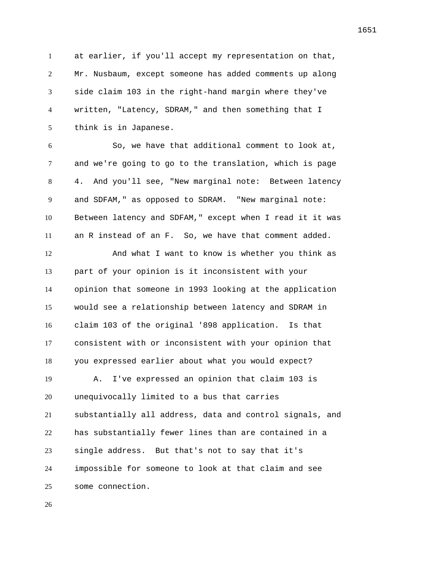at earlier, if you'll accept my representation on that, Mr. Nusbaum, except someone has added comments up along side claim 103 in the right-hand margin where they've written, "Latency, SDRAM," and then something that I think is in Japanese.

 So, we have that additional comment to look at, and we're going to go to the translation, which is page 4. And you'll see, "New marginal note: Between latency and SDFAM," as opposed to SDRAM. "New marginal note: Between latency and SDFAM," except when I read it it was an R instead of an F. So, we have that comment added.

 And what I want to know is whether you think as part of your opinion is it inconsistent with your opinion that someone in 1993 looking at the application would see a relationship between latency and SDRAM in claim 103 of the original '898 application. Is that consistent with or inconsistent with your opinion that you expressed earlier about what you would expect?

 A. I've expressed an opinion that claim 103 is unequivocally limited to a bus that carries substantially all address, data and control signals, and has substantially fewer lines than are contained in a single address. But that's not to say that it's impossible for someone to look at that claim and see some connection.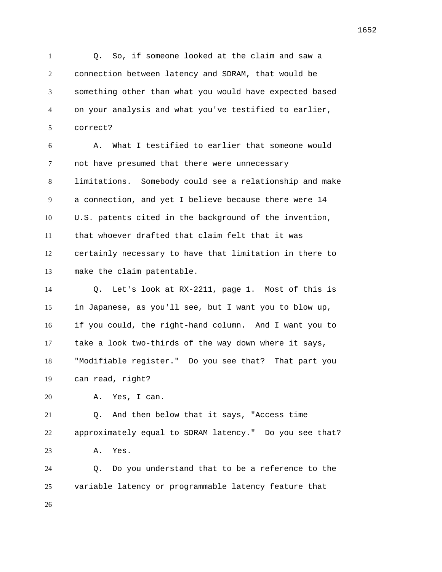Q. So, if someone looked at the claim and saw a connection between latency and SDRAM, that would be something other than what you would have expected based on your analysis and what you've testified to earlier, correct?

 A. What I testified to earlier that someone would not have presumed that there were unnecessary limitations. Somebody could see a relationship and make a connection, and yet I believe because there were 14 U.S. patents cited in the background of the invention, that whoever drafted that claim felt that it was certainly necessary to have that limitation in there to make the claim patentable.

 Q. Let's look at RX-2211, page 1. Most of this is in Japanese, as you'll see, but I want you to blow up, if you could, the right-hand column. And I want you to take a look two-thirds of the way down where it says, "Modifiable register." Do you see that? That part you can read, right?

A. Yes, I can.

 Q. And then below that it says, "Access time approximately equal to SDRAM latency." Do you see that? A. Yes.

 Q. Do you understand that to be a reference to the variable latency or programmable latency feature that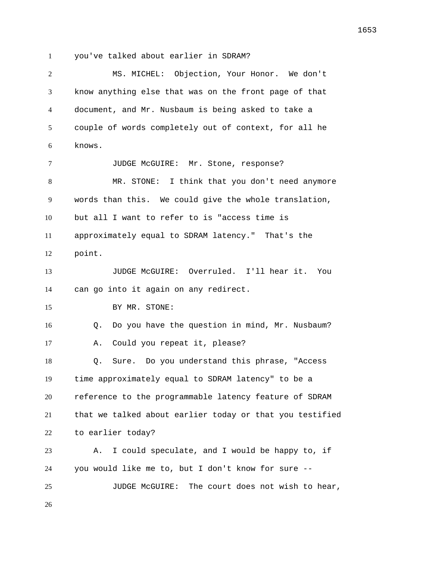you've talked about earlier in SDRAM?

 MS. MICHEL: Objection, Your Honor. We don't know anything else that was on the front page of that document, and Mr. Nusbaum is being asked to take a couple of words completely out of context, for all he knows. 7 JUDGE McGUIRE: Mr. Stone, response? MR. STONE: I think that you don't need anymore words than this. We could give the whole translation, but all I want to refer to is "access time is approximately equal to SDRAM latency." That's the point. JUDGE McGUIRE: Overruled. I'll hear it. You can go into it again on any redirect. 15 BY MR. STONE: Q. Do you have the question in mind, Mr. Nusbaum? A. Could you repeat it, please? Q. Sure. Do you understand this phrase, "Access time approximately equal to SDRAM latency" to be a reference to the programmable latency feature of SDRAM that we talked about earlier today or that you testified to earlier today? A. I could speculate, and I would be happy to, if you would like me to, but I don't know for sure -- JUDGE McGUIRE: The court does not wish to hear,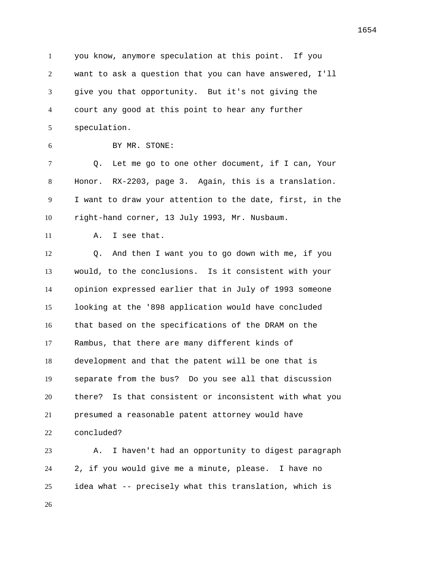you know, anymore speculation at this point. If you want to ask a question that you can have answered, I'll give you that opportunity. But it's not giving the court any good at this point to hear any further speculation. BY MR. STONE: Q. Let me go to one other document, if I can, Your Honor. RX-2203, page 3. Again, this is a translation. I want to draw your attention to the date, first, in the

right-hand corner, 13 July 1993, Mr. Nusbaum.

11 A. I see that.

 Q. And then I want you to go down with me, if you would, to the conclusions. Is it consistent with your opinion expressed earlier that in July of 1993 someone looking at the '898 application would have concluded that based on the specifications of the DRAM on the Rambus, that there are many different kinds of development and that the patent will be one that is separate from the bus? Do you see all that discussion there? Is that consistent or inconsistent with what you presumed a reasonable patent attorney would have concluded?

 A. I haven't had an opportunity to digest paragraph 2, if you would give me a minute, please. I have no idea what -- precisely what this translation, which is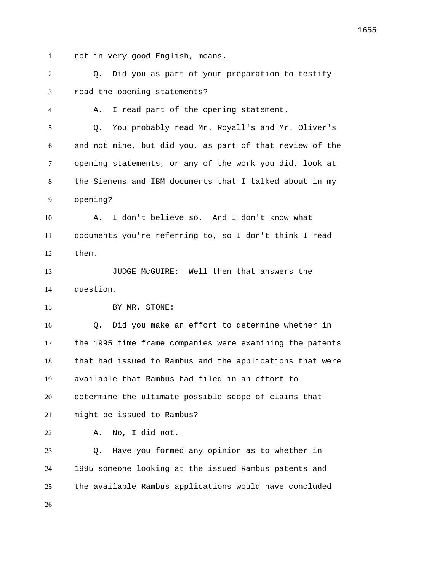not in very good English, means.

 Q. Did you as part of your preparation to testify read the opening statements? A. I read part of the opening statement. Q. You probably read Mr. Royall's and Mr. Oliver's and not mine, but did you, as part of that review of the opening statements, or any of the work you did, look at the Siemens and IBM documents that I talked about in my opening? A. I don't believe so. And I don't know what documents you're referring to, so I don't think I read them. JUDGE McGUIRE: Well then that answers the question. 15 BY MR. STONE: Q. Did you make an effort to determine whether in the 1995 time frame companies were examining the patents that had issued to Rambus and the applications that were available that Rambus had filed in an effort to determine the ultimate possible scope of claims that might be issued to Rambus? A. No, I did not. Q. Have you formed any opinion as to whether in 1995 someone looking at the issued Rambus patents and the available Rambus applications would have concluded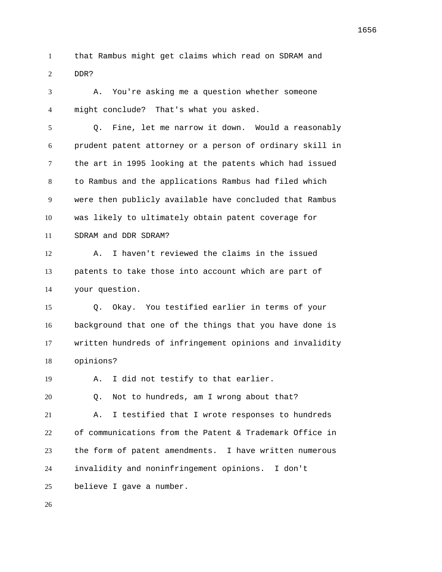that Rambus might get claims which read on SDRAM and DDR?

 A. You're asking me a question whether someone might conclude? That's what you asked.

 Q. Fine, let me narrow it down. Would a reasonably prudent patent attorney or a person of ordinary skill in the art in 1995 looking at the patents which had issued to Rambus and the applications Rambus had filed which were then publicly available have concluded that Rambus was likely to ultimately obtain patent coverage for SDRAM and DDR SDRAM?

 A. I haven't reviewed the claims in the issued patents to take those into account which are part of your question.

 Q. Okay. You testified earlier in terms of your background that one of the things that you have done is written hundreds of infringement opinions and invalidity opinions?

A. I did not testify to that earlier.

Q. Not to hundreds, am I wrong about that?

 A. I testified that I wrote responses to hundreds of communications from the Patent & Trademark Office in the form of patent amendments. I have written numerous invalidity and noninfringement opinions. I don't

believe I gave a number.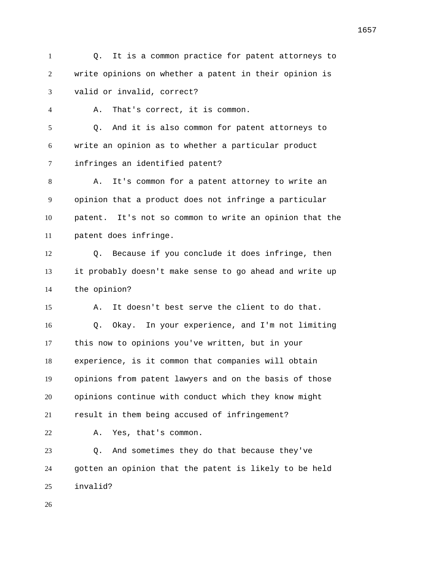Q. It is a common practice for patent attorneys to write opinions on whether a patent in their opinion is valid or invalid, correct?

A. That's correct, it is common.

 Q. And it is also common for patent attorneys to write an opinion as to whether a particular product infringes an identified patent?

 A. It's common for a patent attorney to write an opinion that a product does not infringe a particular patent. It's not so common to write an opinion that the patent does infringe.

 Q. Because if you conclude it does infringe, then it probably doesn't make sense to go ahead and write up the opinion?

 A. It doesn't best serve the client to do that. Q. Okay. In your experience, and I'm not limiting this now to opinions you've written, but in your experience, is it common that companies will obtain opinions from patent lawyers and on the basis of those opinions continue with conduct which they know might result in them being accused of infringement? A. Yes, that's common. Q. And sometimes they do that because they've

 gotten an opinion that the patent is likely to be held invalid?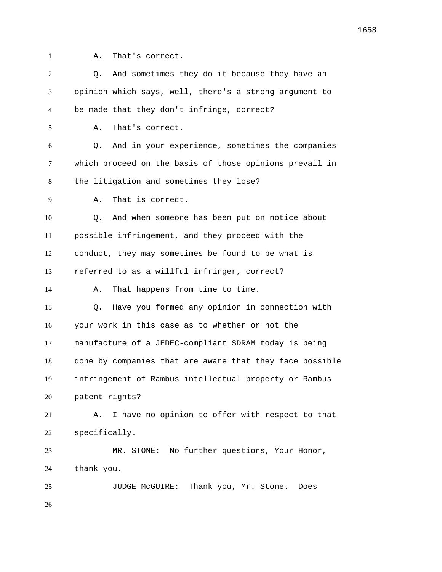- 
- A. That's correct.

| 2  | And sometimes they do it because they have an<br>О.      |
|----|----------------------------------------------------------|
| 3  | opinion which says, well, there's a strong argument to   |
| 4  | be made that they don't infringe, correct?               |
| 5  | That's correct.<br>Α.                                    |
| 6  | And in your experience, sometimes the companies<br>O.    |
| 7  | which proceed on the basis of those opinions prevail in  |
| 8  | the litigation and sometimes they lose?                  |
| 9  | That is correct.<br>Α.                                   |
| 10 | And when someone has been put on notice about<br>Q.      |
| 11 | possible infringement, and they proceed with the         |
| 12 | conduct, they may sometimes be found to be what is       |
| 13 | referred to as a willful infringer, correct?             |
| 14 | That happens from time to time.<br>Α.                    |
| 15 | Have you formed any opinion in connection with<br>Q.     |
| 16 | your work in this case as to whether or not the          |
| 17 | manufacture of a JEDEC-compliant SDRAM today is being    |
| 18 | done by companies that are aware that they face possible |
| 19 | infringement of Rambus intellectual property or Rambus   |
| 20 | patent rights?                                           |
| 21 | I have no opinion to offer with respect to that<br>Α.    |
| 22 | specifically.                                            |
| 23 | MR. STONE: No further questions, Your Honor,             |
| 24 | thank you.                                               |
| 25 | Thank you, Mr. Stone.<br>JUDGE MCGUIRE:<br>Does          |
| 26 |                                                          |
|    |                                                          |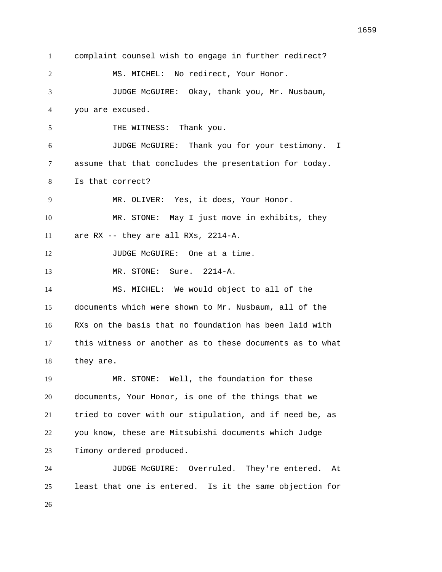complaint counsel wish to engage in further redirect? MS. MICHEL: No redirect, Your Honor. JUDGE McGUIRE: Okay, thank you, Mr. Nusbaum, you are excused. 5 THE WITNESS: Thank you. JUDGE McGUIRE: Thank you for your testimony. I assume that that concludes the presentation for today. Is that correct? MR. OLIVER: Yes, it does, Your Honor. MR. STONE: May I just move in exhibits, they are RX -- they are all RXs, 2214-A. 12 JUDGE McGUIRE: One at a time. MR. STONE: Sure. 2214-A. MS. MICHEL: We would object to all of the documents which were shown to Mr. Nusbaum, all of the RXs on the basis that no foundation has been laid with they are. MR. STONE: Well, the foundation for these documents, Your Honor, is one of the things that we tried to cover with our stipulation, and if need be, as you know, these are Mitsubishi documents which Judge Timony ordered produced. JUDGE McGUIRE: Overruled. They're entered. At least that one is entered. Is it the same objection for 

this witness or another as to these documents as to what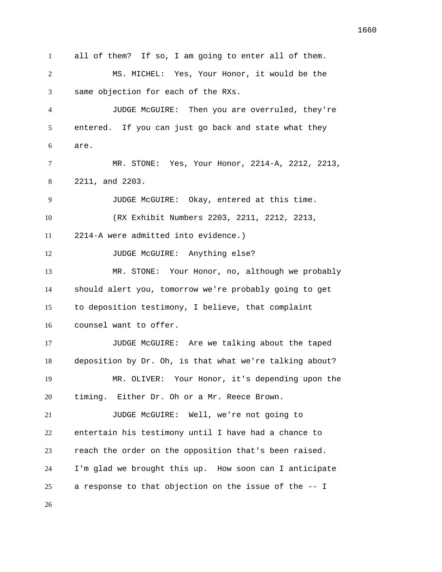all of them? If so, I am going to enter all of them. MS. MICHEL: Yes, Your Honor, it would be the same objection for each of the RXs. JUDGE McGUIRE: Then you are overruled, they're entered. If you can just go back and state what they are. MR. STONE: Yes, Your Honor, 2214-A, 2212, 2213, 2211, and 2203. JUDGE McGUIRE: Okay, entered at this time. (RX Exhibit Numbers 2203, 2211, 2212, 2213, 2214-A were admitted into evidence.) 12 JUDGE McGUIRE: Anything else? MR. STONE: Your Honor, no, although we probably should alert you, tomorrow we're probably going to get to deposition testimony, I believe, that complaint counsel want to offer. JUDGE McGUIRE: Are we talking about the taped deposition by Dr. Oh, is that what we're talking about? MR. OLIVER: Your Honor, it's depending upon the timing. Either Dr. Oh or a Mr. Reece Brown. JUDGE McGUIRE: Well, we're not going to entertain his testimony until I have had a chance to reach the order on the opposition that's been raised. I'm glad we brought this up. How soon can I anticipate a response to that objection on the issue of the -- I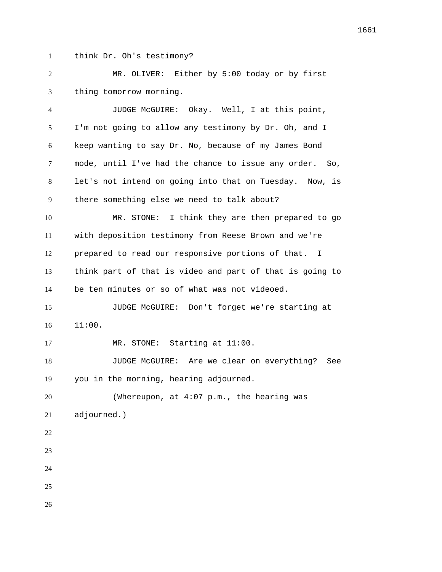think Dr. Oh's testimony?

 MR. OLIVER: Either by 5:00 today or by first thing tomorrow morning.

 JUDGE McGUIRE: Okay. Well, I at this point, I'm not going to allow any testimony by Dr. Oh, and I keep wanting to say Dr. No, because of my James Bond mode, until I've had the chance to issue any order. So, let's not intend on going into that on Tuesday. Now, is there something else we need to talk about? MR. STONE: I think they are then prepared to go with deposition testimony from Reese Brown and we're prepared to read our responsive portions of that. I think part of that is video and part of that is going to be ten minutes or so of what was not videoed. JUDGE McGUIRE: Don't forget we're starting at 11:00. 17 MR. STONE: Starting at 11:00. JUDGE McGUIRE: Are we clear on everything? See you in the morning, hearing adjourned. (Whereupon, at 4:07 p.m., the hearing was adjourned.) 

- 
- 
-